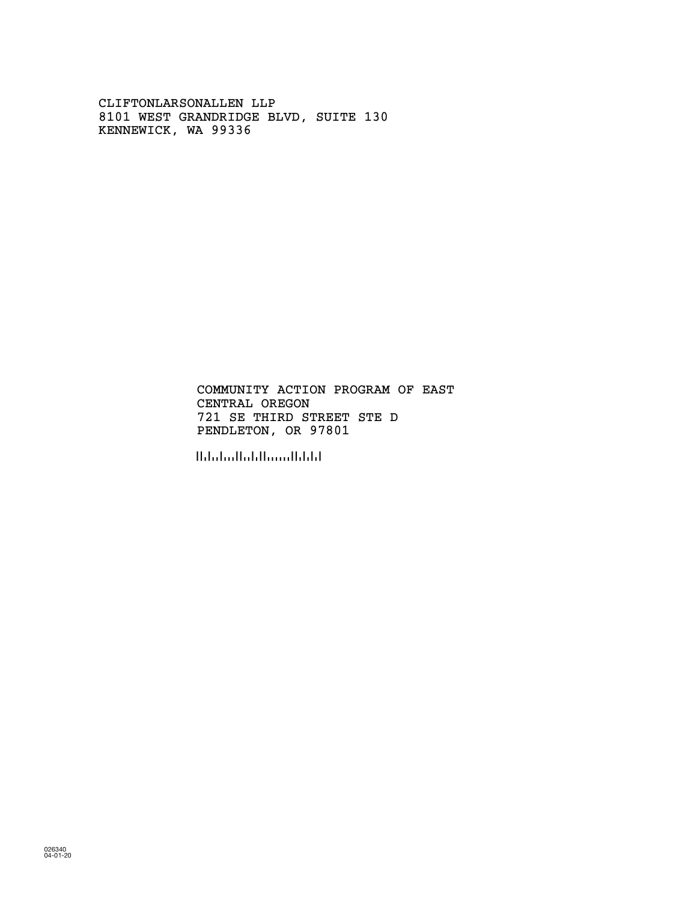CLIFTONLARSONALLEN LLP 8101 WEST GRANDRIDGE BLVD, SUITE 130 KENNEWICK, WA 99336

> CENTRAL OREGON 721 SE THIRD STREET STE D COMMUNITY ACTION PROGRAM OF EAST PENDLETON, OR 97801

!978015!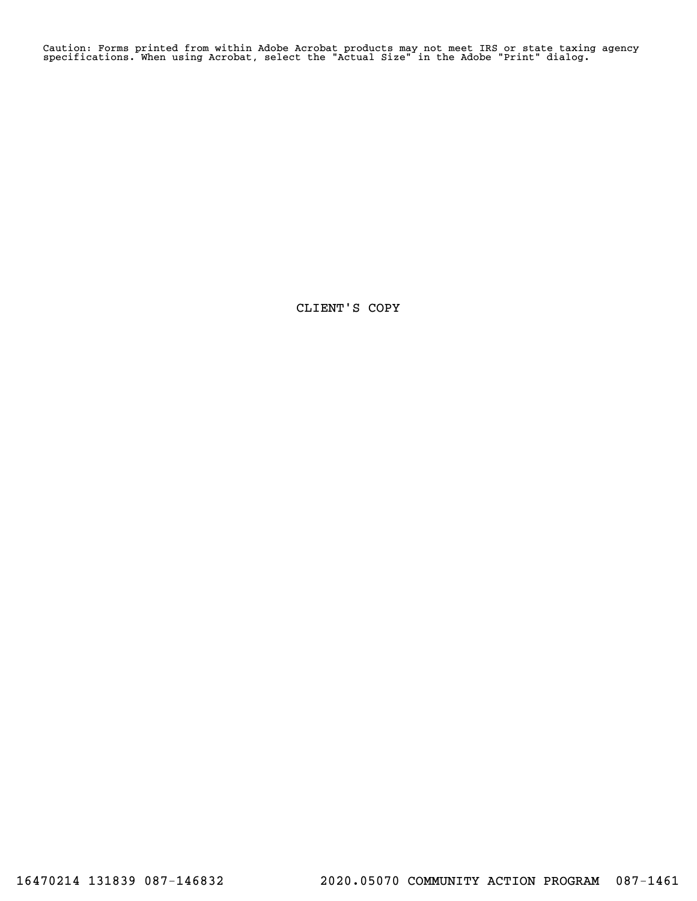Caution: Forms printed from within Adobe Acrobat products may not meet IRS or state taxing agency specifications. When using Acrobat, select the "Actual Size" in the Adobe "Print" dialog.

CLIENT'S COPY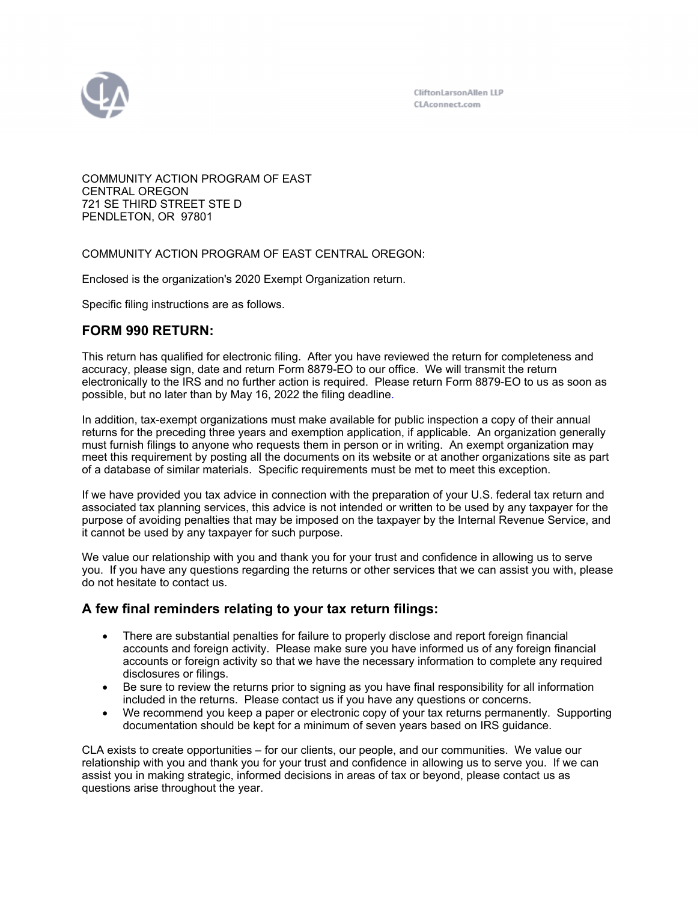

#### COMMUNITY ACTION PROGRAM OF EAST CENTRAL OREGON 721 SE THIRD STREET STE D PENDLETON, OR 97801

COMMUNITY ACTION PROGRAM OF EAST CENTRAL OREGON:

Enclosed is the organization's 2020 Exempt Organization return.

Specific filing instructions are as follows.

## **FORM 990 RETURN:**

This return has qualified for electronic filing. After you have reviewed the return for completeness and accuracy, please sign, date and return Form 8879-EO to our office. We will transmit the return electronically to the IRS and no further action is required. Please return Form 8879-EO to us as soon as possible, but no later than by May 16, 2022 the filing deadline.

In addition, tax-exempt organizations must make available for public inspection a copy of their annual returns for the preceding three years and exemption application, if applicable. An organization generally must furnish filings to anyone who requests them in person or in writing. An exempt organization may meet this requirement by posting all the documents on its website or at another organizations site as part of a database of similar materials. Specific requirements must be met to meet this exception.

If we have provided you tax advice in connection with the preparation of your U.S. federal tax return and associated tax planning services, this advice is not intended or written to be used by any taxpayer for the purpose of avoiding penalties that may be imposed on the taxpayer by the Internal Revenue Service, and it cannot be used by any taxpayer for such purpose.

We value our relationship with you and thank you for your trust and confidence in allowing us to serve you. If you have any questions regarding the returns or other services that we can assist you with, please do not hesitate to contact us.

## **A few final reminders relating to your tax return filings:**

- There are substantial penalties for failure to properly disclose and report foreign financial accounts and foreign activity. Please make sure you have informed us of any foreign financial accounts or foreign activity so that we have the necessary information to complete any required disclosures or filings.
- Be sure to review the returns prior to signing as you have final responsibility for all information included in the returns. Please contact us if you have any questions or concerns.
- We recommend you keep a paper or electronic copy of your tax returns permanently. Supporting documentation should be kept for a minimum of seven years based on IRS guidance.

CLA exists to create opportunities – for our clients, our people, and our communities. We value our relationship with you and thank you for your trust and confidence in allowing us to serve you. If we can assist you in making strategic, informed decisions in areas of tax or beyond, please contact us as questions arise throughout the year.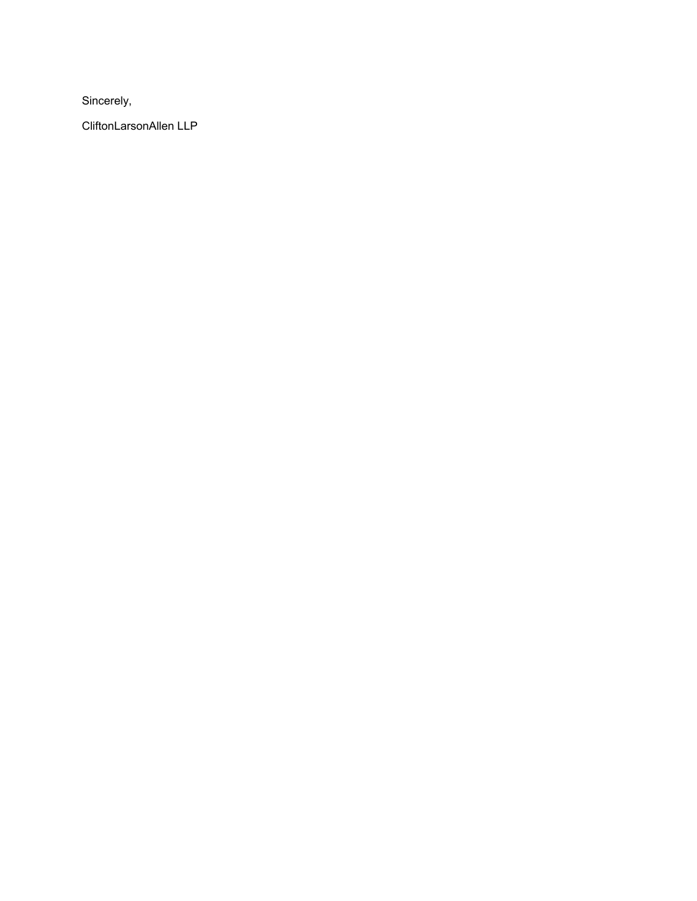Sincerely,

CliftonLarsonAllen LLP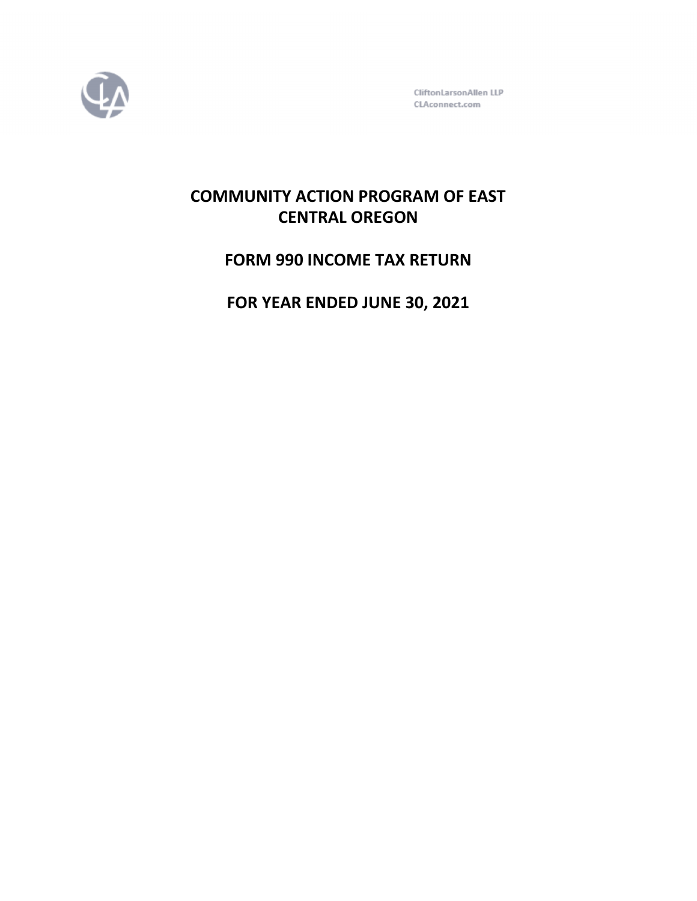

CliftonLarsonAllen LLP CLAconnect.com

# **COMMUNITY ACTION PROGRAM OF EAST CENTRAL OREGON**

**FORM 990 INCOME TAX RETURN**

**FOR YEAR ENDED JUNE 30, 2021**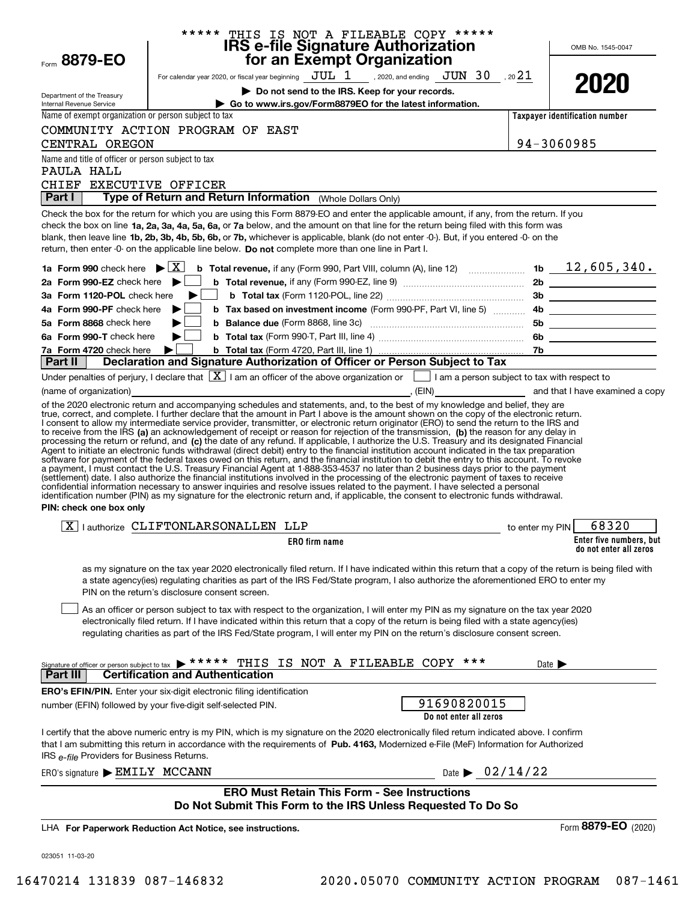|                                                                                                       | ***** THIS IS NOT A FILEABLE COPY *****                                                                                                                                                                                                                                                                                                                                                                                                                                                                                                                                                                                                                                                                                                                                                                                                                                                                                                                                                         |                 |                                                   |
|-------------------------------------------------------------------------------------------------------|-------------------------------------------------------------------------------------------------------------------------------------------------------------------------------------------------------------------------------------------------------------------------------------------------------------------------------------------------------------------------------------------------------------------------------------------------------------------------------------------------------------------------------------------------------------------------------------------------------------------------------------------------------------------------------------------------------------------------------------------------------------------------------------------------------------------------------------------------------------------------------------------------------------------------------------------------------------------------------------------------|-----------------|---------------------------------------------------|
|                                                                                                       | IRS e-file Signature Authorization<br>for an Exempt Organization                                                                                                                                                                                                                                                                                                                                                                                                                                                                                                                                                                                                                                                                                                                                                                                                                                                                                                                                |                 | OMB No. 1545-0047                                 |
| Form 8879-EO                                                                                          |                                                                                                                                                                                                                                                                                                                                                                                                                                                                                                                                                                                                                                                                                                                                                                                                                                                                                                                                                                                                 |                 |                                                   |
|                                                                                                       | For calendar year 2020, or fiscal year beginning $JUL$ $1$ , 2020, and ending $JUN$ $30$ , 20 $21$                                                                                                                                                                                                                                                                                                                                                                                                                                                                                                                                                                                                                                                                                                                                                                                                                                                                                              |                 | 2020                                              |
| Department of the Treasury                                                                            | Do not send to the IRS. Keep for your records.                                                                                                                                                                                                                                                                                                                                                                                                                                                                                                                                                                                                                                                                                                                                                                                                                                                                                                                                                  |                 |                                                   |
| Internal Revenue Service                                                                              | Go to www.irs.gov/Form8879EO for the latest information.                                                                                                                                                                                                                                                                                                                                                                                                                                                                                                                                                                                                                                                                                                                                                                                                                                                                                                                                        |                 |                                                   |
| Name of exempt organization or person subject to tax                                                  |                                                                                                                                                                                                                                                                                                                                                                                                                                                                                                                                                                                                                                                                                                                                                                                                                                                                                                                                                                                                 |                 | Taxpayer identification number                    |
|                                                                                                       | COMMUNITY ACTION PROGRAM OF EAST                                                                                                                                                                                                                                                                                                                                                                                                                                                                                                                                                                                                                                                                                                                                                                                                                                                                                                                                                                |                 |                                                   |
| CENTRAL OREGON                                                                                        |                                                                                                                                                                                                                                                                                                                                                                                                                                                                                                                                                                                                                                                                                                                                                                                                                                                                                                                                                                                                 |                 | 94-3060985                                        |
| Name and title of officer or person subject to tax<br>PAULA HALL<br>CHIEF EXECUTIVE OFFICER<br>Part I | Type of Return and Return Information (Whole Dollars Only)                                                                                                                                                                                                                                                                                                                                                                                                                                                                                                                                                                                                                                                                                                                                                                                                                                                                                                                                      |                 |                                                   |
|                                                                                                       | Check the box for the return for which you are using this Form 8879-EO and enter the applicable amount, if any, from the return. If you                                                                                                                                                                                                                                                                                                                                                                                                                                                                                                                                                                                                                                                                                                                                                                                                                                                         |                 |                                                   |
|                                                                                                       | check the box on line 1a, 2a, 3a, 4a, 5a, 6a, or 7a below, and the amount on that line for the return being filed with this form was<br>blank, then leave line 1b, 2b, 3b, 4b, 5b, 6b, or 7b, whichever is applicable, blank (do not enter -0-). But, if you entered -0- on the<br>return, then enter -0- on the applicable line below. Do not complete more than one line in Part I.                                                                                                                                                                                                                                                                                                                                                                                                                                                                                                                                                                                                           |                 |                                                   |
| 1a Form 990 check here $\blacktriangleright$ $\lfloor X \rfloor$                                      | <b>b</b> Total revenue, if any (Form 990, Part VIII, column (A), line 12) $\ldots$ 10 $\ldots$ 15 $\ldots$ 12, 605, 340.                                                                                                                                                                                                                                                                                                                                                                                                                                                                                                                                                                                                                                                                                                                                                                                                                                                                        |                 |                                                   |
| 2a Form 990-EZ check here $\blacktriangleright$                                                       |                                                                                                                                                                                                                                                                                                                                                                                                                                                                                                                                                                                                                                                                                                                                                                                                                                                                                                                                                                                                 |                 |                                                   |
| 3a Form 1120-POL check here                                                                           |                                                                                                                                                                                                                                                                                                                                                                                                                                                                                                                                                                                                                                                                                                                                                                                                                                                                                                                                                                                                 |                 |                                                   |
| 4a Form 990-PF check here                                                                             | b Tax based on investment income (Form 990-PF, Part VI, line 5)  4b<br>$\blacktriangleright$                                                                                                                                                                                                                                                                                                                                                                                                                                                                                                                                                                                                                                                                                                                                                                                                                                                                                                    |                 |                                                   |
| 5a Form 8868 check here                                                                               |                                                                                                                                                                                                                                                                                                                                                                                                                                                                                                                                                                                                                                                                                                                                                                                                                                                                                                                                                                                                 |                 |                                                   |
| 6a Form 990-T check here                                                                              | ▶∣                                                                                                                                                                                                                                                                                                                                                                                                                                                                                                                                                                                                                                                                                                                                                                                                                                                                                                                                                                                              |                 |                                                   |
| 7a Form 4720 check here<br>Part II                                                                    | ▶<br>Declaration and Signature Authorization of Officer or Person Subject to Tax                                                                                                                                                                                                                                                                                                                                                                                                                                                                                                                                                                                                                                                                                                                                                                                                                                                                                                                |                 |                                                   |
|                                                                                                       | Under penalties of perjury, I declare that $\boxed{\mathbf{X}}$ I am an officer of the above organization or $\boxed{\phantom{\mathbf{X}}}$ I am a person subject to tax with respect to                                                                                                                                                                                                                                                                                                                                                                                                                                                                                                                                                                                                                                                                                                                                                                                                        |                 |                                                   |
| (name of organization)                                                                                |                                                                                                                                                                                                                                                                                                                                                                                                                                                                                                                                                                                                                                                                                                                                                                                                                                                                                                                                                                                                 |                 |                                                   |
| PIN: check one box only                                                                               | processing the return or refund, and (c) the date of any refund. If applicable, I authorize the U.S. Treasury and its designated Financial<br>Agent to initiate an electronic funds withdrawal (direct debit) entry to the financial institution account indicated in the tax preparation<br>software for payment of the federal taxes owed on this return, and the financial institution to debit the entry to this account. To revoke<br>a payment, I must contact the U.S. Treasury Financial Agent at 1-888-353-4537 no later than 2 business days prior to the payment<br>(settlement) date. I also authorize the financial institutions involved in the processing of the electronic payment of taxes to receive<br>confidential information necessary to answer inquiries and resolve issues related to the payment. I have selected a personal<br>identification number (PIN) as my signature for the electronic return and, if applicable, the consent to electronic funds withdrawal. |                 |                                                   |
|                                                                                                       | $\boxed{X}$   authorize CLIFTONLARSONALLEN LLP                                                                                                                                                                                                                                                                                                                                                                                                                                                                                                                                                                                                                                                                                                                                                                                                                                                                                                                                                  | to enter my PIN | 68320                                             |
|                                                                                                       | ERO firm name                                                                                                                                                                                                                                                                                                                                                                                                                                                                                                                                                                                                                                                                                                                                                                                                                                                                                                                                                                                   |                 | Enter five numbers, but<br>do not enter all zeros |
|                                                                                                       | as my signature on the tax year 2020 electronically filed return. If I have indicated within this return that a copy of the return is being filed with<br>a state agency(ies) regulating charities as part of the IRS Fed/State program, I also authorize the aforementioned ERO to enter my<br>PIN on the return's disclosure consent screen.<br>As an officer or person subject to tax with respect to the organization, I will enter my PIN as my signature on the tax year 2020                                                                                                                                                                                                                                                                                                                                                                                                                                                                                                             |                 |                                                   |
|                                                                                                       | electronically filed return. If I have indicated within this return that a copy of the return is being filed with a state agency(ies)<br>regulating charities as part of the IRS Fed/State program, I will enter my PIN on the return's disclosure consent screen.                                                                                                                                                                                                                                                                                                                                                                                                                                                                                                                                                                                                                                                                                                                              |                 |                                                   |
| Signature of officer or person subject to tax<br>Part III                                             | THIS IS NOT A FILEABLE COPY ***<br>*****<br><b>Certification and Authentication</b>                                                                                                                                                                                                                                                                                                                                                                                                                                                                                                                                                                                                                                                                                                                                                                                                                                                                                                             |                 | Date $\blacktriangleright$                        |
|                                                                                                       | <b>ERO's EFIN/PIN.</b> Enter your six-digit electronic filing identification                                                                                                                                                                                                                                                                                                                                                                                                                                                                                                                                                                                                                                                                                                                                                                                                                                                                                                                    |                 |                                                   |
|                                                                                                       | 91690820015<br>number (EFIN) followed by your five-digit self-selected PIN.<br>Do not enter all zeros                                                                                                                                                                                                                                                                                                                                                                                                                                                                                                                                                                                                                                                                                                                                                                                                                                                                                           |                 |                                                   |
| IRS e-file Providers for Business Returns.                                                            | I certify that the above numeric entry is my PIN, which is my signature on the 2020 electronically filed return indicated above. I confirm<br>that I am submitting this return in accordance with the requirements of Pub. 4163, Modernized e-File (MeF) Information for Authorized                                                                                                                                                                                                                                                                                                                                                                                                                                                                                                                                                                                                                                                                                                             |                 |                                                   |
| $ERO's$ signature $\blacktriangleright$ EMILY MCCANN                                                  | Date $\blacktriangleright$ 02/14/22                                                                                                                                                                                                                                                                                                                                                                                                                                                                                                                                                                                                                                                                                                                                                                                                                                                                                                                                                             |                 |                                                   |
|                                                                                                       | <b>ERO Must Retain This Form - See Instructions</b><br>Do Not Submit This Form to the IRS Unless Requested To Do So                                                                                                                                                                                                                                                                                                                                                                                                                                                                                                                                                                                                                                                                                                                                                                                                                                                                             |                 |                                                   |
|                                                                                                       | LHA For Paperwork Reduction Act Notice, see instructions.                                                                                                                                                                                                                                                                                                                                                                                                                                                                                                                                                                                                                                                                                                                                                                                                                                                                                                                                       |                 | Form 8879-EO (2020)                               |
| 023051 11-03-20                                                                                       |                                                                                                                                                                                                                                                                                                                                                                                                                                                                                                                                                                                                                                                                                                                                                                                                                                                                                                                                                                                                 |                 |                                                   |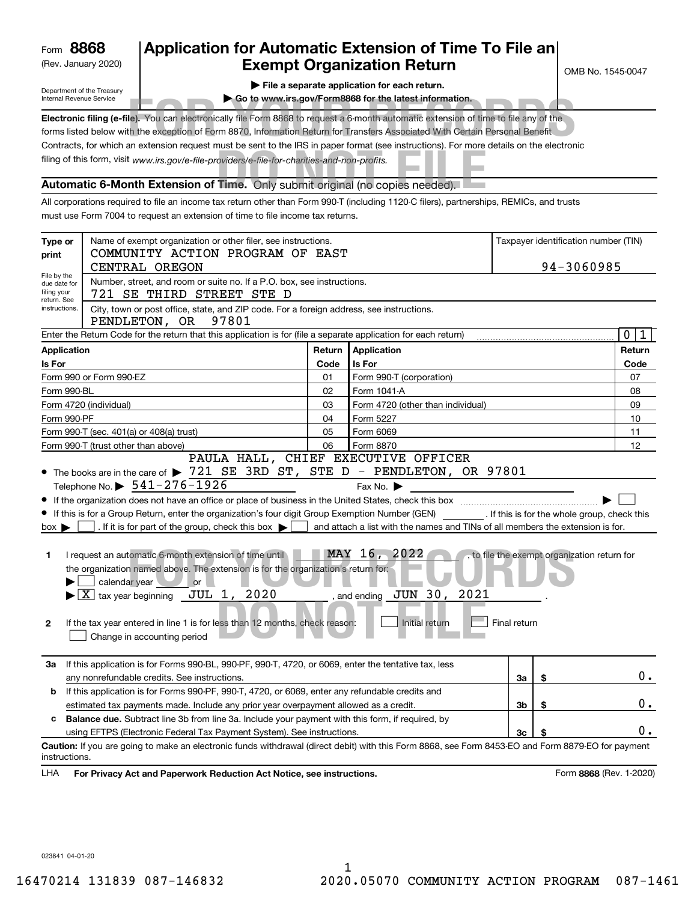(Rev. January 2020)

## **Application for Automatic Extension of Time To File an Exempt Organization Return**

OMB No. 1545-0047

Department of the Treasury Internal Revenue Service

**| File a separate application for each return.**

**| Go to www.irs.gov/Form8868 for the latest information.**

| internal Revenue Service | GO to www.irs.dov/Formoobo for the latest information.                                                                                   |
|--------------------------|------------------------------------------------------------------------------------------------------------------------------------------|
|                          | Electronic filing (e-file). You can electronically file Form 8868 to request a 6-month automatic extension of time to file any of the    |
|                          | forms listed below with the exception of Form 8870, Information Return for Transfers Associated With Certain Personal Benefit            |
|                          | Contracts, for which an extension request must be sent to the IRS in paper format (see instructions). For more details on the electronic |
|                          | filing of this form, visit www.irs.gov/e-file-providers/e-file-for-charities-and-non-profits.                                            |
|                          | Automatic 6-Month Extension of Time. Only submit original (no copies needed).                                                            |

All corporations required to file an income tax return other than Form 990-T (including 1120-C filers), partnerships, REMICs, and trusts must use Form 7004 to request an extension of time to file income tax returns.

| Type or<br>print                                                                                                                    | Name of exempt organization or other filer, see instructions.<br>COMMUNITY ACTION PROGRAM OF EAST<br>CENTRAL OREGON                                                                                                                                                                                                                                                                                                                                                                                                                                                                                                                         |        |                                                                                                                                                                                | Taxpayer identification number (TIN)<br>94-3060985 |    |                                              |        |  |
|-------------------------------------------------------------------------------------------------------------------------------------|---------------------------------------------------------------------------------------------------------------------------------------------------------------------------------------------------------------------------------------------------------------------------------------------------------------------------------------------------------------------------------------------------------------------------------------------------------------------------------------------------------------------------------------------------------------------------------------------------------------------------------------------|--------|--------------------------------------------------------------------------------------------------------------------------------------------------------------------------------|----------------------------------------------------|----|----------------------------------------------|--------|--|
| File by the<br>due date for<br>filing your<br>return. See                                                                           | Number, street, and room or suite no. If a P.O. box, see instructions.<br>721 SE THIRD STREET STE D                                                                                                                                                                                                                                                                                                                                                                                                                                                                                                                                         |        |                                                                                                                                                                                |                                                    |    |                                              |        |  |
| City, town or post office, state, and ZIP code. For a foreign address, see instructions.<br>instructions.<br>PENDLETON, OR<br>97801 |                                                                                                                                                                                                                                                                                                                                                                                                                                                                                                                                                                                                                                             |        |                                                                                                                                                                                |                                                    |    |                                              |        |  |
|                                                                                                                                     | Enter the Return Code for the return that this application is for (file a separate application for each return)                                                                                                                                                                                                                                                                                                                                                                                                                                                                                                                             |        |                                                                                                                                                                                |                                                    |    | $\mathbf 0$                                  | 1      |  |
| Application                                                                                                                         |                                                                                                                                                                                                                                                                                                                                                                                                                                                                                                                                                                                                                                             | Return | Application                                                                                                                                                                    |                                                    |    |                                              | Return |  |
| Is For                                                                                                                              |                                                                                                                                                                                                                                                                                                                                                                                                                                                                                                                                                                                                                                             | Code   | Is For                                                                                                                                                                         |                                                    |    | Code                                         |        |  |
|                                                                                                                                     | Form 990 or Form 990-EZ                                                                                                                                                                                                                                                                                                                                                                                                                                                                                                                                                                                                                     | 01     | Form 990-T (corporation)                                                                                                                                                       |                                                    |    | 07                                           |        |  |
| Form 990-BL                                                                                                                         |                                                                                                                                                                                                                                                                                                                                                                                                                                                                                                                                                                                                                                             | 02     | Form 1041-A                                                                                                                                                                    |                                                    |    | 08                                           |        |  |
|                                                                                                                                     | Form 4720 (individual)                                                                                                                                                                                                                                                                                                                                                                                                                                                                                                                                                                                                                      | 03     | Form 4720 (other than individual)                                                                                                                                              |                                                    |    | 09                                           |        |  |
| Form 990-PF                                                                                                                         |                                                                                                                                                                                                                                                                                                                                                                                                                                                                                                                                                                                                                                             | 04     | Form 5227                                                                                                                                                                      |                                                    |    | 10                                           |        |  |
|                                                                                                                                     | Form 990-T (sec. 401(a) or 408(a) trust)                                                                                                                                                                                                                                                                                                                                                                                                                                                                                                                                                                                                    | 05     | Form 6069                                                                                                                                                                      |                                                    |    | 11                                           |        |  |
|                                                                                                                                     | Form 990-T (trust other than above)                                                                                                                                                                                                                                                                                                                                                                                                                                                                                                                                                                                                         | 06     | Form 8870<br>PAULA HALL, CHIEF EXECUTIVE OFFICER                                                                                                                               |                                                    |    | 12                                           |        |  |
| $box \blacktriangleright$<br>1<br>$\mathbf{2}$                                                                                      | Telephone No. $\triangleright$ 541-276-1926<br>If this is for a Group Return, enter the organization's four digit Group Exemption Number (GEN) [If this is for the whole group, check this<br>. If it is for part of the group, check this box $\blacktriangleright$<br>I request an automatic 6-month extension of time until<br>the organization named above. The extension is for the organization's return for:<br>calendar year<br>$\circ$ or<br>$\blacktriangleright$ $\boxed{\text{X}}$ tax year beginning JUL 1, 2020<br>If the tax year entered in line 1 is for less than 12 months, check reason:<br>Change in accounting period |        | Fax No. $\blacktriangleright$<br>and attach a list with the names and TINs of all members the extension is for.<br>MAY 16, 2022<br>, and ending JUN 30, 2021<br>Initial return | Final return                                       |    | , to file the exempt organization return for |        |  |
| За                                                                                                                                  | If this application is for Forms 990-BL, 990-PF, 990-T, 4720, or 6069, enter the tentative tax, less                                                                                                                                                                                                                                                                                                                                                                                                                                                                                                                                        |        |                                                                                                                                                                                |                                                    |    |                                              | 0.     |  |
|                                                                                                                                     | any nonrefundable credits. See instructions.                                                                                                                                                                                                                                                                                                                                                                                                                                                                                                                                                                                                |        |                                                                                                                                                                                | За                                                 | \$ |                                              |        |  |
| b                                                                                                                                   | If this application is for Forms 990-PF, 990-T, 4720, or 6069, enter any refundable credits and                                                                                                                                                                                                                                                                                                                                                                                                                                                                                                                                             |        |                                                                                                                                                                                | 3b                                                 | \$ |                                              | 0.     |  |
|                                                                                                                                     | estimated tax payments made. Include any prior year overpayment allowed as a credit.<br><b>Balance due.</b> Subtract line 3b from line 3a. Include your payment with this form, if required, by                                                                                                                                                                                                                                                                                                                                                                                                                                             |        |                                                                                                                                                                                |                                                    |    |                                              |        |  |
|                                                                                                                                     | using EFTPS (Electronic Federal Tax Payment System). See instructions.                                                                                                                                                                                                                                                                                                                                                                                                                                                                                                                                                                      |        |                                                                                                                                                                                | 3c                                                 |    |                                              | 0.     |  |
| instructions.<br>LHA                                                                                                                | Caution: If you are going to make an electronic funds withdrawal (direct debit) with this Form 8868, see Form 8453-EO and Form 8879-EO for payment<br>For Privacy Act and Paperwork Reduction Act Notice, see instructions.                                                                                                                                                                                                                                                                                                                                                                                                                 |        |                                                                                                                                                                                |                                                    |    | Form 8868 (Rev. 1-2020)                      |        |  |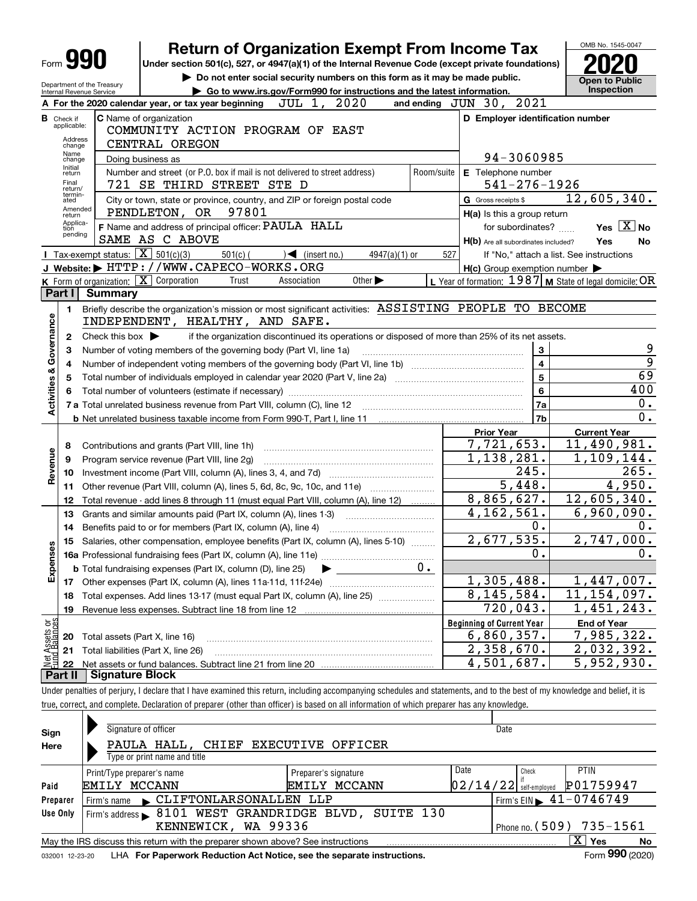|                                                                                                                       |                                                                             |                                                            | <b>Return of Organization Exempt From Income Tax</b>                                                                                                                       |            |                                                           | OMB No. 1545-0047                        |  |  |  |
|-----------------------------------------------------------------------------------------------------------------------|-----------------------------------------------------------------------------|------------------------------------------------------------|----------------------------------------------------------------------------------------------------------------------------------------------------------------------------|------------|-----------------------------------------------------------|------------------------------------------|--|--|--|
| Form <b>990</b><br>Under section 501(c), 527, or 4947(a)(1) of the Internal Revenue Code (except private foundations) |                                                                             |                                                            |                                                                                                                                                                            |            |                                                           |                                          |  |  |  |
|                                                                                                                       | Do not enter social security numbers on this form as it may be made public. |                                                            |                                                                                                                                                                            |            |                                                           | <b>Open to Public</b>                    |  |  |  |
|                                                                                                                       |                                                                             | Department of the Treasury<br>Internal Revenue Service     | Go to www.irs.gov/Form990 for instructions and the latest information.                                                                                                     |            | Inspection                                                |                                          |  |  |  |
|                                                                                                                       |                                                                             |                                                            | A For the 2020 calendar year, or tax year beginning $JUL 1, 2020$                                                                                                          |            | 2021<br>and ending $JUN$ $30$ ,                           |                                          |  |  |  |
| в                                                                                                                     | Check if                                                                    | <b>C</b> Name of organization                              | D Employer identification number                                                                                                                                           |            |                                                           |                                          |  |  |  |
|                                                                                                                       | applicable:<br>COMMUNITY ACTION PROGRAM OF EAST                             |                                                            |                                                                                                                                                                            |            |                                                           |                                          |  |  |  |
|                                                                                                                       | Address<br>change                                                           |                                                            | CENTRAL OREGON                                                                                                                                                             |            |                                                           |                                          |  |  |  |
|                                                                                                                       | Name<br>change                                                              |                                                            | Doing business as                                                                                                                                                          |            | 94-3060985                                                |                                          |  |  |  |
|                                                                                                                       | Initial<br>return                                                           |                                                            | Number and street (or P.O. box if mail is not delivered to street address)                                                                                                 | Room/suite | E Telephone number                                        |                                          |  |  |  |
|                                                                                                                       | Final<br>return/                                                            |                                                            | 721 SE THIRD STREET STE D                                                                                                                                                  |            | $541 - 276 - 1926$                                        |                                          |  |  |  |
|                                                                                                                       | termin-<br>ated                                                             |                                                            | City or town, state or province, country, and ZIP or foreign postal code                                                                                                   |            | G Gross receipts \$                                       | 12,605,340.                              |  |  |  |
|                                                                                                                       | Amended<br>return                                                           |                                                            | PENDLETON, OR 97801                                                                                                                                                        |            | H(a) Is this a group return                               |                                          |  |  |  |
|                                                                                                                       | Applica-<br>tion<br>pending                                                 |                                                            | F Name and address of principal officer: PAULA HALL                                                                                                                        |            | for subordinates?                                         | Yes $X$ No                               |  |  |  |
|                                                                                                                       |                                                                             |                                                            | SAME AS C ABOVE                                                                                                                                                            |            | H(b) Are all subordinates included?                       | Yes<br>No                                |  |  |  |
|                                                                                                                       |                                                                             | <b>I</b> Tax-exempt status: $\boxed{\mathbf{X}}$ 501(c)(3) | $\sqrt{\frac{1}{1}}$ (insert no.)<br>$501(c)$ (<br>$4947(a)(1)$ or                                                                                                         |            | 527                                                       | If "No," attach a list. See instructions |  |  |  |
|                                                                                                                       |                                                                             |                                                            | J Website: FITTP: / / WWW.CAPECO-WORKS.ORG                                                                                                                                 |            | $H(c)$ Group exemption number $\blacktriangleright$       |                                          |  |  |  |
|                                                                                                                       |                                                                             |                                                            | <b>K</b> Form of organization: $\boxed{\mathbf{X}}$ Corporation<br>Trust<br>Association<br>Other $\blacktriangleright$                                                     |            | L Year of formation: $1987$ M State of legal domicile: OR |                                          |  |  |  |
|                                                                                                                       | Part I                                                                      | Summary                                                    |                                                                                                                                                                            |            |                                                           |                                          |  |  |  |
|                                                                                                                       | 1.                                                                          |                                                            | Briefly describe the organization's mission or most significant activities: ASSISTING PEOPLE TO BECOME                                                                     |            |                                                           |                                          |  |  |  |
|                                                                                                                       |                                                                             |                                                            | INDEPENDENT, HEALTHY, AND SAFE.                                                                                                                                            |            |                                                           |                                          |  |  |  |
| Governance                                                                                                            | $\mathbf{2}$                                                                | Check this box $\blacktriangleright$                       | if the organization discontinued its operations or disposed of more than 25% of its net assets.                                                                            |            |                                                           |                                          |  |  |  |
|                                                                                                                       | 3                                                                           |                                                            | Number of voting members of the governing body (Part VI, line 1a)                                                                                                          |            | 3                                                         | 9<br>$\overline{9}$                      |  |  |  |
|                                                                                                                       | 4                                                                           |                                                            |                                                                                                                                                                            |            | $\overline{\mathbf{4}}$<br>5                              | 69                                       |  |  |  |
| <b>Activities &amp;</b>                                                                                               | 5                                                                           |                                                            |                                                                                                                                                                            |            | 6                                                         | 400                                      |  |  |  |
|                                                                                                                       | 6                                                                           |                                                            |                                                                                                                                                                            |            | 7a                                                        | 0.                                       |  |  |  |
|                                                                                                                       |                                                                             |                                                            |                                                                                                                                                                            |            | 7b                                                        | 0.                                       |  |  |  |
|                                                                                                                       |                                                                             |                                                            |                                                                                                                                                                            |            | <b>Prior Year</b>                                         | <b>Current Year</b>                      |  |  |  |
|                                                                                                                       | 8                                                                           |                                                            | Contributions and grants (Part VIII, line 1h)                                                                                                                              |            | 7,721,653.                                                | 11,490,981.                              |  |  |  |
|                                                                                                                       | 9                                                                           |                                                            | Program service revenue (Part VIII, line 2g)                                                                                                                               |            | 1,138,281.                                                | 1,109,144.                               |  |  |  |
| Revenue                                                                                                               | 10                                                                          |                                                            |                                                                                                                                                                            |            | 245.                                                      | 265.                                     |  |  |  |
|                                                                                                                       | 11                                                                          |                                                            | Other revenue (Part VIII, column (A), lines 5, 6d, 8c, 9c, 10c, and 11e)                                                                                                   |            | 5,448.                                                    | 4,950.                                   |  |  |  |
|                                                                                                                       | 12                                                                          |                                                            | Total revenue - add lines 8 through 11 (must equal Part VIII, column (A), line 12)                                                                                         |            | 8,865,627.                                                | 12,605,340.                              |  |  |  |
|                                                                                                                       | 13                                                                          |                                                            | Grants and similar amounts paid (Part IX, column (A), lines 1-3) <i>manumanonononononon</i>                                                                                |            | 4, 162, 561.                                              | 6,960,090.                               |  |  |  |
|                                                                                                                       | 14                                                                          |                                                            | Benefits paid to or for members (Part IX, column (A), line 4)                                                                                                              |            | 0.                                                        | 0.                                       |  |  |  |
| 8                                                                                                                     |                                                                             |                                                            | 15 Salaries, other compensation, employee benefits (Part IX, column (A), lines 5-10)                                                                                       |            | 2,677,535.                                                | 2,747,000.                               |  |  |  |
|                                                                                                                       |                                                                             |                                                            |                                                                                                                                                                            |            | 0.                                                        | 0.                                       |  |  |  |
| Expense                                                                                                               |                                                                             |                                                            | <b>b</b> Total fundraising expenses (Part IX, column (D), line 25)                                                                                                         | $0$ .      |                                                           |                                          |  |  |  |
|                                                                                                                       | 17                                                                          |                                                            | Other expenses (Part IX, column (A), lines 11a-11d, 11f-24e)                                                                                                               |            | 1,305,488.                                                | 1,447,007.                               |  |  |  |
|                                                                                                                       | 18                                                                          |                                                            | Total expenses. Add lines 13-17 (must equal Part IX, column (A), line 25)                                                                                                  |            | 8, 145, 584.                                              | 11,154,097.                              |  |  |  |
|                                                                                                                       | 19                                                                          |                                                            |                                                                                                                                                                            |            | 720,043.                                                  | 1,451,243.                               |  |  |  |
| Assets or<br>d Balances                                                                                               |                                                                             |                                                            |                                                                                                                                                                            |            | <b>Beginning of Current Year</b>                          | <b>End of Year</b>                       |  |  |  |
|                                                                                                                       | 20                                                                          | Total assets (Part X, line 16)                             |                                                                                                                                                                            |            | 6,860,357.                                                | 7,985,322.                               |  |  |  |
|                                                                                                                       | 21                                                                          |                                                            | Total liabilities (Part X, line 26)                                                                                                                                        |            | $\overline{2}$ , 358, 670.                                | 2,032,392.                               |  |  |  |
| 혊                                                                                                                     | 22                                                                          |                                                            |                                                                                                                                                                            |            | 4,501,687.                                                | 5,952,930.                               |  |  |  |
|                                                                                                                       | Part II                                                                     | <b>Signature Block</b>                                     |                                                                                                                                                                            |            |                                                           |                                          |  |  |  |
|                                                                                                                       |                                                                             |                                                            | Under penalties of perjury, I declare that I have examined this return, including accompanying schedules and statements, and to the best of my knowledge and belief, it is |            |                                                           |                                          |  |  |  |
|                                                                                                                       |                                                                             |                                                            | true, correct, and complete. Declaration of preparer (other than officer) is based on all information of which preparer has any knowledge.                                 |            |                                                           |                                          |  |  |  |

| Sign                                              | Signature of officer                                                                                         |                                      | Date                     |                                                 |  |  |  |  |  |  |
|---------------------------------------------------|--------------------------------------------------------------------------------------------------------------|--------------------------------------|--------------------------|-------------------------------------------------|--|--|--|--|--|--|
| Here                                              | PAULA HALL, CHIEF EXECUTIVE OFFICER                                                                          |                                      |                          |                                                 |  |  |  |  |  |  |
|                                                   | Type or print name and title                                                                                 |                                      |                          |                                                 |  |  |  |  |  |  |
|                                                   | Print/Type preparer's name                                                                                   | Preparer's signature                 | Date                     | <b>PTIN</b><br>Check                            |  |  |  |  |  |  |
| Paid                                              | EMILY MCCANN                                                                                                 | EMILY MCCANN                         | $02/14/22$ self-employed | P01759947                                       |  |  |  |  |  |  |
| Preparer                                          | CLIFTONLARSONALLEN LLP<br>Firm's name<br>$\blacksquare$                                                      |                                      |                          | $1$ Firm's EIN $\blacktriangleright$ 41-0746749 |  |  |  |  |  |  |
| Use Only                                          | Firm's address                                                                                               | 8101 WEST GRANDRIDGE BLVD, SUITE 130 |                          |                                                 |  |  |  |  |  |  |
| Phone no. $(509)$ 735-1561<br>KENNEWICK, WA 99336 |                                                                                                              |                                      |                          |                                                 |  |  |  |  |  |  |
|                                                   | x<br>Yes<br>No<br>May the IRS discuss this return with the preparer shown above? See instructions            |                                      |                          |                                                 |  |  |  |  |  |  |
|                                                   | Form 990 (2020)<br>LHA For Paperwork Reduction Act Notice, see the separate instructions.<br>032001 12-23-20 |                                      |                          |                                                 |  |  |  |  |  |  |

032001 12-23-20 LHA **For Paperwork Reduction Act Notice, see the separate instructions.**<br>032001 12-23-20 LHA **For Paperwork Reduction Act Notice, see the separate instructions.**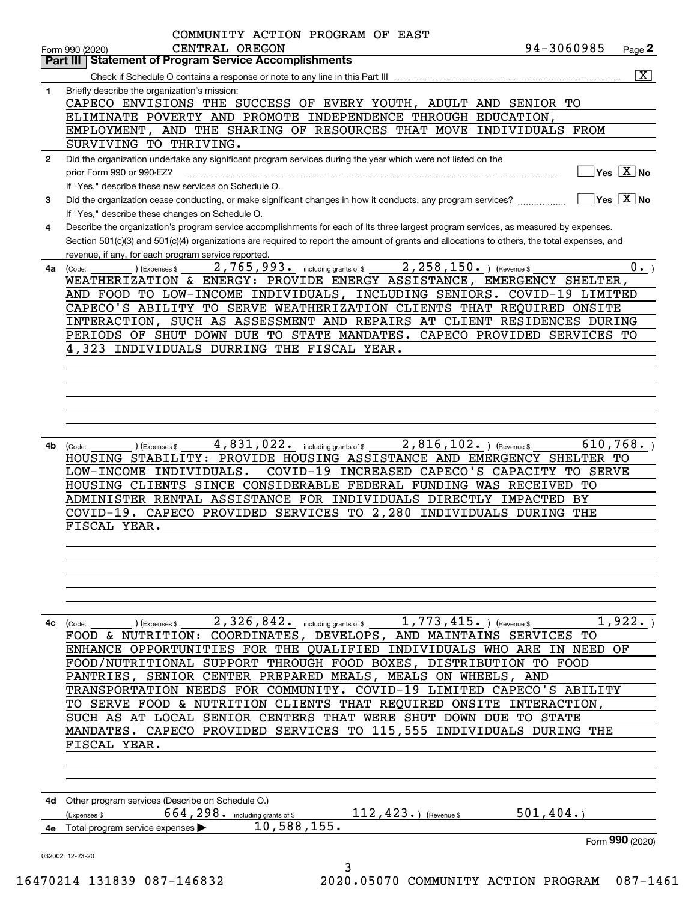|              | COMMUNITY ACTION PROGRAM OF EAST                                                                                                                          |
|--------------|-----------------------------------------------------------------------------------------------------------------------------------------------------------|
|              | 94-3060985<br>CENTRAL OREGON<br>Page 2<br>Form 990 (2020)                                                                                                 |
|              | <b>Statement of Program Service Accomplishments</b><br>Part III                                                                                           |
|              | $\overline{\mathbf{x}}$<br>Check if Schedule O contains a response or note to any line in this Part III                                                   |
| 1            | Briefly describe the organization's mission:                                                                                                              |
|              | CAPECO ENVISIONS THE SUCCESS OF EVERY YOUTH, ADULT AND SENIOR TO                                                                                          |
|              | ELIMINATE POVERTY AND PROMOTE INDEPENDENCE THROUGH EDUCATION,                                                                                             |
|              | EMPLOYMENT, AND THE SHARING OF RESOURCES THAT MOVE INDIVIDUALS FROM                                                                                       |
|              | SURVIVING TO THRIVING.                                                                                                                                    |
| $\mathbf{2}$ | Did the organization undertake any significant program services during the year which were not listed on the                                              |
|              | $\sqrt{}$ Yes $\sqrt{}$ X $\sqrt{}$ No<br>prior Form 990 or 990-EZ?                                                                                       |
|              | If "Yes," describe these new services on Schedule O.                                                                                                      |
| 3            | $\overline{\ }$ Yes $\overline{\ \ X}$ No<br>Did the organization cease conducting, or make significant changes in how it conducts, any program services? |
|              | If "Yes," describe these changes on Schedule O.                                                                                                           |
| 4            | Describe the organization's program service accomplishments for each of its three largest program services, as measured by expenses.                      |
|              | Section 501(c)(3) and 501(c)(4) organizations are required to report the amount of grants and allocations to others, the total expenses, and              |
|              | revenue, if any, for each program service reported.                                                                                                       |
| 4a           | 2,765,993. including grants of \$2,258,150. (Revenue \$<br>$0 \cdot$ )<br>(Code:<br>) (Expenses \$                                                        |
|              | WEATHERIZATION & ENERGY: PROVIDE ENERGY ASSISTANCE, EMERGENCY SHELTER                                                                                     |
|              | AND FOOD TO LOW-INCOME INDIVIDUALS, INCLUDING SENIORS. COVID-19 LIMITED                                                                                   |
|              | CAPECO'S ABILITY TO SERVE WEATHERIZATION CLIENTS THAT REQUIRED ONSITE                                                                                     |
|              | INTERACTION, SUCH AS ASSESSMENT AND REPAIRS AT CLIENT RESIDENCES DURING                                                                                   |
|              | PERIODS OF SHUT DOWN DUE TO STATE MANDATES. CAPECO PROVIDED SERVICES TO                                                                                   |
|              | 4,323 INDIVIDUALS DURRING THE FISCAL YEAR.                                                                                                                |
|              |                                                                                                                                                           |
|              |                                                                                                                                                           |
|              |                                                                                                                                                           |
|              |                                                                                                                                                           |
|              |                                                                                                                                                           |
|              |                                                                                                                                                           |
| 4b           | 4,831,022. including grants of \$2,816,102. ) (Revenue \$<br>610, 768.<br>(Code:<br>(Expenses \$                                                          |
|              | HOUSING STABILITY: PROVIDE HOUSING ASSISTANCE AND EMERGENCY SHELTER TO                                                                                    |
|              | COVID-19 INCREASED CAPECO'S CAPACITY TO SERVE<br>LOW-INCOME INDIVIDUALS.                                                                                  |
|              | HOUSING CLIENTS SINCE CONSIDERABLE FEDERAL FUNDING WAS RECEIVED TO                                                                                        |
|              | ADMINISTER RENTAL ASSISTANCE FOR INDIVIDUALS DIRECTLY IMPACTED BY                                                                                         |
|              | COVID-19. CAPECO PROVIDED SERVICES TO 2,280 INDIVIDUALS DURING THE                                                                                        |
|              | FISCAL YEAR.                                                                                                                                              |
|              |                                                                                                                                                           |
|              |                                                                                                                                                           |
|              |                                                                                                                                                           |
|              |                                                                                                                                                           |
|              |                                                                                                                                                           |
|              |                                                                                                                                                           |
| 4c           | $2,326,842$ . including grants of $$1,773,415.$ ) (Revenue \$<br>1,922.<br>) (Expenses \$<br>(Code:                                                       |
|              | FOOD & NUTRITION: COORDINATES, DEVELOPS, AND MAINTAINS SERVICES TO                                                                                        |
|              | ENHANCE OPPORTUNITIES FOR THE QUALIFIED INDIVIDUALS WHO ARE<br>IN NEED OF                                                                                 |
|              | FOOD/NUTRITIONAL SUPPORT THROUGH FOOD BOXES,<br>DISTRIBUTION TO FOOD                                                                                      |
|              | SENIOR CENTER PREPARED MEALS, MEALS ON WHEELS, AND<br>PANTRIES.                                                                                           |
|              | TRANSPORTATION NEEDS FOR COMMUNITY.<br>COVID-19 LIMITED CAPECO'S ABILITY                                                                                  |
|              | TO SERVE FOOD & NUTRITION CLIENTS THAT REQUIRED ONSITE INTERACTION,                                                                                       |
|              | SUCH AS AT LOCAL SENIOR CENTERS THAT WERE SHUT DOWN DUE TO STATE                                                                                          |
|              | CAPECO PROVIDED SERVICES TO 115,555 INDIVIDUALS DURING THE<br>MANDATES.                                                                                   |
|              | FISCAL YEAR.                                                                                                                                              |
|              |                                                                                                                                                           |
|              |                                                                                                                                                           |
|              |                                                                                                                                                           |
|              |                                                                                                                                                           |
|              | 4d Other program services (Describe on Schedule O.)<br>501, 404.<br>664, 298. including grants of \$112, 423.) (Revenue \$                                |
|              | (Expenses \$<br>10,588,155.                                                                                                                               |
|              | 4e Total program service expenses<br>Form 990 (2020)                                                                                                      |
|              |                                                                                                                                                           |
|              | 032002 12-23-20<br>3                                                                                                                                      |
|              | 70014 101000 007 146000<br>2020 AEAZA COMMITMENT                                                                                                          |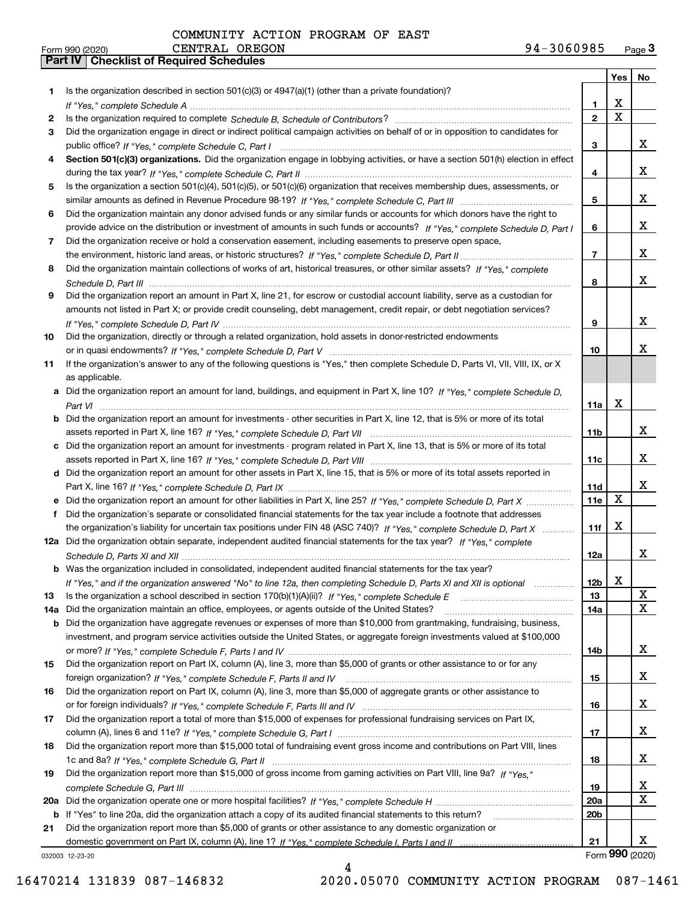| COMMUNITY ACTION PROGRAM OF EAST |
|----------------------------------|
|----------------------------------|

|     |                                                                                                                                                                                                                                                   |                 | Yes $ $     | No              |
|-----|---------------------------------------------------------------------------------------------------------------------------------------------------------------------------------------------------------------------------------------------------|-----------------|-------------|-----------------|
| 1   | Is the organization described in section $501(c)(3)$ or $4947(a)(1)$ (other than a private foundation)?                                                                                                                                           |                 |             |                 |
|     |                                                                                                                                                                                                                                                   | 1               | х           |                 |
| 2   |                                                                                                                                                                                                                                                   | $\overline{2}$  | $\mathbf X$ |                 |
| 3   | Did the organization engage in direct or indirect political campaign activities on behalf of or in opposition to candidates for                                                                                                                   |                 |             |                 |
|     |                                                                                                                                                                                                                                                   | 3               |             | X.              |
| 4   | Section 501(c)(3) organizations. Did the organization engage in lobbying activities, or have a section 501(h) election in effect                                                                                                                  |                 |             |                 |
|     |                                                                                                                                                                                                                                                   | 4               |             | X.              |
| 5   | Is the organization a section 501(c)(4), 501(c)(5), or 501(c)(6) organization that receives membership dues, assessments, or                                                                                                                      |                 |             |                 |
|     |                                                                                                                                                                                                                                                   | 5               |             | X.              |
| 6   | Did the organization maintain any donor advised funds or any similar funds or accounts for which donors have the right to                                                                                                                         |                 |             |                 |
|     | provide advice on the distribution or investment of amounts in such funds or accounts? If "Yes," complete Schedule D, Part I                                                                                                                      | 6               |             | X.              |
| 7   | Did the organization receive or hold a conservation easement, including easements to preserve open space,                                                                                                                                         |                 |             |                 |
|     |                                                                                                                                                                                                                                                   | $\overline{7}$  |             | x               |
| 8   | Did the organization maintain collections of works of art, historical treasures, or other similar assets? If "Yes," complete                                                                                                                      |                 |             |                 |
|     |                                                                                                                                                                                                                                                   | 8               |             | x               |
| 9   | Did the organization report an amount in Part X, line 21, for escrow or custodial account liability, serve as a custodian for                                                                                                                     |                 |             |                 |
|     | amounts not listed in Part X; or provide credit counseling, debt management, credit repair, or debt negotiation services?                                                                                                                         |                 |             |                 |
|     |                                                                                                                                                                                                                                                   | 9               |             | x               |
| 10  | Did the organization, directly or through a related organization, hold assets in donor-restricted endowments                                                                                                                                      |                 |             |                 |
|     |                                                                                                                                                                                                                                                   | 10              |             | x.              |
| 11  | If the organization's answer to any of the following questions is "Yes," then complete Schedule D, Parts VI, VII, VIII, IX, or X                                                                                                                  |                 |             |                 |
|     | as applicable.                                                                                                                                                                                                                                    |                 |             |                 |
|     | Did the organization report an amount for land, buildings, and equipment in Part X, line 10? If "Yes," complete Schedule D,                                                                                                                       |                 |             |                 |
|     |                                                                                                                                                                                                                                                   | 11a             | x           |                 |
| b   | Did the organization report an amount for investments - other securities in Part X, line 12, that is 5% or more of its total                                                                                                                      |                 |             |                 |
|     |                                                                                                                                                                                                                                                   | 11b             |             | X.              |
| c   | Did the organization report an amount for investments - program related in Part X, line 13, that is 5% or more of its total                                                                                                                       |                 |             |                 |
|     |                                                                                                                                                                                                                                                   | 11c             |             | X.              |
|     | d Did the organization report an amount for other assets in Part X, line 15, that is 5% or more of its total assets reported in                                                                                                                   |                 |             | x               |
|     |                                                                                                                                                                                                                                                   | 11d             | X           |                 |
|     | Did the organization report an amount for other liabilities in Part X, line 25? If "Yes," complete Schedule D, Part X                                                                                                                             | 11e             |             |                 |
| f   | Did the organization's separate or consolidated financial statements for the tax year include a footnote that addresses                                                                                                                           |                 | X           |                 |
|     | the organization's liability for uncertain tax positions under FIN 48 (ASC 740)? If "Yes," complete Schedule D, Part X<br>12a Did the organization obtain separate, independent audited financial statements for the tax year? If "Yes," complete | 11f             |             |                 |
|     |                                                                                                                                                                                                                                                   |                 |             | x               |
|     | <b>b</b> Was the organization included in consolidated, independent audited financial statements for the tax year?                                                                                                                                | 12a             |             |                 |
|     |                                                                                                                                                                                                                                                   | 12 <sub>b</sub> | х           |                 |
| 13  | If "Yes," and if the organization answered "No" to line 12a, then completing Schedule D, Parts XI and XII is optional<br>Is the organization a school described in section 170(b)(1)(A)(ii)? If "Yes," complete Schedule E                        | 13              |             | X               |
| 14a | Did the organization maintain an office, employees, or agents outside of the United States?                                                                                                                                                       | <b>14a</b>      |             | X               |
| b   | Did the organization have aggregate revenues or expenses of more than \$10,000 from grantmaking, fundraising, business,                                                                                                                           |                 |             |                 |
|     | investment, and program service activities outside the United States, or aggregate foreign investments valued at \$100,000                                                                                                                        |                 |             |                 |
|     |                                                                                                                                                                                                                                                   | 14b             |             | X.              |
| 15  | Did the organization report on Part IX, column (A), line 3, more than \$5,000 of grants or other assistance to or for any                                                                                                                         |                 |             |                 |
|     |                                                                                                                                                                                                                                                   | 15              |             | X.              |
| 16  | Did the organization report on Part IX, column (A), line 3, more than \$5,000 of aggregate grants or other assistance to                                                                                                                          |                 |             |                 |
|     |                                                                                                                                                                                                                                                   | 16              |             | X,              |
| 17  | Did the organization report a total of more than \$15,000 of expenses for professional fundraising services on Part IX,                                                                                                                           |                 |             |                 |
|     |                                                                                                                                                                                                                                                   | 17              |             | X,              |
| 18  | Did the organization report more than \$15,000 total of fundraising event gross income and contributions on Part VIII, lines                                                                                                                      |                 |             |                 |
|     |                                                                                                                                                                                                                                                   | 18              |             | X.              |
| 19  | Did the organization report more than \$15,000 of gross income from gaming activities on Part VIII, line 9a? If "Yes."                                                                                                                            |                 |             |                 |
|     |                                                                                                                                                                                                                                                   | 19              |             | X               |
| 20a |                                                                                                                                                                                                                                                   | <b>20a</b>      |             | X               |
|     | b If "Yes" to line 20a, did the organization attach a copy of its audited financial statements to this return?                                                                                                                                    | 20 <sub>b</sub> |             |                 |
| 21  | Did the organization report more than \$5,000 of grants or other assistance to any domestic organization or                                                                                                                                       |                 |             |                 |
|     |                                                                                                                                                                                                                                                   | 21              |             | X.              |
|     | 032003 12-23-20                                                                                                                                                                                                                                   |                 |             | Form 990 (2020) |
|     |                                                                                                                                                                                                                                                   |                 |             |                 |

032003 12-23-20

16470214 131839 087-146832 2020.05070 COMMUNITY ACTION PROGRAM 087-1461

4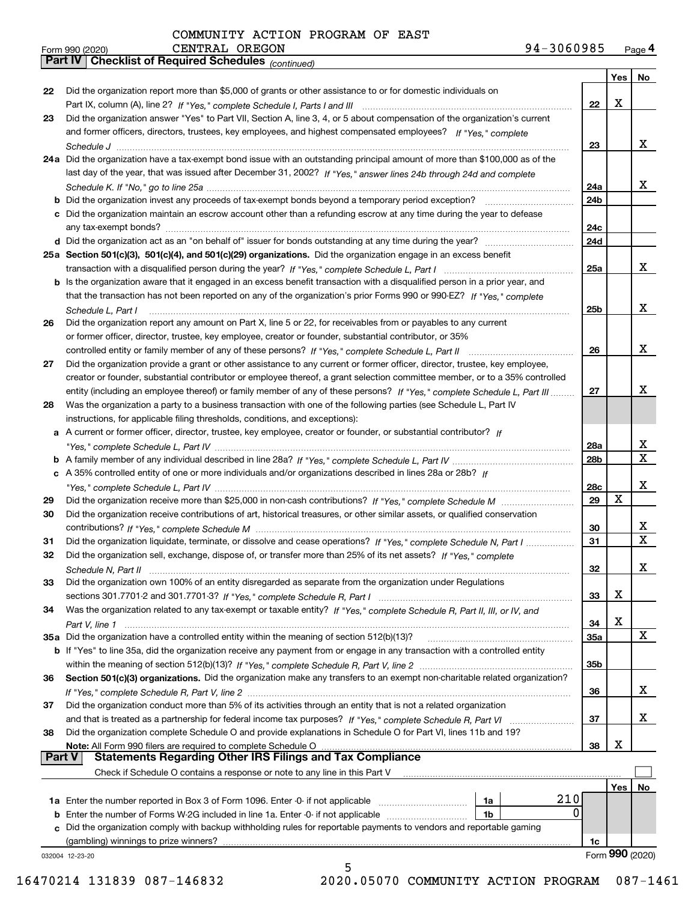*(continued)*

┱

|               |                                                                                                                              |     | Yes | No                      |
|---------------|------------------------------------------------------------------------------------------------------------------------------|-----|-----|-------------------------|
| 22            | Did the organization report more than \$5,000 of grants or other assistance to or for domestic individuals on                |     |     |                         |
|               |                                                                                                                              | 22  | x   |                         |
| 23            | Did the organization answer "Yes" to Part VII, Section A, line 3, 4, or 5 about compensation of the organization's current   |     |     |                         |
|               | and former officers, directors, trustees, key employees, and highest compensated employees? If "Yes," complete               |     |     |                         |
|               |                                                                                                                              | 23  |     | X.                      |
|               | 24a Did the organization have a tax-exempt bond issue with an outstanding principal amount of more than \$100,000 as of the  |     |     |                         |
|               | last day of the year, that was issued after December 31, 2002? If "Yes," answer lines 24b through 24d and complete           |     |     |                         |
|               |                                                                                                                              | 24a |     | X.                      |
|               | b Did the organization invest any proceeds of tax-exempt bonds beyond a temporary period exception?                          | 24b |     |                         |
|               | c Did the organization maintain an escrow account other than a refunding escrow at any time during the year to defease       |     |     |                         |
|               | any tax-exempt bonds?                                                                                                        | 24c |     |                         |
|               | d Did the organization act as an "on behalf of" issuer for bonds outstanding at any time during the year?                    | 24d |     |                         |
|               | 25a Section 501(c)(3), 501(c)(4), and 501(c)(29) organizations. Did the organization engage in an excess benefit             |     |     |                         |
|               |                                                                                                                              | 25a |     | X.                      |
|               | b Is the organization aware that it engaged in an excess benefit transaction with a disqualified person in a prior year, and |     |     |                         |
|               | that the transaction has not been reported on any of the organization's prior Forms 990 or 990-EZ? If "Yes." complete        |     |     |                         |
|               | Schedule L, Part I                                                                                                           | 25b |     | X.                      |
| 26            | Did the organization report any amount on Part X, line 5 or 22, for receivables from or payables to any current              |     |     |                         |
|               | or former officer, director, trustee, key employee, creator or founder, substantial contributor, or 35%                      |     |     |                         |
|               |                                                                                                                              | 26  |     | x                       |
| 27            | Did the organization provide a grant or other assistance to any current or former officer, director, trustee, key employee,  |     |     |                         |
|               | creator or founder, substantial contributor or employee thereof, a grant selection committee member, or to a 35% controlled  |     |     |                         |
|               | entity (including an employee thereof) or family member of any of these persons? If "Yes," complete Schedule L, Part III     | 27  |     | x                       |
| 28            | Was the organization a party to a business transaction with one of the following parties (see Schedule L, Part IV            |     |     |                         |
|               | instructions, for applicable filing thresholds, conditions, and exceptions):                                                 |     |     |                         |
|               | a A current or former officer, director, trustee, key employee, creator or founder, or substantial contributor? If           |     |     |                         |
|               |                                                                                                                              | 28a |     | x                       |
|               |                                                                                                                              | 28b |     | $\mathbf X$             |
|               | c A 35% controlled entity of one or more individuals and/or organizations described in lines 28a or 28b? If                  |     |     |                         |
|               |                                                                                                                              | 28c |     | x                       |
| 29            |                                                                                                                              | 29  | X   |                         |
| 30            | Did the organization receive contributions of art, historical treasures, or other similar assets, or qualified conservation  |     |     |                         |
|               |                                                                                                                              | 30  |     | X.                      |
| 31            | Did the organization liquidate, terminate, or dissolve and cease operations? If "Yes," complete Schedule N, Part I           | 31  |     | $\overline{\mathbf{x}}$ |
| 32            | Did the organization sell, exchange, dispose of, or transfer more than 25% of its net assets? If "Yes," complete             |     |     |                         |
|               |                                                                                                                              | 32  |     | x                       |
| 33            | Did the organization own 100% of an entity disregarded as separate from the organization under Regulations                   |     |     |                         |
|               |                                                                                                                              | 33  | Χ   |                         |
| 34            | Was the organization related to any tax-exempt or taxable entity? If "Yes," complete Schedule R, Part II, III, or IV, and    |     |     |                         |
|               |                                                                                                                              | 34  | X   |                         |
|               | 35a Did the organization have a controlled entity within the meaning of section 512(b)(13)?                                  | 35a |     | X                       |
|               | b If "Yes" to line 35a, did the organization receive any payment from or engage in any transaction with a controlled entity  |     |     |                         |
|               |                                                                                                                              | 35b |     |                         |
| 36            | Section 501(c)(3) organizations. Did the organization make any transfers to an exempt non-charitable related organization?   |     |     |                         |
|               |                                                                                                                              | 36  |     | x                       |
| 37            | Did the organization conduct more than 5% of its activities through an entity that is not a related organization             |     |     |                         |
|               | and that is treated as a partnership for federal income tax purposes? If "Yes," complete Schedule R, Part VI                 | 37  |     | x                       |
| 38            | Did the organization complete Schedule O and provide explanations in Schedule O for Part VI, lines 11b and 19?               |     |     |                         |
|               | Note: All Form 990 filers are required to complete Schedule O                                                                | 38  | X   |                         |
| <b>Part V</b> | <b>Statements Regarding Other IRS Filings and Tax Compliance</b>                                                             |     |     |                         |
|               | Check if Schedule O contains a response or note to any line in this Part V                                                   |     |     |                         |
|               |                                                                                                                              |     | Yes | No                      |
|               | 210<br>1a Enter the number reported in Box 3 of Form 1096. Enter -0- if not applicable<br>1a                                 |     |     |                         |
|               | 0<br><b>b</b> Enter the number of Forms W-2G included in line 1a. Enter -0- if not applicable<br>1b                          |     |     |                         |
|               | c Did the organization comply with backup withholding rules for reportable payments to vendors and reportable gaming         |     |     |                         |
|               | (gambling) winnings to prize winners?                                                                                        | 1c  |     |                         |
|               | 032004 12-23-20                                                                                                              |     |     | Form 990 (2020)         |
|               | 5                                                                                                                            |     |     |                         |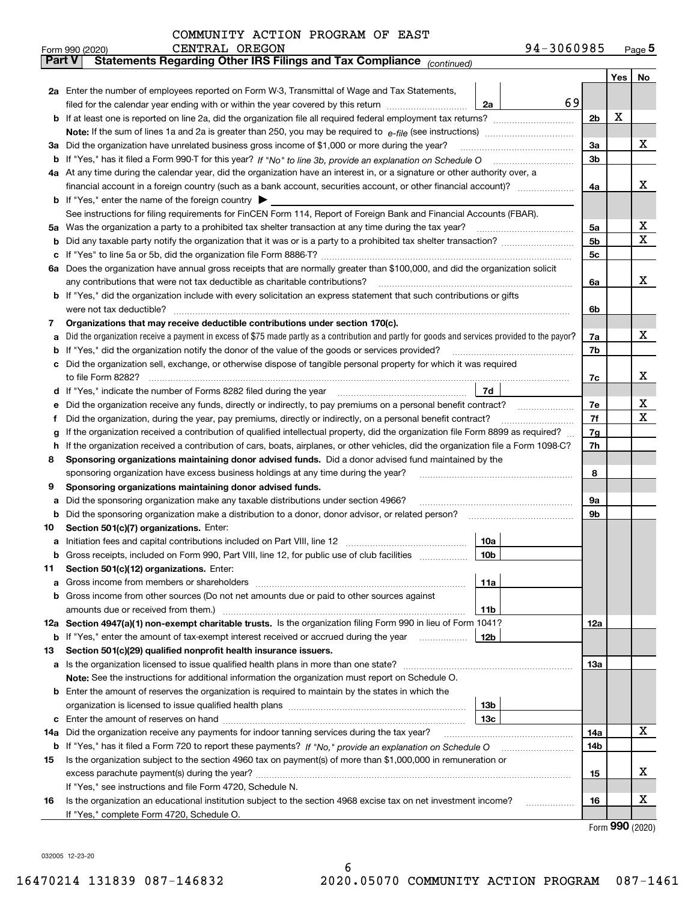| COMMUNITY ACTION PROGRAM OF EAST |
|----------------------------------|
|                                  |

|               | 94-3060985<br>CENTRAL OREGON<br>Form 990 (2020)                                                                                                 |                |     | $Page$ <sup>5</sup> |
|---------------|-------------------------------------------------------------------------------------------------------------------------------------------------|----------------|-----|---------------------|
| <b>Part V</b> | Statements Regarding Other IRS Filings and Tax Compliance (continued)                                                                           |                |     |                     |
|               |                                                                                                                                                 |                | Yes | No                  |
|               | 2a Enter the number of employees reported on Form W-3, Transmittal of Wage and Tax Statements,                                                  |                |     |                     |
|               | 69<br>filed for the calendar year ending with or within the year covered by this return <i>manumumumum</i><br>2a                                |                |     |                     |
|               |                                                                                                                                                 | 2 <sub>b</sub> | Х   |                     |
|               |                                                                                                                                                 |                |     |                     |
| За            | Did the organization have unrelated business gross income of \$1,000 or more during the year?                                                   | 3a             |     | х                   |
|               |                                                                                                                                                 | 3b             |     |                     |
|               | 4a At any time during the calendar year, did the organization have an interest in, or a signature or other authority over, a                    |                |     |                     |
|               |                                                                                                                                                 | 4a             |     | x                   |
|               | <b>b</b> If "Yes," enter the name of the foreign country $\blacktriangleright$                                                                  |                |     |                     |
|               | See instructions for filing requirements for FinCEN Form 114, Report of Foreign Bank and Financial Accounts (FBAR).                             |                |     |                     |
|               |                                                                                                                                                 | 5a             |     | х                   |
|               |                                                                                                                                                 | 5b             |     | х                   |
|               |                                                                                                                                                 | 5c             |     |                     |
|               | 6a Does the organization have annual gross receipts that are normally greater than \$100,000, and did the organization solicit                  |                |     |                     |
|               |                                                                                                                                                 | 6a             |     | х                   |
|               | <b>b</b> If "Yes," did the organization include with every solicitation an express statement that such contributions or gifts                   |                |     |                     |
|               |                                                                                                                                                 |                |     |                     |
|               |                                                                                                                                                 | 6b             |     |                     |
| 7             | Organizations that may receive deductible contributions under section 170(c).                                                                   |                |     | х                   |
| а             | Did the organization receive a payment in excess of \$75 made partly as a contribution and partly for goods and services provided to the payor? | 7a             |     |                     |
|               | <b>b</b> If "Yes," did the organization notify the donor of the value of the goods or services provided?                                        | 7b             |     |                     |
|               | c Did the organization sell, exchange, or otherwise dispose of tangible personal property for which it was required                             |                |     | x                   |
|               |                                                                                                                                                 | 7c             |     |                     |
|               | 7d                                                                                                                                              |                |     |                     |
| е             | Did the organization receive any funds, directly or indirectly, to pay premiums on a personal benefit contract?                                 | 7e             |     | X<br>X              |
| f             | Did the organization, during the year, pay premiums, directly or indirectly, on a personal benefit contract?                                    | 7f             |     |                     |
| g             | If the organization received a contribution of qualified intellectual property, did the organization file Form 8899 as required?                | 7g             |     |                     |
| h.            | If the organization received a contribution of cars, boats, airplanes, or other vehicles, did the organization file a Form 1098-C?              | 7h             |     |                     |
| 8             | Sponsoring organizations maintaining donor advised funds. Did a donor advised fund maintained by the                                            |                |     |                     |
|               | sponsoring organization have excess business holdings at any time during the year?                                                              | 8              |     |                     |
| 9             | Sponsoring organizations maintaining donor advised funds.                                                                                       |                |     |                     |
| а             | Did the sponsoring organization make any taxable distributions under section 4966?                                                              | 9а             |     |                     |
|               | <b>b</b> Did the sponsoring organization make a distribution to a donor, donor advisor, or related person?                                      | 9b             |     |                     |
| 10            | Section 501(c)(7) organizations. Enter:                                                                                                         |                |     |                     |
|               | 10a                                                                                                                                             |                |     |                     |
|               | 10 <sub>b</sub><br>Gross receipts, included on Form 990, Part VIII, line 12, for public use of club facilities                                  |                |     |                     |
| 11            | Section 501(c)(12) organizations. Enter:                                                                                                        |                |     |                     |
|               | a Gross income from members or shareholders<br>11a                                                                                              |                |     |                     |
|               | b Gross income from other sources (Do not net amounts due or paid to other sources against                                                      |                |     |                     |
|               | 11b                                                                                                                                             |                |     |                     |
|               | 12a Section 4947(a)(1) non-exempt charitable trusts. Is the organization filing Form 990 in lieu of Form 1041?                                  | 12a            |     |                     |
|               | 12b<br><b>b</b> If "Yes," enter the amount of tax-exempt interest received or accrued during the year <i>manument</i>                           |                |     |                     |
| 13            | Section 501(c)(29) qualified nonprofit health insurance issuers.                                                                                |                |     |                     |
|               | <b>a</b> Is the organization licensed to issue qualified health plans in more than one state?                                                   | 13а            |     |                     |
|               | Note: See the instructions for additional information the organization must report on Schedule O.                                               |                |     |                     |
|               | <b>b</b> Enter the amount of reserves the organization is required to maintain by the states in which the                                       |                |     |                     |
|               | 13b                                                                                                                                             |                |     |                     |
|               | 13с                                                                                                                                             |                |     |                     |
| 14a           | Did the organization receive any payments for indoor tanning services during the tax year?                                                      | 14a            |     | х                   |
|               | <b>b</b> If "Yes," has it filed a Form 720 to report these payments? If "No," provide an explanation on Schedule O                              | 14b            |     |                     |
| 15            | Is the organization subject to the section 4960 tax on payment(s) of more than \$1,000,000 in remuneration or                                   |                |     |                     |
|               |                                                                                                                                                 | 15             |     | X                   |
|               | If "Yes," see instructions and file Form 4720, Schedule N.                                                                                      |                |     |                     |
| 16            | Is the organization an educational institution subject to the section 4968 excise tax on net investment income?                                 | 16             |     | X                   |
|               | If "Yes," complete Form 4720, Schedule O.                                                                                                       |                |     |                     |

Form (2020) **990**

032005 12-23-20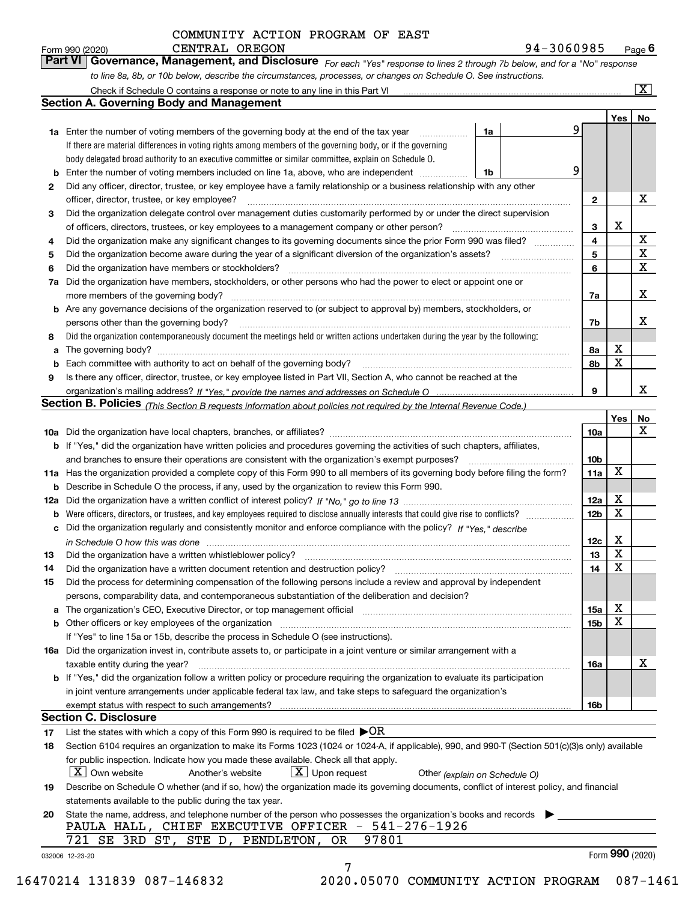*For each "Yes" response to lines 2 through 7b below, and for a "No" response to line 8a, 8b, or 10b below, describe the circumstances, processes, or changes on Schedule O. See instructions.* Form 990 (2020) CENTRAL OREGON<br>**Part VI** | Governance, Management, and Disclosure *For each* "Yes" response to lines 2 through 7b below, and for a "No" response

|    | Check if Schedule O contains a response or note to any line in this Part VI                                                                                                                                                               |    |  |   |                        |                  | $\overline{\textbf{X}}$ |
|----|-------------------------------------------------------------------------------------------------------------------------------------------------------------------------------------------------------------------------------------------|----|--|---|------------------------|------------------|-------------------------|
|    | Section A. Governing Body and Management                                                                                                                                                                                                  |    |  |   |                        |                  |                         |
|    |                                                                                                                                                                                                                                           |    |  |   |                        | Yes              | No                      |
|    | <b>1a</b> Enter the number of voting members of the governing body at the end of the tax year<br>.                                                                                                                                        | 1a |  | 9 |                        |                  |                         |
|    | If there are material differences in voting rights among members of the governing body, or if the governing                                                                                                                               |    |  |   |                        |                  |                         |
|    | body delegated broad authority to an executive committee or similar committee, explain on Schedule O.                                                                                                                                     |    |  |   |                        |                  |                         |
| b  | 9<br>Enter the number of voting members included on line 1a, above, who are independent<br>1b                                                                                                                                             |    |  |   |                        |                  |                         |
| 2  | Did any officer, director, trustee, or key employee have a family relationship or a business relationship with any other                                                                                                                  |    |  |   |                        |                  |                         |
|    | officer, director, trustee, or key employee?                                                                                                                                                                                              |    |  |   | $\mathbf{2}$           |                  | X                       |
| 3  | Did the organization delegate control over management duties customarily performed by or under the direct supervision                                                                                                                     |    |  |   |                        |                  |                         |
|    | of officers, directors, trustees, or key employees to a management company or other person?                                                                                                                                               |    |  |   | 3                      | х                |                         |
| 4  | Did the organization make any significant changes to its governing documents since the prior Form 990 was filed?                                                                                                                          |    |  |   | 4                      |                  | X                       |
| 5  | Did the organization become aware during the year of a significant diversion of the organization's assets?                                                                                                                                |    |  |   | 5                      |                  | $\overline{\mathbf{x}}$ |
| 6  | Did the organization have members or stockholders?                                                                                                                                                                                        |    |  |   | 6                      |                  | $\mathbf X$             |
| 7a | Did the organization have members, stockholders, or other persons who had the power to elect or appoint one or                                                                                                                            |    |  |   |                        |                  |                         |
|    | more members of the governing body?                                                                                                                                                                                                       |    |  |   | 7a                     |                  | х                       |
|    | <b>b</b> Are any governance decisions of the organization reserved to (or subject to approval by) members, stockholders, or                                                                                                               |    |  |   |                        |                  |                         |
|    | persons other than the governing body?                                                                                                                                                                                                    |    |  |   | 7b                     |                  | х                       |
| 8  | Did the organization contemporaneously document the meetings held or written actions undertaken during the year by the following:                                                                                                         |    |  |   |                        |                  |                         |
| a  | The governing body?                                                                                                                                                                                                                       |    |  |   | 8а                     | Χ                |                         |
| b  | Each committee with authority to act on behalf of the governing body?                                                                                                                                                                     |    |  |   | 8b                     | X                |                         |
| 9  | Is there any officer, director, trustee, or key employee listed in Part VII, Section A, who cannot be reached at the                                                                                                                      |    |  |   |                        |                  |                         |
|    |                                                                                                                                                                                                                                           |    |  |   | 9                      |                  | х                       |
|    | Section B. Policies <sub>(This Section B requests information about policies not required by the Internal Revenue Code.)</sub>                                                                                                            |    |  |   |                        |                  |                         |
|    |                                                                                                                                                                                                                                           |    |  |   |                        | Yes <sub>1</sub> | No                      |
|    |                                                                                                                                                                                                                                           |    |  |   | 10a                    |                  | x                       |
|    | <b>b</b> If "Yes," did the organization have written policies and procedures governing the activities of such chapters, affiliates,                                                                                                       |    |  |   |                        |                  |                         |
|    | and branches to ensure their operations are consistent with the organization's exempt purposes?                                                                                                                                           |    |  |   | 10 <sub>b</sub><br>11a | х                |                         |
|    | 11a Has the organization provided a complete copy of this Form 990 to all members of its governing body before filing the form?<br><b>b</b> Describe in Schedule O the process, if any, used by the organization to review this Form 990. |    |  |   |                        |                  |                         |
|    |                                                                                                                                                                                                                                           |    |  |   | 12a                    | х                |                         |
|    |                                                                                                                                                                                                                                           |    |  |   | 12 <sub>b</sub>        | X                |                         |
|    | c Did the organization regularly and consistently monitor and enforce compliance with the policy? If "Yes," describe                                                                                                                      |    |  |   |                        |                  |                         |
|    |                                                                                                                                                                                                                                           |    |  |   | 12c                    | х                |                         |
| 13 | Did the organization have a written whistleblower policy?                                                                                                                                                                                 |    |  |   | 13                     | X                |                         |
| 14 | Did the organization have a written document retention and destruction policy?                                                                                                                                                            |    |  |   | 14                     | X                |                         |
| 15 | Did the process for determining compensation of the following persons include a review and approval by independent                                                                                                                        |    |  |   |                        |                  |                         |
|    | persons, comparability data, and contemporaneous substantiation of the deliberation and decision?                                                                                                                                         |    |  |   |                        |                  |                         |
|    | a The organization's CEO, Executive Director, or top management official manufactured content content of the organization's CEO, Executive Director, or top management official manufactured content of the state of the state            |    |  |   | 15a                    | х                |                         |
|    | b Other officers or key employees of the organization manufactured content to the organization manufactured content of the organization manufactured content of the organization manufactured content of the organization manu            |    |  |   | 15b                    | X                |                         |
|    | If "Yes" to line 15a or 15b, describe the process in Schedule O (see instructions).                                                                                                                                                       |    |  |   |                        |                  |                         |
|    | 16a Did the organization invest in, contribute assets to, or participate in a joint venture or similar arrangement with a                                                                                                                 |    |  |   |                        |                  |                         |
|    | taxable entity during the year?                                                                                                                                                                                                           |    |  |   | 16a                    |                  | х                       |
|    | b If "Yes," did the organization follow a written policy or procedure requiring the organization to evaluate its participation                                                                                                            |    |  |   |                        |                  |                         |
|    | in joint venture arrangements under applicable federal tax law, and take steps to safeguard the organization's                                                                                                                            |    |  |   |                        |                  |                         |
|    |                                                                                                                                                                                                                                           |    |  |   | 16b                    |                  |                         |
|    | Section C. Disclosure                                                                                                                                                                                                                     |    |  |   |                        |                  |                         |
| 17 | List the states with which a copy of this Form 990 is required to be filed $\blacktriangleright$ OR                                                                                                                                       |    |  |   |                        |                  |                         |
| 18 | Section 6104 requires an organization to make its Forms 1023 (1024 or 1024-A, if applicable), 990, and 990-T (Section 501(c)(3)s only) available<br>for public inspection. Indicate how you made these available. Check all that apply.   |    |  |   |                        |                  |                         |
|    | X Own website<br>$ \mathbf{X} $ Upon request<br>Another's website                                                                                                                                                                         |    |  |   |                        |                  |                         |
| 19 | Other (explain on Schedule O)<br>Describe on Schedule O whether (and if so, how) the organization made its governing documents, conflict of interest policy, and financial                                                                |    |  |   |                        |                  |                         |
|    | statements available to the public during the tax year.                                                                                                                                                                                   |    |  |   |                        |                  |                         |
| 20 | State the name, address, and telephone number of the person who possesses the organization's books and records                                                                                                                            |    |  |   |                        |                  |                         |
|    | PAULA HALL, CHIEF EXECUTIVE OFFICER - 541-276-1926                                                                                                                                                                                        |    |  |   |                        |                  |                         |
|    | 97801<br>721<br>SE 3RD ST, STE D, PENDLETON,<br>OR.                                                                                                                                                                                       |    |  |   |                        |                  |                         |
|    | 032006 12-23-20                                                                                                                                                                                                                           |    |  |   |                        |                  | Form 990 (2020)         |
|    |                                                                                                                                                                                                                                           |    |  |   |                        |                  |                         |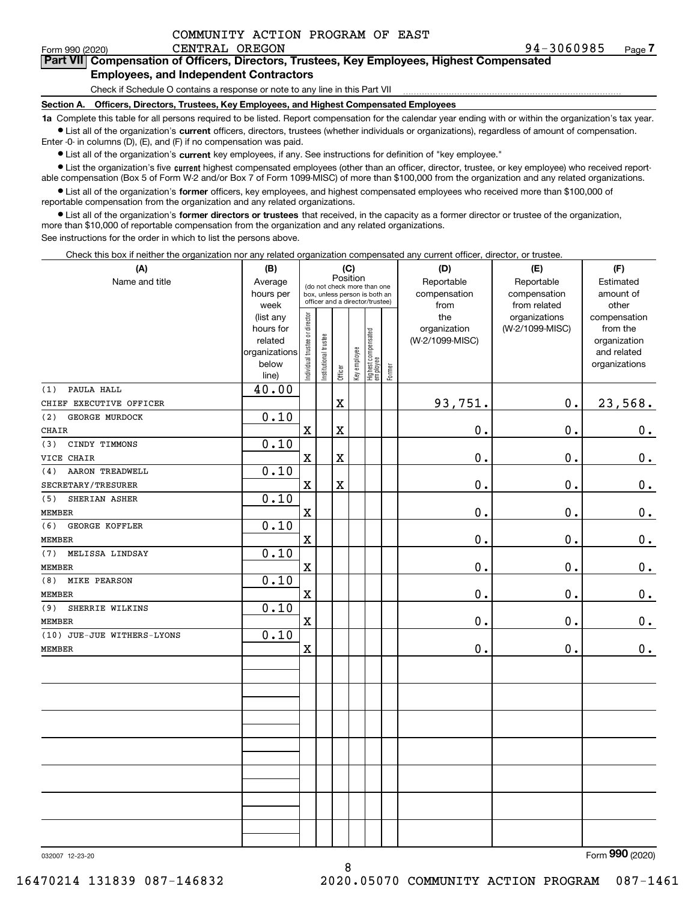#### Form 990 (2020) CENTRAL OREGON 9 4-3 0 6 0 9 8 5 <sub>Page</sub> **7Part VII Compensation of Officers, Directors, Trustees, Key Employees, Highest Compensated Employees, and Independent Contractors**

#### Check if Schedule O contains a response or note to any line in this Part VII

**Section A. Officers, Directors, Trustees, Key Employees, and Highest Compensated Employees**

**1a**  Complete this table for all persons required to be listed. Report compensation for the calendar year ending with or within the organization's tax year. **•** List all of the organization's current officers, directors, trustees (whether individuals or organizations), regardless of amount of compensation.

Enter -0- in columns (D), (E), and (F) if no compensation was paid.

● List all of the organization's **current** key employees, if any. See instructions for definition of "key employee."<br>● List the organization's five current bighest compensated employees (other than an officer, director, t

**Example is the organization's five current highest compensated employees (other than an officer, director, trustee, or key employee) who received report-**■ List the organization's five current highest compensated employees (other than an officer, director, trustee, or key employee) who received report-<br>able compensation (Box 5 of Form W-2 and/or Box 7 of Form 1099-MISC) of

**•** List all of the organization's former officers, key employees, and highest compensated employees who received more than \$100,000 of reportable compensation from the organization and any related organizations.

**former directors or trustees**  ¥ List all of the organization's that received, in the capacity as a former director or trustee of the organization, more than \$10,000 of reportable compensation from the organization and any related organizations.

See instructions for the order in which to list the persons above.

Check this box if neither the organization nor any related organization compensated any current officer, director, or trustee.

| (A)                          | (B)                  |                               |                                                                          | (C)                             |              |                                   |              | (D)                        | (E)                        | (F)                    |
|------------------------------|----------------------|-------------------------------|--------------------------------------------------------------------------|---------------------------------|--------------|-----------------------------------|--------------|----------------------------|----------------------------|------------------------|
| Name and title               | Average<br>hours per |                               | Position<br>(do not check more than one<br>box, unless person is both an |                                 |              |                                   |              | Reportable<br>compensation | Reportable<br>compensation | Estimated<br>amount of |
|                              | week                 |                               |                                                                          | officer and a director/trustee) |              | from                              | from related | other                      |                            |                        |
|                              | (list any            |                               |                                                                          |                                 |              |                                   |              | the                        | organizations              | compensation           |
|                              | hours for            |                               |                                                                          |                                 |              |                                   |              | organization               | (W-2/1099-MISC)            | from the               |
|                              | related              |                               |                                                                          |                                 |              |                                   |              | (W-2/1099-MISC)            |                            | organization           |
|                              | organizations        |                               |                                                                          |                                 |              |                                   |              |                            |                            | and related            |
|                              | below                | ndividual trustee or director | nstitutional trustee                                                     | Officer                         | Key employee | Highest compensated<br>  employee | Former       |                            |                            | organizations          |
| PAULA HALL<br>(1)            | line)<br>40.00       |                               |                                                                          |                                 |              |                                   |              |                            |                            |                        |
| CHIEF EXECUTIVE OFFICER      |                      |                               |                                                                          | $\overline{\textbf{X}}$         |              |                                   |              | 93,751.                    | 0.                         | 23,568.                |
| <b>GEORGE MURDOCK</b><br>(2) | 0.10                 |                               |                                                                          |                                 |              |                                   |              |                            |                            |                        |
| CHAIR                        |                      | $\mathbf X$                   |                                                                          | $\overline{\textbf{X}}$         |              |                                   |              | $\mathbf 0$ .              | 0.                         | $\mathbf 0$ .          |
| CINDY TIMMONS<br>(3)         | 0.10                 |                               |                                                                          |                                 |              |                                   |              |                            |                            |                        |
| VICE CHAIR                   |                      | $\mathbf X$                   |                                                                          | $\mathbf x$                     |              |                                   |              | $\mathbf 0$ .              | 0.                         | $\mathbf 0$ .          |
| AARON TREADWELL<br>(4)       | 0.10                 |                               |                                                                          |                                 |              |                                   |              |                            |                            |                        |
| SECRETARY/TRESURER           |                      | $\mathbf X$                   |                                                                          | $\overline{\textbf{X}}$         |              |                                   |              | $\mathbf 0$ .              | 0.                         | $\mathbf 0$ .          |
| SHERIAN ASHER<br>(5)         | 0.10                 |                               |                                                                          |                                 |              |                                   |              |                            |                            |                        |
| <b>MEMBER</b>                |                      | $\mathbf X$                   |                                                                          |                                 |              |                                   |              | $\mathbf 0$ .              | 0.                         | 0.                     |
| (6)<br><b>GEORGE KOFFLER</b> | 0.10                 |                               |                                                                          |                                 |              |                                   |              |                            |                            |                        |
| <b>MEMBER</b>                |                      | $\overline{\mathbf{X}}$       |                                                                          |                                 |              |                                   |              | $\mathbf 0$ .              | 0.                         | $\mathbf 0$ .          |
| MELISSA LINDSAY<br>(7)       | 0.10                 |                               |                                                                          |                                 |              |                                   |              |                            |                            |                        |
| <b>MEMBER</b>                |                      | $\mathbf X$                   |                                                                          |                                 |              |                                   |              | $\mathbf 0$ .              | 0.                         | $\mathbf 0$ .          |
| (8)<br><b>MIKE PEARSON</b>   | 0.10                 |                               |                                                                          |                                 |              |                                   |              |                            |                            |                        |
| <b>MEMBER</b>                |                      | $\mathbf X$                   |                                                                          |                                 |              |                                   |              | $\mathbf 0$ .              | 0.                         | $\mathbf 0$ .          |
| (9)<br>SHERRIE WILKINS       | 0.10                 |                               |                                                                          |                                 |              |                                   |              |                            |                            |                        |
| <b>MEMBER</b>                |                      | $\mathbf X$                   |                                                                          |                                 |              |                                   |              | $\mathbf 0$ .              | 0.                         | $\mathbf 0$ .          |
| (10) JUE-JUE WITHERS-LYONS   | 0.10                 |                               |                                                                          |                                 |              |                                   |              |                            |                            |                        |
| <b>MEMBER</b>                |                      | $\mathbf X$                   |                                                                          |                                 |              |                                   |              | 0.                         | 0.                         | $\mathbf 0$ .          |
|                              |                      |                               |                                                                          |                                 |              |                                   |              |                            |                            |                        |
|                              |                      |                               |                                                                          |                                 |              |                                   |              |                            |                            |                        |
|                              |                      |                               |                                                                          |                                 |              |                                   |              |                            |                            |                        |
|                              |                      |                               |                                                                          |                                 |              |                                   |              |                            |                            |                        |
|                              |                      |                               |                                                                          |                                 |              |                                   |              |                            |                            |                        |
|                              |                      |                               |                                                                          |                                 |              |                                   |              |                            |                            |                        |
|                              |                      |                               |                                                                          |                                 |              |                                   |              |                            |                            |                        |
|                              |                      |                               |                                                                          |                                 |              |                                   |              |                            |                            |                        |
|                              |                      |                               |                                                                          |                                 |              |                                   |              |                            |                            |                        |
|                              |                      |                               |                                                                          |                                 |              |                                   |              |                            |                            |                        |
|                              |                      |                               |                                                                          |                                 |              |                                   |              |                            |                            |                        |
|                              |                      |                               |                                                                          |                                 |              |                                   |              |                            |                            |                        |

032007 12-23-20

Form (2020) **990**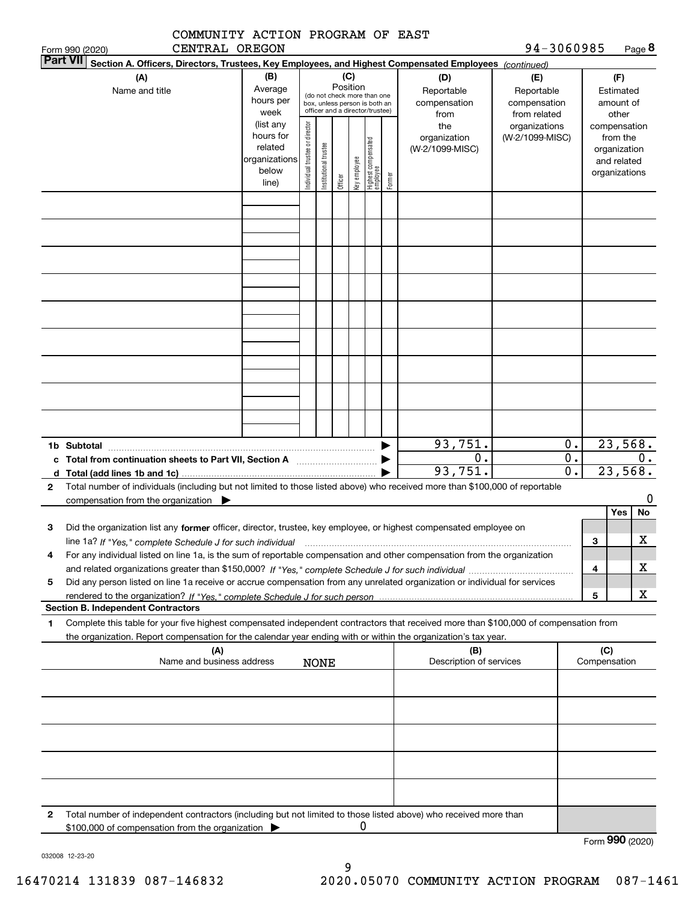|              | COMMUNITY ACTION PROGRAM OF EAST                                                                                                                                                                                                          |                                                                      |                                |                       |                 |              |                                                                                                 |        |                                                |                                                  |                                      |                 |                                                                   |             |
|--------------|-------------------------------------------------------------------------------------------------------------------------------------------------------------------------------------------------------------------------------------------|----------------------------------------------------------------------|--------------------------------|-----------------------|-----------------|--------------|-------------------------------------------------------------------------------------------------|--------|------------------------------------------------|--------------------------------------------------|--------------------------------------|-----------------|-------------------------------------------------------------------|-------------|
|              | CENTRAL OREGON<br>Form 990 (2020)<br><b>Part VII</b>                                                                                                                                                                                      |                                                                      |                                |                       |                 |              |                                                                                                 |        |                                                | 94-3060985                                       |                                      |                 |                                                                   | Page 8      |
|              | Section A. Officers, Directors, Trustees, Key Employees, and Highest Compensated Employees (continued)<br>(A)<br>Name and title                                                                                                           | (B)<br>Average<br>hours per<br>week                                  |                                |                       | (C)<br>Position |              | (do not check more than one<br>box, unless person is both an<br>officer and a director/trustee) |        | (D)<br>Reportable<br>compensation              | (E)<br>Reportable<br>compensation                |                                      |                 | (F)<br>Estimated<br>amount of                                     |             |
|              |                                                                                                                                                                                                                                           | (list any<br>hours for<br>related<br>organizations<br>below<br>line) | Individual trustee or director | Institutional trustee | Officer         | Key employee | Highest compensated<br>employee                                                                 | Former | from<br>the<br>organization<br>(W-2/1099-MISC) | from related<br>organizations<br>(W-2/1099-MISC) |                                      | compensation    | other<br>from the<br>organization<br>and related<br>organizations |             |
|              |                                                                                                                                                                                                                                           |                                                                      |                                |                       |                 |              |                                                                                                 |        |                                                |                                                  |                                      |                 |                                                                   |             |
|              |                                                                                                                                                                                                                                           |                                                                      |                                |                       |                 |              |                                                                                                 |        |                                                |                                                  |                                      |                 |                                                                   |             |
|              |                                                                                                                                                                                                                                           |                                                                      |                                |                       |                 |              |                                                                                                 |        |                                                |                                                  |                                      |                 |                                                                   |             |
|              |                                                                                                                                                                                                                                           |                                                                      |                                |                       |                 |              |                                                                                                 |        |                                                |                                                  |                                      |                 |                                                                   |             |
|              | 1b Subtotal                                                                                                                                                                                                                               |                                                                      |                                |                       |                 |              |                                                                                                 |        | 93,751.                                        |                                                  | 0.                                   |                 |                                                                   | 23,568.     |
|              | d $Total (add lines 1b and 1c)$ .                                                                                                                                                                                                         |                                                                      |                                |                       |                 |              |                                                                                                 |        | $\overline{0}$ .<br>93,751.                    |                                                  | $\overline{0}$ .<br>$\overline{0}$ . |                 | 23,568.                                                           | 0.          |
| $\mathbf{2}$ | Total number of individuals (including but not limited to those listed above) who received more than \$100,000 of reportable<br>compensation from the organization                                                                        |                                                                      |                                |                       |                 |              |                                                                                                 |        |                                                |                                                  |                                      |                 |                                                                   | 0           |
| з            | Did the organization list any former officer, director, trustee, key employee, or highest compensated employee on                                                                                                                         |                                                                      |                                |                       |                 |              |                                                                                                 |        |                                                |                                                  |                                      |                 | Yes                                                               | No          |
| 4            | line 1a? If "Yes," complete Schedule J for such individual manumental content content from the content of the<br>For any individual listed on line 1a, is the sum of reportable compensation and other compensation from the organization |                                                                      |                                |                       |                 |              |                                                                                                 |        |                                                |                                                  |                                      | 3               |                                                                   | $\mathbf X$ |
| 5            | Did any person listed on line 1a receive or accrue compensation from any unrelated organization or individual for services                                                                                                                |                                                                      |                                |                       |                 |              |                                                                                                 |        |                                                |                                                  |                                      | 4               |                                                                   | x.          |
|              | <b>Section B. Independent Contractors</b>                                                                                                                                                                                                 |                                                                      |                                |                       |                 |              |                                                                                                 |        |                                                |                                                  |                                      | 5               |                                                                   | x           |
| 1            | Complete this table for your five highest compensated independent contractors that received more than \$100,000 of compensation from                                                                                                      |                                                                      |                                |                       |                 |              |                                                                                                 |        |                                                |                                                  |                                      |                 |                                                                   |             |
|              | the organization. Report compensation for the calendar year ending with or within the organization's tax year.<br>(A)                                                                                                                     |                                                                      |                                |                       |                 |              |                                                                                                 |        | (B)                                            |                                                  |                                      | (C)             |                                                                   |             |
|              | Name and business address                                                                                                                                                                                                                 |                                                                      |                                | <b>NONE</b>           |                 |              |                                                                                                 |        | Description of services                        |                                                  |                                      | Compensation    |                                                                   |             |
|              |                                                                                                                                                                                                                                           |                                                                      |                                |                       |                 |              |                                                                                                 |        |                                                |                                                  |                                      |                 |                                                                   |             |
|              |                                                                                                                                                                                                                                           |                                                                      |                                |                       |                 |              |                                                                                                 |        |                                                |                                                  |                                      |                 |                                                                   |             |
|              |                                                                                                                                                                                                                                           |                                                                      |                                |                       |                 |              |                                                                                                 |        |                                                |                                                  |                                      |                 |                                                                   |             |
|              |                                                                                                                                                                                                                                           |                                                                      |                                |                       |                 |              |                                                                                                 |        |                                                |                                                  |                                      |                 |                                                                   |             |
| 2            | Total number of independent contractors (including but not limited to those listed above) who received more than<br>\$100,000 of compensation from the organization                                                                       |                                                                      |                                |                       |                 | 0            |                                                                                                 |        |                                                |                                                  |                                      |                 |                                                                   |             |
|              |                                                                                                                                                                                                                                           |                                                                      |                                |                       |                 |              |                                                                                                 |        |                                                |                                                  |                                      | Form 990 (2020) |                                                                   |             |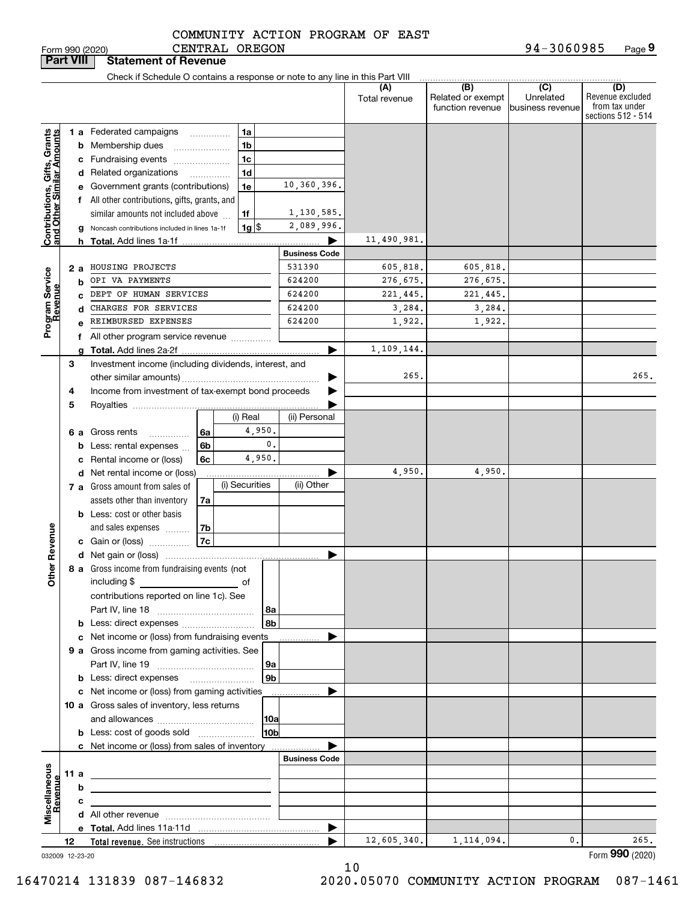|  | ∪∪⊔⊔        |
|--|-------------|
|  | $\sim$ TRTI |

**Part VIII Statement of Revenue**

## COMMUNITY ACTION PROGRAM OF EAST

|                                                                   |        |   | Check if Schedule O contains a response or note to any line in this Part VIII |                      |               |                                       |                               |                         |
|-------------------------------------------------------------------|--------|---|-------------------------------------------------------------------------------|----------------------|---------------|---------------------------------------|-------------------------------|-------------------------|
|                                                                   |        |   |                                                                               |                      |               | (B)                                   | (C)                           | (D)<br>Revenue excluded |
|                                                                   |        |   |                                                                               |                      | Total revenue | Related or exempt<br>function revenue | Unrelated<br>business revenue | from tax under          |
|                                                                   |        |   |                                                                               |                      |               |                                       |                               | sections 512 - 514      |
|                                                                   |        |   | 1 a Federated campaigns<br>1a                                                 |                      |               |                                       |                               |                         |
|                                                                   |        |   | 1 <sub>b</sub><br><b>b</b> Membership dues                                    |                      |               |                                       |                               |                         |
|                                                                   |        |   | 1c<br>c Fundraising events                                                    |                      |               |                                       |                               |                         |
|                                                                   |        |   | 1 <sub>d</sub><br>d Related organizations                                     |                      |               |                                       |                               |                         |
|                                                                   |        |   | e Government grants (contributions)<br>1e                                     | 10,360,396.          |               |                                       |                               |                         |
|                                                                   |        |   | f All other contributions, gifts, grants, and                                 |                      |               |                                       |                               |                         |
|                                                                   |        |   | similar amounts not included above<br>1f                                      | 1,130,585.           |               |                                       |                               |                         |
|                                                                   |        |   | $1g$ $\frac{1}{3}$<br>g Noncash contributions included in lines 1a-1f         | 2,089,996.           |               |                                       |                               |                         |
| Contributions, Gifts, Grants<br><u>land Other Similar Amounts</u> |        |   |                                                                               |                      | 11,490,981.   |                                       |                               |                         |
|                                                                   |        |   |                                                                               | <b>Business Code</b> |               |                                       |                               |                         |
|                                                                   | 2 a    |   | HOUSING PROJECTS                                                              | 531390               | 605, 818.     | 605,818.                              |                               |                         |
|                                                                   |        | b | OPI VA PAYMENTS                                                               | 624200               | 276,675.      | 276,675.                              |                               |                         |
| Program Service<br>Revenue                                        |        |   | DEPT OF HUMAN SERVICES                                                        | 624200               | 221,445.      | 221,445.                              |                               |                         |
|                                                                   |        |   | CHARGES FOR SERVICES                                                          | 624200               | 3.284.        | 3,284.                                |                               |                         |
|                                                                   |        | d |                                                                               | 624200               |               |                                       |                               |                         |
|                                                                   |        |   | REIMBURSED EXPENSES                                                           |                      | 1,922.        | 1,922.                                |                               |                         |
|                                                                   |        | f | All other program service revenue                                             |                      |               |                                       |                               |                         |
|                                                                   |        | g |                                                                               |                      | 1,109,144.    |                                       |                               |                         |
|                                                                   | 3      |   | Investment income (including dividends, interest, and                         |                      |               |                                       |                               |                         |
|                                                                   |        |   |                                                                               |                      | 265.          |                                       |                               | 265.                    |
|                                                                   | 4      |   | Income from investment of tax-exempt bond proceeds                            |                      |               |                                       |                               |                         |
|                                                                   | 5      |   |                                                                               |                      |               |                                       |                               |                         |
|                                                                   |        |   | (i) Real                                                                      | (ii) Personal        |               |                                       |                               |                         |
|                                                                   |        |   | 4,950.<br><b>6 a</b> Gross rents<br>l 6a                                      |                      |               |                                       |                               |                         |
|                                                                   |        |   | $\mathbf{0}$ .<br>6 <sub>b</sub><br><b>b</b> Less: rental expenses            |                      |               |                                       |                               |                         |
|                                                                   |        |   | 4,950.<br><b>6c</b><br>c Rental income or (loss)                              |                      |               |                                       |                               |                         |
|                                                                   |        |   | d Net rental income or (loss)                                                 |                      | 4,950.        | 4,950.                                |                               |                         |
|                                                                   |        |   | (i) Securities<br>7 a Gross amount from sales of                              | (ii) Other           |               |                                       |                               |                         |
|                                                                   |        |   | assets other than inventory<br>7a                                             |                      |               |                                       |                               |                         |
|                                                                   |        |   | <b>b</b> Less: cost or other basis                                            |                      |               |                                       |                               |                         |
|                                                                   |        |   | 7b<br>and sales expenses                                                      |                      |               |                                       |                               |                         |
|                                                                   |        |   | c Gain or (loss) $\frac{1}{2}$                                                |                      |               |                                       |                               |                         |
|                                                                   |        |   |                                                                               | ▶                    |               |                                       |                               |                         |
| ther Revenue                                                      |        |   | 8 a Gross income from fundraising events (not                                 |                      |               |                                       |                               |                         |
| Ò                                                                 |        |   | including \$<br>ot                                                            |                      |               |                                       |                               |                         |
|                                                                   |        |   | contributions reported on line 1c). See                                       |                      |               |                                       |                               |                         |
|                                                                   |        |   | 8a                                                                            |                      |               |                                       |                               |                         |
|                                                                   |        |   | 8b                                                                            |                      |               |                                       |                               |                         |
|                                                                   |        |   | c Net income or (loss) from fundraising events                                |                      |               |                                       |                               |                         |
|                                                                   |        |   | 9 a Gross income from gaming activities. See                                  |                      |               |                                       |                               |                         |
|                                                                   |        |   | 9a                                                                            |                      |               |                                       |                               |                         |
|                                                                   |        |   | 9 <sub>b</sub>                                                                |                      |               |                                       |                               |                         |
|                                                                   |        |   | c Net income or (loss) from gaming activities                                 |                      |               |                                       |                               |                         |
|                                                                   |        |   | 10 a Gross sales of inventory, less returns                                   |                      |               |                                       |                               |                         |
|                                                                   |        |   | 10a                                                                           |                      |               |                                       |                               |                         |
|                                                                   |        |   | 10b<br><b>b</b> Less: cost of goods sold                                      |                      |               |                                       |                               |                         |
|                                                                   |        |   | c Net income or (loss) from sales of inventory                                |                      |               |                                       |                               |                         |
|                                                                   |        |   |                                                                               | <b>Business Code</b> |               |                                       |                               |                         |
| Miscellaneous<br>Revenue                                          | 11 $a$ |   |                                                                               |                      |               |                                       |                               |                         |
|                                                                   |        | b |                                                                               |                      |               |                                       |                               |                         |
|                                                                   |        | c |                                                                               |                      |               |                                       |                               |                         |
|                                                                   |        |   |                                                                               |                      |               |                                       |                               |                         |
|                                                                   |        |   |                                                                               | ▶                    |               |                                       |                               |                         |
|                                                                   | 12     |   |                                                                               |                      | 12,605,340.   | 1, 114, 094.                          | 0.                            | 265.                    |
| 032009 12-23-20                                                   |        |   |                                                                               |                      |               |                                       |                               | Form $990$ (2020)       |
|                                                                   |        |   |                                                                               |                      | 1 N           |                                       |                               |                         |

10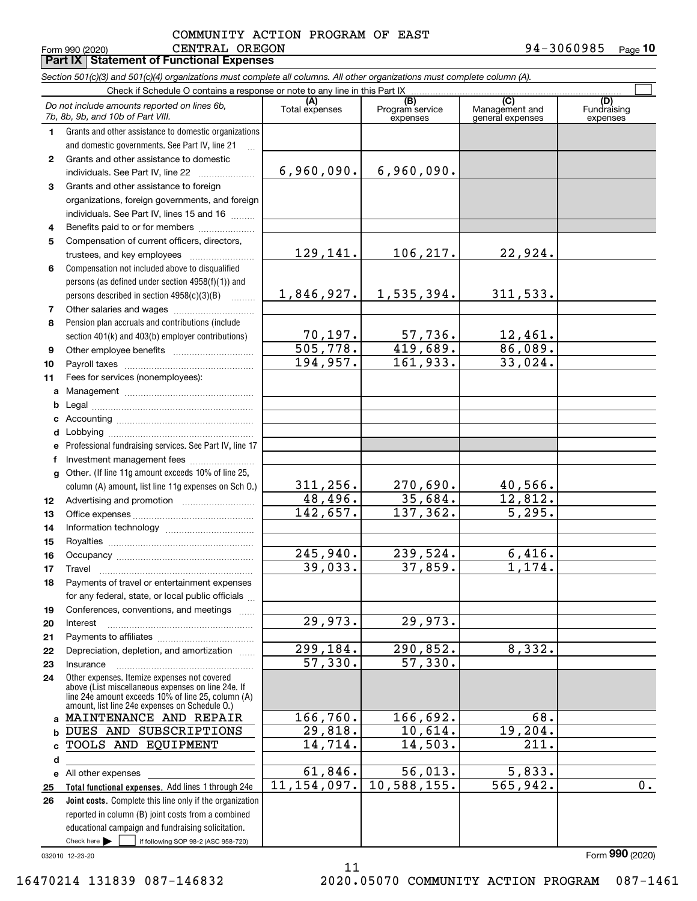#### Form 990 (2020) Page **10 Part IX Statement of Functional Expenses** CENTRAL OREGON COMMUNITY ACTION PROGRAM OF EAST

|              | Section 501(c)(3) and 501(c)(4) organizations must complete all columns. All other organizations must complete column (A).<br>Check if Schedule O contains a response or note to any line in this Part IX |                |                                    |                                    |                         |
|--------------|-----------------------------------------------------------------------------------------------------------------------------------------------------------------------------------------------------------|----------------|------------------------------------|------------------------------------|-------------------------|
|              |                                                                                                                                                                                                           | (A)            |                                    | (C)                                | (D)                     |
|              | Do not include amounts reported on lines 6b,<br>7b, 8b, 9b, and 10b of Part VIII.                                                                                                                         | Total expenses | (B)<br>Program service<br>expenses | Management and<br>general expenses | Fundraising<br>expenses |
| $\mathbf{1}$ | Grants and other assistance to domestic organizations                                                                                                                                                     |                |                                    |                                    |                         |
|              | and domestic governments. See Part IV, line 21                                                                                                                                                            |                |                                    |                                    |                         |
| $\mathbf{2}$ | Grants and other assistance to domestic                                                                                                                                                                   |                |                                    |                                    |                         |
|              | individuals. See Part IV, line 22                                                                                                                                                                         | 6,960,090.     | 6,960,090.                         |                                    |                         |
| 3            | Grants and other assistance to foreign                                                                                                                                                                    |                |                                    |                                    |                         |
|              | organizations, foreign governments, and foreign                                                                                                                                                           |                |                                    |                                    |                         |
|              | individuals. See Part IV, lines 15 and 16                                                                                                                                                                 |                |                                    |                                    |                         |
| 4            | Benefits paid to or for members                                                                                                                                                                           |                |                                    |                                    |                         |
| 5            | Compensation of current officers, directors,                                                                                                                                                              |                |                                    |                                    |                         |
|              | trustees, and key employees                                                                                                                                                                               | 129, 141.      | 106, 217.                          | 22,924.                            |                         |
| 6            | Compensation not included above to disqualified                                                                                                                                                           |                |                                    |                                    |                         |
|              | persons (as defined under section 4958(f)(1)) and                                                                                                                                                         |                |                                    |                                    |                         |
|              | persons described in section 4958(c)(3)(B)                                                                                                                                                                | 1,846,927.     | 1,535,394.                         | 311,533.                           |                         |
| 7            |                                                                                                                                                                                                           |                |                                    |                                    |                         |
| 8            | Pension plan accruals and contributions (include                                                                                                                                                          |                |                                    |                                    |                         |
|              | section 401(k) and 403(b) employer contributions)                                                                                                                                                         | 70, 197.       | 57,736.                            | 12,461.                            |                         |
| 9            |                                                                                                                                                                                                           | 505, 778.      | 419,689.                           | 86,089.                            |                         |
| 10           |                                                                                                                                                                                                           | 194, 957.      | 161,933.                           | 33,024.                            |                         |
| 11           | Fees for services (nonemployees):                                                                                                                                                                         |                |                                    |                                    |                         |
|              |                                                                                                                                                                                                           |                |                                    |                                    |                         |
| b            |                                                                                                                                                                                                           |                |                                    |                                    |                         |
| c            |                                                                                                                                                                                                           |                |                                    |                                    |                         |
| d            |                                                                                                                                                                                                           |                |                                    |                                    |                         |
| е            | Professional fundraising services. See Part IV, line 17                                                                                                                                                   |                |                                    |                                    |                         |
| f            | Investment management fees                                                                                                                                                                                |                |                                    |                                    |                         |
| g            | Other. (If line 11g amount exceeds 10% of line 25,                                                                                                                                                        |                |                                    |                                    |                         |
|              | column (A) amount, list line 11g expenses on Sch 0.)                                                                                                                                                      | 311, 256.      | 270,690.                           | 40,566.                            |                         |
| 12           |                                                                                                                                                                                                           | 48,496.        | 35,684.                            | 12,812.                            |                         |
| 13           |                                                                                                                                                                                                           | 142,657.       | 137,362.                           | 5,295.                             |                         |
| 14           |                                                                                                                                                                                                           |                |                                    |                                    |                         |
| 15           |                                                                                                                                                                                                           |                |                                    |                                    |                         |
| 16           |                                                                                                                                                                                                           | 245,940.       | 239,524.                           | 6,416.<br>1,174.                   |                         |
| 17           |                                                                                                                                                                                                           | 39,033.        | 37,859.                            |                                    |                         |
| 18           | Payments of travel or entertainment expenses                                                                                                                                                              |                |                                    |                                    |                         |
|              | for any federal, state, or local public officials                                                                                                                                                         |                |                                    |                                    |                         |
| 19           | Conferences, conventions, and meetings                                                                                                                                                                    | 29,973.        | 29,973.                            |                                    |                         |
| 20           | Interest                                                                                                                                                                                                  |                |                                    |                                    |                         |
| 21<br>22     | Depreciation, depletion, and amortization                                                                                                                                                                 | 299,184.       | 290,852.                           | 8,332.                             |                         |
| 23           | Insurance                                                                                                                                                                                                 | 57,330.        | 57,330.                            |                                    |                         |
| 24           | Other expenses. Itemize expenses not covered                                                                                                                                                              |                |                                    |                                    |                         |
|              | above (List miscellaneous expenses on line 24e. If                                                                                                                                                        |                |                                    |                                    |                         |
|              | line 24e amount exceeds 10% of line 25, column (A)<br>amount, list line 24e expenses on Schedule 0.)                                                                                                      |                |                                    |                                    |                         |
| a            | MAINTENANCE AND REPAIR                                                                                                                                                                                    | 166,760.       | 166,692.                           | 68.                                |                         |
| b            | DUES AND SUBSCRIPTIONS                                                                                                                                                                                    | 29,818.        | 10,614.                            | 19,204.                            |                         |
| c            | TOOLS AND EQUIPMENT                                                                                                                                                                                       | 14,714.        | 14,503.                            | 211.                               |                         |
| d            |                                                                                                                                                                                                           |                |                                    |                                    |                         |
|              | e All other expenses                                                                                                                                                                                      | 61,846.        | 56,013.                            | 5,833.                             |                         |
| 25           | Total functional expenses. Add lines 1 through 24e                                                                                                                                                        | 11, 154, 097.  | 10,588,155.                        | $\overline{565,942}$ .             | 0.                      |
| 26           | <b>Joint costs.</b> Complete this line only if the organization                                                                                                                                           |                |                                    |                                    |                         |
|              | reported in column (B) joint costs from a combined                                                                                                                                                        |                |                                    |                                    |                         |
|              | educational campaign and fundraising solicitation.                                                                                                                                                        |                |                                    |                                    |                         |
|              | Check here $\blacktriangleright$<br>if following SOP 98-2 (ASC 958-720)                                                                                                                                   |                |                                    |                                    |                         |

11

032010 12-23-20

Form (2020) **990**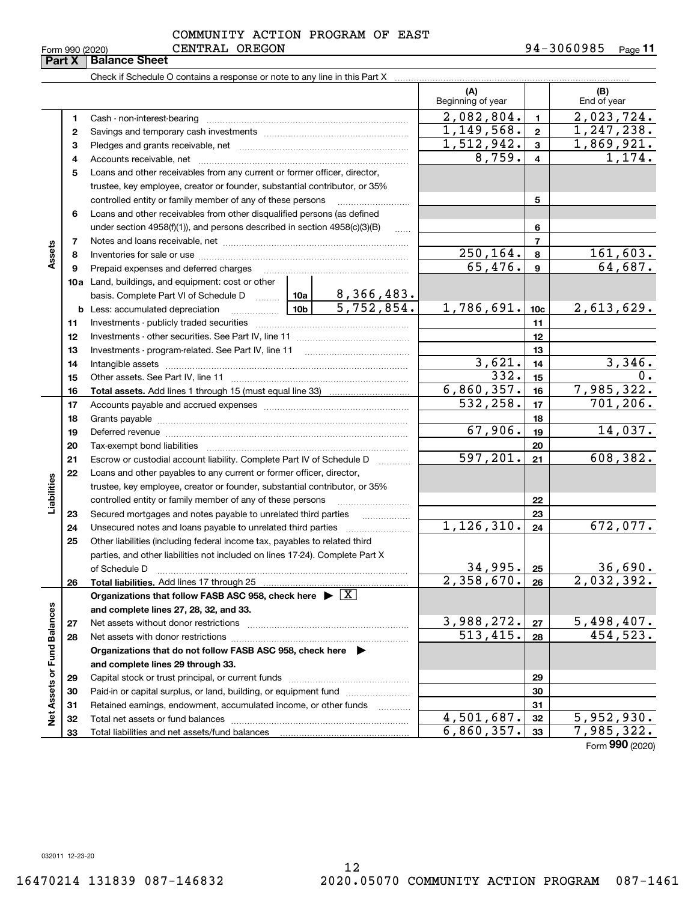| COMMUNITY ACTION PROGRAM OF EAST |  |  |
|----------------------------------|--|--|
| זור מסים זו מסחזותים             |  |  |

**11**

|                             |    | Check if Schedule O contains a response or note to any line in this Part X                                                                         |          |            |                          |                         |                               |
|-----------------------------|----|----------------------------------------------------------------------------------------------------------------------------------------------------|----------|------------|--------------------------|-------------------------|-------------------------------|
|                             |    |                                                                                                                                                    |          |            | (A)<br>Beginning of year |                         | (B)<br>End of year            |
|                             | 1  | Cash - non-interest-bearing                                                                                                                        |          |            | 2,082,804.               | $\mathbf{1}$            | $\overline{2,023},724.$       |
|                             | 2  |                                                                                                                                                    |          |            | 1,149,568.               | $\mathbf{2}$            | 1,247,238.                    |
|                             | 3  |                                                                                                                                                    |          |            | 1,512,942.               | 3                       | 1,869,921.                    |
|                             | 4  |                                                                                                                                                    |          |            | 8,759.                   | $\overline{\mathbf{4}}$ | 1,174.                        |
|                             | 5  | Loans and other receivables from any current or former officer, director,                                                                          |          |            |                          |                         |                               |
|                             |    | trustee, key employee, creator or founder, substantial contributor, or 35%                                                                         |          |            |                          |                         |                               |
|                             |    | controlled entity or family member of any of these persons                                                                                         |          |            |                          | 5                       |                               |
|                             | 6  | Loans and other receivables from other disqualified persons (as defined                                                                            |          |            |                          |                         |                               |
|                             |    | under section $4958(f)(1)$ , and persons described in section $4958(c)(3)(B)$                                                                      |          | 1.1.1.1    |                          | 6                       |                               |
|                             | 7  |                                                                                                                                                    |          |            |                          | $\overline{7}$          |                               |
| Assets                      | 8  |                                                                                                                                                    |          | 250,164.   | 8                        | 161,603.                |                               |
|                             | 9  | Prepaid expenses and deferred charges                                                                                                              |          |            | $\overline{65, 476}$ .   | $\boldsymbol{9}$        | 64,687.                       |
|                             |    | <b>10a</b> Land, buildings, and equipment: cost or other                                                                                           |          |            |                          |                         |                               |
|                             |    | basis. Complete Part VI of Schedule D  10a   8, 366, 483.                                                                                          |          |            |                          |                         |                               |
|                             | b  | <u>  10b</u> 10c<br>Less: accumulated depreciation                                                                                                 |          | 5,752,854. | 1,786,691.               | 10 <sub>c</sub>         | 2,613,629.                    |
|                             | 11 |                                                                                                                                                    |          |            |                          | 11                      |                               |
|                             | 12 |                                                                                                                                                    |          |            |                          | 12                      |                               |
|                             | 13 | Investments - program-related. See Part IV, line 11                                                                                                |          |            |                          | 13                      |                               |
|                             | 14 |                                                                                                                                                    | 3,621.   | 14         | 3,346.                   |                         |                               |
|                             | 15 |                                                                                                                                                    |          |            | 332.                     | 15                      | 0.                            |
|                             | 16 |                                                                                                                                                    |          |            | 6,860,357.               | 16                      | 7,985,322.<br>701, 206.       |
|                             | 17 |                                                                                                                                                    |          |            | $\overline{532}$ , 258.  | 17                      |                               |
|                             | 18 |                                                                                                                                                    |          |            | 67,906.                  | 18                      | 14,037.                       |
|                             | 19 |                                                                                                                                                    |          |            |                          | 19                      |                               |
|                             | 20 |                                                                                                                                                    | 597,201. | 20         | 608,382.                 |                         |                               |
|                             | 21 | Escrow or custodial account liability. Complete Part IV of Schedule D                                                                              |          | .          |                          | 21                      |                               |
|                             | 22 | Loans and other payables to any current or former officer, director,<br>trustee, key employee, creator or founder, substantial contributor, or 35% |          |            |                          |                         |                               |
| Liabilities                 |    | controlled entity or family member of any of these persons                                                                                         |          | 22         |                          |                         |                               |
|                             | 23 | Secured mortgages and notes payable to unrelated third parties                                                                                     |          | 23         |                          |                         |                               |
|                             | 24 | Unsecured notes and loans payable to unrelated third parties                                                                                       |          |            | 1,126,310.               | 24                      | 672,077.                      |
|                             | 25 | Other liabilities (including federal income tax, payables to related third                                                                         |          |            |                          |                         |                               |
|                             |    | parties, and other liabilities not included on lines 17-24). Complete Part X                                                                       |          |            |                          |                         |                               |
|                             |    | of Schedule D                                                                                                                                      |          |            | <u>34,995.</u>           | 25                      | 36,690.                       |
|                             | 26 | Total liabilities. Add lines 17 through 25                                                                                                         |          |            | 2,358,670.               | 26                      | 2,032,392.                    |
|                             |    | Organizations that follow FASB ASC 958, check here $\blacktriangleright \boxed{X}$                                                                 |          |            |                          |                         |                               |
|                             |    | and complete lines 27, 28, 32, and 33.                                                                                                             |          |            |                          |                         |                               |
|                             | 27 | Net assets without donor restrictions                                                                                                              |          |            |                          | 27                      |                               |
|                             | 28 |                                                                                                                                                    |          |            | $3,988,272.$<br>513,415. | 28                      | $\frac{5,498,407.}{454,523.}$ |
|                             |    | Organizations that do not follow FASB ASC 958, check here $\blacktriangleright$                                                                    |          |            |                          |                         |                               |
|                             |    | and complete lines 29 through 33.                                                                                                                  |          |            |                          |                         |                               |
|                             | 29 |                                                                                                                                                    |          |            | 29                       |                         |                               |
|                             | 30 | Paid-in or capital surplus, or land, building, or equipment fund                                                                                   |          |            |                          | 30                      |                               |
| Net Assets or Fund Balances | 31 | Retained earnings, endowment, accumulated income, or other funds                                                                                   | .        |            | 31                       |                         |                               |
|                             | 32 | Total net assets or fund balances                                                                                                                  |          |            | 4,501,687.               | 32                      | 5,952,930.                    |
|                             | 33 | Total liabilities and net assets/fund balances                                                                                                     |          |            | 6,860,357.               | 33                      | 7,985,322.                    |
|                             |    |                                                                                                                                                    |          |            |                          |                         | Form 990 (2020)               |

 $\overline{a}$ 

 $\overline{\phantom{0}}$ 

Form 990 (2020) CENTRAL OREGON 9 4-3 U U U U V Page **Part X Balance Sheet** CENTRAL OREGON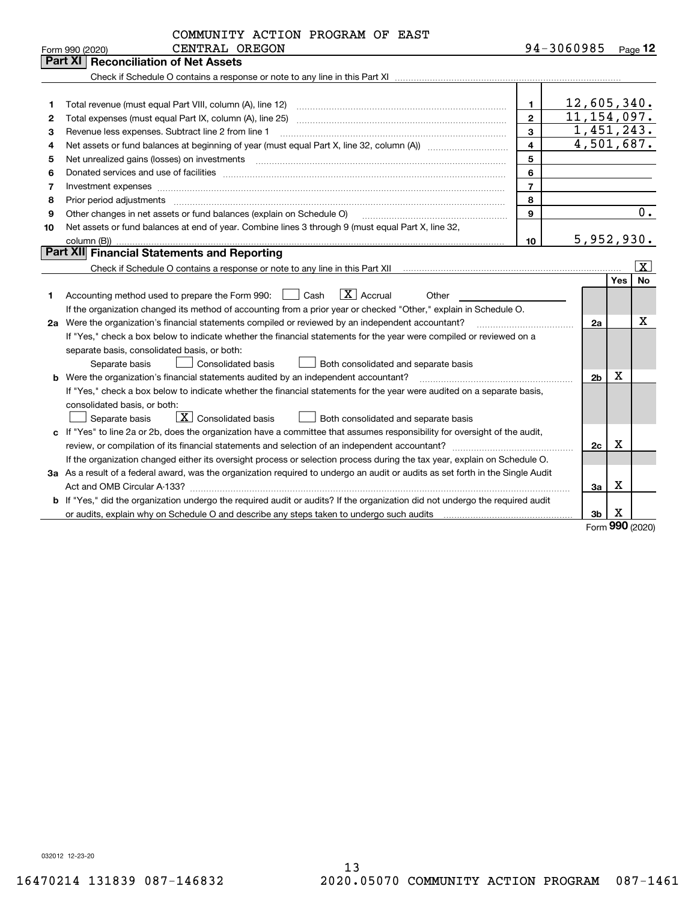| COMMUNITY ACTION PROGRAM OF EAST |  |  |  |
|----------------------------------|--|--|--|
|                                  |  |  |  |

|    | CENTRAL OREGON<br>Form 990 (2020)                                                                                                                                                                                              |                         | 94-3060985     |            | Page $12$            |
|----|--------------------------------------------------------------------------------------------------------------------------------------------------------------------------------------------------------------------------------|-------------------------|----------------|------------|----------------------|
|    | <b>Part XI Reconciliation of Net Assets</b>                                                                                                                                                                                    |                         |                |            |                      |
|    |                                                                                                                                                                                                                                |                         |                |            |                      |
|    |                                                                                                                                                                                                                                |                         |                |            |                      |
| 1  |                                                                                                                                                                                                                                | $\mathbf 1$             | 12,605,340.    |            |                      |
| 2  |                                                                                                                                                                                                                                | $\mathbf{2}$            | 11, 154, 097.  |            |                      |
| з  | Revenue less expenses. Subtract line 2 from line 1                                                                                                                                                                             | $\mathbf{3}$            | 1,451,243.     |            |                      |
| 4  |                                                                                                                                                                                                                                | $\overline{\mathbf{4}}$ | 4,501,687.     |            |                      |
| 5  | Net unrealized gains (losses) on investments [11] matter continuum matter is a set of the set of the set of the                                                                                                                | 5                       |                |            |                      |
| 6  |                                                                                                                                                                                                                                | 6                       |                |            |                      |
| 7  | Investment expenses www.communication.com/www.communication.com/www.communication.com/www.com                                                                                                                                  | $\overline{7}$          |                |            |                      |
| 8  |                                                                                                                                                                                                                                | 8                       |                |            |                      |
| 9  | Other changes in net assets or fund balances (explain on Schedule O) [11] [12] Context Context Context Context Context Context Context Context Context Context Context Context Context Context Context Context Context Context | $\mathbf{Q}$            |                |            | 0.                   |
| 10 | Net assets or fund balances at end of year. Combine lines 3 through 9 (must equal Part X, line 32,                                                                                                                             |                         |                |            |                      |
|    | column (B))                                                                                                                                                                                                                    | 10                      | 5,952,930.     |            |                      |
|    | Part XII Financial Statements and Reporting                                                                                                                                                                                    |                         |                |            |                      |
|    |                                                                                                                                                                                                                                |                         |                |            | $\boxed{\textbf{X}}$ |
|    |                                                                                                                                                                                                                                |                         |                | <b>Yes</b> | <b>No</b>            |
| 1. | $ X $ Accrual<br>Accounting method used to prepare the Form 990: <u>I</u> Cash<br>Other                                                                                                                                        |                         |                |            |                      |
|    | If the organization changed its method of accounting from a prior year or checked "Other," explain in Schedule O.                                                                                                              |                         |                |            |                      |
|    | 2a Were the organization's financial statements compiled or reviewed by an independent accountant?                                                                                                                             |                         | 2a             |            | x                    |
|    | If "Yes," check a box below to indicate whether the financial statements for the year were compiled or reviewed on a                                                                                                           |                         |                |            |                      |
|    | separate basis, consolidated basis, or both:                                                                                                                                                                                   |                         |                |            |                      |
|    | <b>Consolidated basis</b><br>Separate basis<br>Both consolidated and separate basis                                                                                                                                            |                         |                |            |                      |
|    | <b>b</b> Were the organization's financial statements audited by an independent accountant?                                                                                                                                    |                         | 2 <sub>b</sub> | х          |                      |
|    | If "Yes," check a box below to indicate whether the financial statements for the year were audited on a separate basis,                                                                                                        |                         |                |            |                      |
|    | consolidated basis, or both:                                                                                                                                                                                                   |                         |                |            |                      |
|    | $ \mathbf{X} $ Consolidated basis<br>Separate basis<br>Both consolidated and separate basis                                                                                                                                    |                         |                |            |                      |
|    | c If "Yes" to line 2a or 2b, does the organization have a committee that assumes responsibility for oversight of the audit,                                                                                                    |                         |                |            |                      |
|    |                                                                                                                                                                                                                                |                         | 2c             | Х          |                      |
|    | If the organization changed either its oversight process or selection process during the tax year, explain on Schedule O.                                                                                                      |                         |                |            |                      |
|    | 3a As a result of a federal award, was the organization required to undergo an audit or audits as set forth in the Single Audit                                                                                                |                         |                |            |                      |
|    | Act and OMB Circular A-133?                                                                                                                                                                                                    |                         | За             | X          |                      |
|    | b If "Yes," did the organization undergo the required audit or audits? If the organization did not undergo the required audit                                                                                                  |                         |                |            |                      |
|    | or audits, explain why on Schedule O and describe any steps taken to undergo such audits                                                                                                                                       |                         | 3b             | Х          |                      |

Form (2020) **990**

032012 12-23-20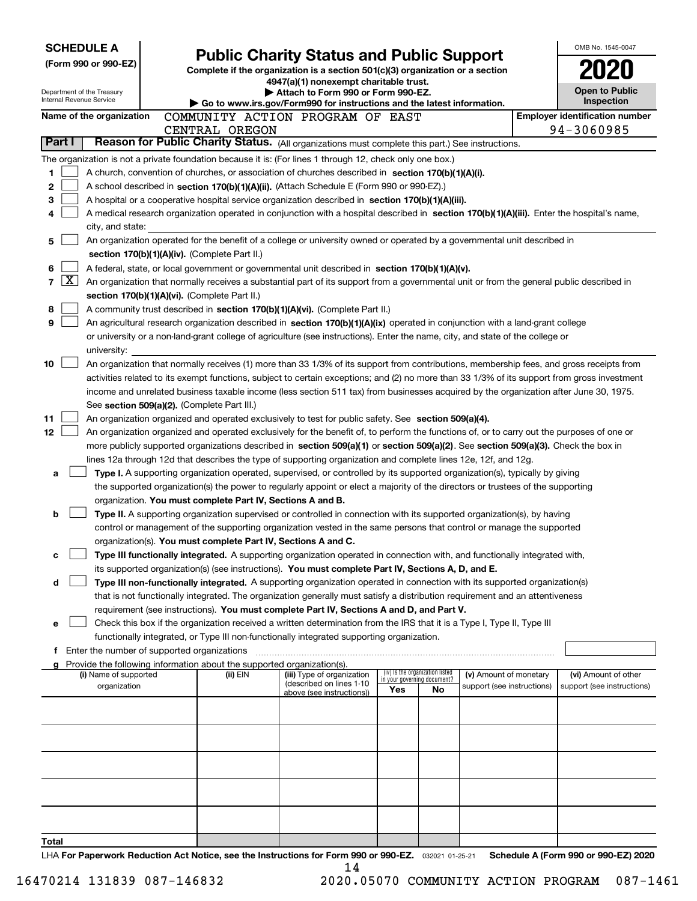|                            | <b>SCHEDULE A</b><br><b>Public Charity Status and Public Support</b> |                                                      |                                                                        |                                                                                                                                              |                                    |                                 | OMB No. 1545-0047          |  |                                           |
|----------------------------|----------------------------------------------------------------------|------------------------------------------------------|------------------------------------------------------------------------|----------------------------------------------------------------------------------------------------------------------------------------------|------------------------------------|---------------------------------|----------------------------|--|-------------------------------------------|
|                            | (Form 990 or 990-EZ)                                                 |                                                      |                                                                        |                                                                                                                                              |                                    |                                 |                            |  |                                           |
|                            |                                                                      |                                                      |                                                                        | Complete if the organization is a section 501(c)(3) organization or a section<br>4947(a)(1) nonexempt charitable trust.                      |                                    |                                 |                            |  |                                           |
| Department of the Treasury |                                                                      |                                                      |                                                                        | Attach to Form 990 or Form 990-EZ.                                                                                                           |                                    |                                 |                            |  | <b>Open to Public</b>                     |
| Internal Revenue Service   |                                                                      |                                                      |                                                                        | Go to www.irs.gov/Form990 for instructions and the latest information.                                                                       |                                    |                                 |                            |  | Inspection                                |
|                            | Name of the organization                                             |                                                      |                                                                        | COMMUNITY ACTION PROGRAM OF EAST                                                                                                             |                                    |                                 |                            |  | <b>Employer identification number</b>     |
|                            |                                                                      |                                                      | CENTRAL OREGON                                                         |                                                                                                                                              |                                    |                                 |                            |  | 94-3060985                                |
| Part I                     |                                                                      |                                                      |                                                                        | Reason for Public Charity Status. (All organizations must complete this part.) See instructions.                                             |                                    |                                 |                            |  |                                           |
|                            |                                                                      |                                                      |                                                                        | The organization is not a private foundation because it is: (For lines 1 through 12, check only one box.)                                    |                                    |                                 |                            |  |                                           |
| 1                          |                                                                      |                                                      |                                                                        | A church, convention of churches, or association of churches described in section 170(b)(1)(A)(i).                                           |                                    |                                 |                            |  |                                           |
| 2                          |                                                                      |                                                      |                                                                        | A school described in section 170(b)(1)(A)(ii). (Attach Schedule E (Form 990 or 990-EZ).)                                                    |                                    |                                 |                            |  |                                           |
| 3                          |                                                                      |                                                      |                                                                        | A hospital or a cooperative hospital service organization described in section 170(b)(1)(A)(iii).                                            |                                    |                                 |                            |  |                                           |
|                            |                                                                      |                                                      |                                                                        | A medical research organization operated in conjunction with a hospital described in section 170(b)(1)(A)(iii). Enter the hospital's name,   |                                    |                                 |                            |  |                                           |
|                            | city, and state:                                                     |                                                      |                                                                        |                                                                                                                                              |                                    |                                 |                            |  |                                           |
| 5                          |                                                                      |                                                      |                                                                        | An organization operated for the benefit of a college or university owned or operated by a governmental unit described in                    |                                    |                                 |                            |  |                                           |
|                            |                                                                      |                                                      | section 170(b)(1)(A)(iv). (Complete Part II.)                          |                                                                                                                                              |                                    |                                 |                            |  |                                           |
| 6                          |                                                                      |                                                      |                                                                        | A federal, state, or local government or governmental unit described in section 170(b)(1)(A)(v).                                             |                                    |                                 |                            |  |                                           |
| X <br>7                    |                                                                      |                                                      |                                                                        | An organization that normally receives a substantial part of its support from a governmental unit or from the general public described in    |                                    |                                 |                            |  |                                           |
|                            |                                                                      |                                                      | section 170(b)(1)(A)(vi). (Complete Part II.)                          |                                                                                                                                              |                                    |                                 |                            |  |                                           |
| 8                          |                                                                      |                                                      |                                                                        | A community trust described in section 170(b)(1)(A)(vi). (Complete Part II.)                                                                 |                                    |                                 |                            |  |                                           |
| 9                          |                                                                      |                                                      |                                                                        | An agricultural research organization described in section 170(b)(1)(A)(ix) operated in conjunction with a land-grant college                |                                    |                                 |                            |  |                                           |
|                            |                                                                      |                                                      |                                                                        | or university or a non-land-grant college of agriculture (see instructions). Enter the name, city, and state of the college or               |                                    |                                 |                            |  |                                           |
|                            | university:                                                          |                                                      |                                                                        |                                                                                                                                              |                                    |                                 |                            |  |                                           |
| 10                         |                                                                      |                                                      |                                                                        | An organization that normally receives (1) more than 33 1/3% of its support from contributions, membership fees, and gross receipts from     |                                    |                                 |                            |  |                                           |
|                            |                                                                      |                                                      |                                                                        | activities related to its exempt functions, subject to certain exceptions; and (2) no more than 33 1/3% of its support from gross investment |                                    |                                 |                            |  |                                           |
|                            |                                                                      |                                                      |                                                                        | income and unrelated business taxable income (less section 511 tax) from businesses acquired by the organization after June 30, 1975.        |                                    |                                 |                            |  |                                           |
|                            |                                                                      |                                                      | See section 509(a)(2). (Complete Part III.)                            |                                                                                                                                              |                                    |                                 |                            |  |                                           |
| 11                         |                                                                      |                                                      |                                                                        | An organization organized and operated exclusively to test for public safety. See section 509(a)(4).                                         |                                    |                                 |                            |  |                                           |
| 12                         |                                                                      |                                                      |                                                                        | An organization organized and operated exclusively for the benefit of, to perform the functions of, or to carry out the purposes of one or   |                                    |                                 |                            |  |                                           |
|                            |                                                                      |                                                      |                                                                        | more publicly supported organizations described in section 509(a)(1) or section 509(a)(2). See section 509(a)(3). Check the box in           |                                    |                                 |                            |  |                                           |
|                            |                                                                      |                                                      |                                                                        | lines 12a through 12d that describes the type of supporting organization and complete lines 12e, 12f, and 12g.                               |                                    |                                 |                            |  |                                           |
| a                          |                                                                      |                                                      |                                                                        | Type I. A supporting organization operated, supervised, or controlled by its supported organization(s), typically by giving                  |                                    |                                 |                            |  |                                           |
|                            |                                                                      |                                                      |                                                                        | the supported organization(s) the power to regularly appoint or elect a majority of the directors or trustees of the supporting              |                                    |                                 |                            |  |                                           |
|                            |                                                                      |                                                      | organization. You must complete Part IV, Sections A and B.             |                                                                                                                                              |                                    |                                 |                            |  |                                           |
| b                          |                                                                      |                                                      |                                                                        | Type II. A supporting organization supervised or controlled in connection with its supported organization(s), by having                      |                                    |                                 |                            |  |                                           |
|                            |                                                                      |                                                      |                                                                        | control or management of the supporting organization vested in the same persons that control or manage the supported                         |                                    |                                 |                            |  |                                           |
|                            |                                                                      |                                                      | organization(s). You must complete Part IV, Sections A and C.          |                                                                                                                                              |                                    |                                 |                            |  |                                           |
| C                          |                                                                      |                                                      |                                                                        | Type III functionally integrated. A supporting organization operated in connection with, and functionally integrated with,                   |                                    |                                 |                            |  |                                           |
|                            |                                                                      |                                                      |                                                                        | its supported organization(s) (see instructions). You must complete Part IV, Sections A, D, and E.                                           |                                    |                                 |                            |  |                                           |
| d                          |                                                                      |                                                      |                                                                        | Type III non-functionally integrated. A supporting organization operated in connection with its supported organization(s)                    |                                    |                                 |                            |  |                                           |
|                            |                                                                      |                                                      |                                                                        | that is not functionally integrated. The organization generally must satisfy a distribution requirement and an attentiveness                 |                                    |                                 |                            |  |                                           |
|                            |                                                                      |                                                      |                                                                        | requirement (see instructions). You must complete Part IV, Sections A and D, and Part V.                                                     |                                    |                                 |                            |  |                                           |
| е                          |                                                                      |                                                      |                                                                        | Check this box if the organization received a written determination from the IRS that it is a Type I, Type II, Type III                      |                                    |                                 |                            |  |                                           |
|                            |                                                                      |                                                      |                                                                        | functionally integrated, or Type III non-functionally integrated supporting organization.                                                    |                                    |                                 |                            |  |                                           |
|                            |                                                                      | <b>f</b> Enter the number of supported organizations | Provide the following information about the supported organization(s). |                                                                                                                                              |                                    |                                 |                            |  |                                           |
|                            | (i) Name of supported                                                |                                                      | (ii) EIN                                                               | (iii) Type of organization                                                                                                                   |                                    | (iv) Is the organization listed | (v) Amount of monetary     |  | (vi) Amount of other                      |
|                            | organization                                                         |                                                      |                                                                        | (described on lines 1-10<br>above (see instructions))                                                                                        | in your governing document?<br>Yes | No.                             | support (see instructions) |  | support (see instructions)                |
|                            |                                                                      |                                                      |                                                                        |                                                                                                                                              |                                    |                                 |                            |  |                                           |
|                            |                                                                      |                                                      |                                                                        |                                                                                                                                              |                                    |                                 |                            |  |                                           |
|                            |                                                                      |                                                      |                                                                        |                                                                                                                                              |                                    |                                 |                            |  |                                           |
|                            |                                                                      |                                                      |                                                                        |                                                                                                                                              |                                    |                                 |                            |  |                                           |
|                            |                                                                      |                                                      |                                                                        |                                                                                                                                              |                                    |                                 |                            |  |                                           |
|                            |                                                                      |                                                      |                                                                        |                                                                                                                                              |                                    |                                 |                            |  |                                           |
|                            |                                                                      |                                                      |                                                                        |                                                                                                                                              |                                    |                                 |                            |  |                                           |
|                            |                                                                      |                                                      |                                                                        |                                                                                                                                              |                                    |                                 |                            |  |                                           |
|                            |                                                                      |                                                      |                                                                        |                                                                                                                                              |                                    |                                 |                            |  |                                           |
|                            |                                                                      |                                                      |                                                                        |                                                                                                                                              |                                    |                                 |                            |  |                                           |
| Total                      |                                                                      |                                                      |                                                                        |                                                                                                                                              |                                    |                                 |                            |  |                                           |
|                            |                                                                      |                                                      |                                                                        |                                                                                                                                              |                                    |                                 |                            |  | $div A$ $F_{num}$ 000 $ev$ 000 $F71$ 0000 |

LHA For Paperwork Reduction Act Notice, see the Instructions for Form 990 or 990-EZ. <sub>032021</sub> o1-25-21 Schedule A (Form 990 or 990-EZ) 2020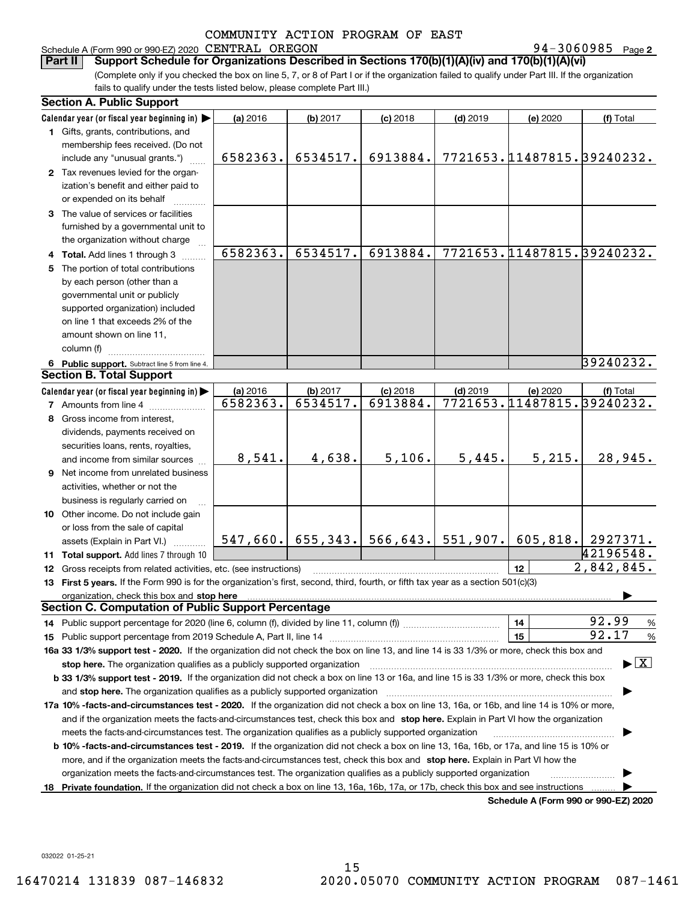#### Schedule A (Form 990 or 990-EZ) 2020 Page CENTRAL OREGON 94-3060985

94-3060985 Page 2

(Complete only if you checked the box on line 5, 7, or 8 of Part I or if the organization failed to qualify under Part III. If the organization fails to qualify under the tests listed below, please complete Part III.) **Part II Support Schedule for Organizations Described in Sections 170(b)(1)(A)(iv) and 170(b)(1)(A)(vi)**

|    | <b>Section A. Public Support</b>                                                                                                                                                                                                                       |          |                                                               |            |            |                                             |                                          |  |  |  |
|----|--------------------------------------------------------------------------------------------------------------------------------------------------------------------------------------------------------------------------------------------------------|----------|---------------------------------------------------------------|------------|------------|---------------------------------------------|------------------------------------------|--|--|--|
|    | Calendar year (or fiscal year beginning in)                                                                                                                                                                                                            | (a) 2016 | (b) 2017                                                      | $(c)$ 2018 | $(d)$ 2019 | (e) 2020                                    | (f) Total                                |  |  |  |
|    | 1 Gifts, grants, contributions, and                                                                                                                                                                                                                    |          |                                                               |            |            |                                             |                                          |  |  |  |
|    | membership fees received. (Do not                                                                                                                                                                                                                      |          |                                                               |            |            |                                             |                                          |  |  |  |
|    | include any "unusual grants.")                                                                                                                                                                                                                         | 6582363. | 6534517.                                                      | 6913884.   |            | 7721653.11487815.39240232.                  |                                          |  |  |  |
|    | 2 Tax revenues levied for the organ-                                                                                                                                                                                                                   |          |                                                               |            |            |                                             |                                          |  |  |  |
|    | ization's benefit and either paid to                                                                                                                                                                                                                   |          |                                                               |            |            |                                             |                                          |  |  |  |
|    | or expended on its behalf                                                                                                                                                                                                                              |          |                                                               |            |            |                                             |                                          |  |  |  |
|    | 3 The value of services or facilities                                                                                                                                                                                                                  |          |                                                               |            |            |                                             |                                          |  |  |  |
|    | furnished by a governmental unit to                                                                                                                                                                                                                    |          |                                                               |            |            |                                             |                                          |  |  |  |
|    | the organization without charge                                                                                                                                                                                                                        |          |                                                               |            |            |                                             |                                          |  |  |  |
|    | 4 Total. Add lines 1 through 3                                                                                                                                                                                                                         | 6582363. | 6534517.                                                      | 6913884.   |            | 7721653.11487815.39240232.                  |                                          |  |  |  |
|    | 5 The portion of total contributions                                                                                                                                                                                                                   |          |                                                               |            |            |                                             |                                          |  |  |  |
|    | by each person (other than a                                                                                                                                                                                                                           |          |                                                               |            |            |                                             |                                          |  |  |  |
|    | governmental unit or publicly                                                                                                                                                                                                                          |          |                                                               |            |            |                                             |                                          |  |  |  |
|    | supported organization) included                                                                                                                                                                                                                       |          |                                                               |            |            |                                             |                                          |  |  |  |
|    | on line 1 that exceeds 2% of the                                                                                                                                                                                                                       |          |                                                               |            |            |                                             |                                          |  |  |  |
|    | amount shown on line 11,                                                                                                                                                                                                                               |          |                                                               |            |            |                                             |                                          |  |  |  |
|    | column (f)                                                                                                                                                                                                                                             |          |                                                               |            |            |                                             |                                          |  |  |  |
|    | 6 Public support. Subtract line 5 from line 4.                                                                                                                                                                                                         |          |                                                               |            |            |                                             | 39240232.                                |  |  |  |
|    | <b>Section B. Total Support</b>                                                                                                                                                                                                                        |          |                                                               |            |            |                                             |                                          |  |  |  |
|    | Calendar year (or fiscal year beginning in)                                                                                                                                                                                                            | (a) 2016 | (b) 2017                                                      | $(c)$ 2018 | $(d)$ 2019 | (e) 2020                                    | (f) Total                                |  |  |  |
|    | 7 Amounts from line 4                                                                                                                                                                                                                                  | 6582363. | 6534517.                                                      | 6913884.   |            | 7721653.11487815.39240232.                  |                                          |  |  |  |
|    | 8 Gross income from interest,                                                                                                                                                                                                                          |          |                                                               |            |            |                                             |                                          |  |  |  |
|    | dividends, payments received on                                                                                                                                                                                                                        |          |                                                               |            |            |                                             |                                          |  |  |  |
|    | securities loans, rents, royalties,                                                                                                                                                                                                                    |          |                                                               |            |            |                                             |                                          |  |  |  |
|    | and income from similar sources                                                                                                                                                                                                                        | 8,541.   | 4,638.                                                        | 5,106.     | 5,445.     | 5,215.                                      | 28,945.                                  |  |  |  |
| 9  | Net income from unrelated business                                                                                                                                                                                                                     |          |                                                               |            |            |                                             |                                          |  |  |  |
|    | activities, whether or not the                                                                                                                                                                                                                         |          |                                                               |            |            |                                             |                                          |  |  |  |
|    | business is regularly carried on                                                                                                                                                                                                                       |          |                                                               |            |            |                                             |                                          |  |  |  |
|    | 10 Other income. Do not include gain                                                                                                                                                                                                                   |          |                                                               |            |            |                                             |                                          |  |  |  |
|    | or loss from the sale of capital                                                                                                                                                                                                                       |          |                                                               |            |            |                                             |                                          |  |  |  |
|    | assets (Explain in Part VI.)                                                                                                                                                                                                                           |          | $\left. 547, 660 \right.$   655, 343.   566, 643.   551, 907. |            |            |                                             | $605, 818.$ 2927371.                     |  |  |  |
|    | 11 Total support. Add lines 7 through 10                                                                                                                                                                                                               |          |                                                               |            |            |                                             | 42196548.                                |  |  |  |
| 12 | Gross receipts from related activities, etc. (see instructions)                                                                                                                                                                                        |          |                                                               |            |            | 12                                          | 2,842,845.                               |  |  |  |
|    | 13 First 5 years. If the Form 990 is for the organization's first, second, third, fourth, or fifth tax year as a section 501(c)(3)                                                                                                                     |          |                                                               |            |            |                                             |                                          |  |  |  |
|    |                                                                                                                                                                                                                                                        |          |                                                               |            |            |                                             |                                          |  |  |  |
|    | Section C. Computation of Public Support Percentage                                                                                                                                                                                                    |          |                                                               |            |            |                                             |                                          |  |  |  |
|    |                                                                                                                                                                                                                                                        |          |                                                               |            |            | 14                                          | 92.99<br>%                               |  |  |  |
|    |                                                                                                                                                                                                                                                        |          |                                                               |            |            | 15                                          | 92.17<br>%                               |  |  |  |
|    | 16a 33 1/3% support test - 2020. If the organization did not check the box on line 13, and line 14 is 33 1/3% or more, check this box and                                                                                                              |          |                                                               |            |            |                                             |                                          |  |  |  |
|    | stop here. The organization qualifies as a publicly supported organization                                                                                                                                                                             |          |                                                               |            |            |                                             | $\blacktriangleright$ $\boxed{\text{X}}$ |  |  |  |
|    | <b>b 33 1/3% support test - 2019.</b> If the organization did not check a box on line 13 or 16a, and line 15 is 33 1/3% or more, check this box                                                                                                        |          |                                                               |            |            |                                             |                                          |  |  |  |
|    | and stop here. The organization qualifies as a publicly supported organization                                                                                                                                                                         |          |                                                               |            |            |                                             |                                          |  |  |  |
|    |                                                                                                                                                                                                                                                        |          |                                                               |            |            |                                             |                                          |  |  |  |
|    | 17a 10% -facts-and-circumstances test - 2020. If the organization did not check a box on line 13, 16a, or 16b, and line 14 is 10% or more,                                                                                                             |          |                                                               |            |            |                                             |                                          |  |  |  |
|    | and if the organization meets the facts-and-circumstances test, check this box and stop here. Explain in Part VI how the organization<br>meets the facts-and-circumstances test. The organization qualifies as a publicly supported organization       |          |                                                               |            |            |                                             |                                          |  |  |  |
|    | <b>b 10% -facts-and-circumstances test - 2019.</b> If the organization did not check a box on line 13, 16a, 16b, or 17a, and line 15 is 10% or                                                                                                         |          |                                                               |            |            |                                             |                                          |  |  |  |
|    |                                                                                                                                                                                                                                                        |          |                                                               |            |            |                                             |                                          |  |  |  |
|    | more, and if the organization meets the facts-and-circumstances test, check this box and stop here. Explain in Part VI how the<br>organization meets the facts-and-circumstances test. The organization qualifies as a publicly supported organization |          |                                                               |            |            |                                             |                                          |  |  |  |
|    |                                                                                                                                                                                                                                                        |          |                                                               |            |            |                                             |                                          |  |  |  |
|    | 18 Private foundation. If the organization did not check a box on line 13, 16a, 16b, 17a, or 17b, check this box and see instructions                                                                                                                  |          |                                                               |            |            | <b>Cohodulo A (Form 000 or 000 EZ) 2020</b> |                                          |  |  |  |

**Schedule A (Form 990 or 990-EZ) 2020**

032022 01-25-21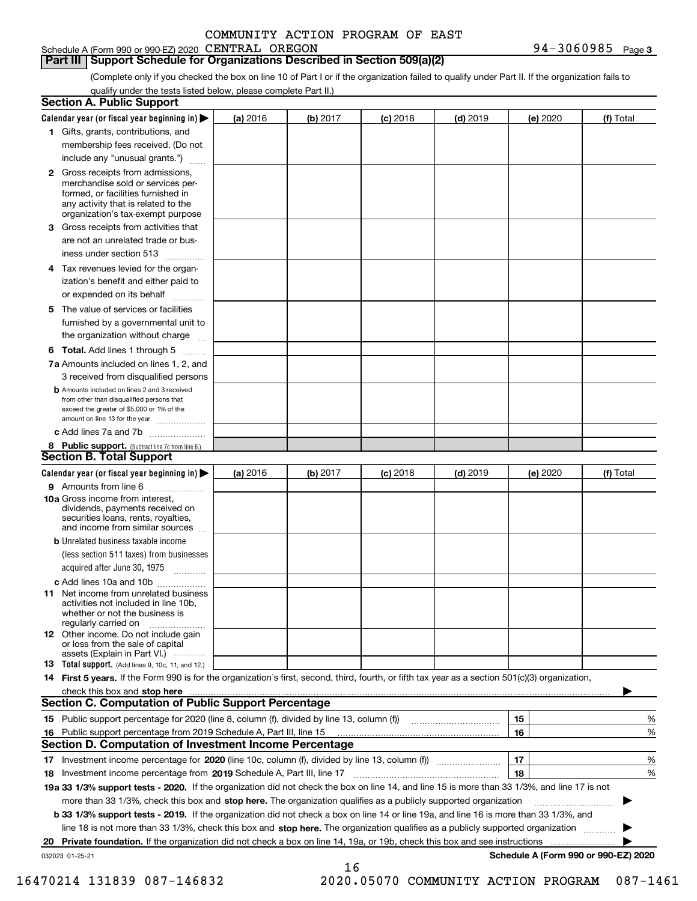Schedule A (Form 990 or 990-EZ) 2020 Page CENTRAL OREGON 94-3060985

**Part III** | Support Schedule for Organizations Described in Section 509(a)(2)

**3**

(Complete only if you checked the box on line 10 of Part I or if the organization failed to qualify under Part II. If the organization fails to qualify under the tests listed below, please complete Part II.)

|    | <b>Section A. Public Support</b>                                                                                                                                                                                               |          |          |            |            |          |                                      |
|----|--------------------------------------------------------------------------------------------------------------------------------------------------------------------------------------------------------------------------------|----------|----------|------------|------------|----------|--------------------------------------|
|    | Calendar year (or fiscal year beginning in) $\blacktriangleright$                                                                                                                                                              | (a) 2016 | (b) 2017 | $(c)$ 2018 | $(d)$ 2019 | (e) 2020 | (f) Total                            |
|    | 1 Gifts, grants, contributions, and                                                                                                                                                                                            |          |          |            |            |          |                                      |
|    | membership fees received. (Do not                                                                                                                                                                                              |          |          |            |            |          |                                      |
|    | include any "unusual grants.")                                                                                                                                                                                                 |          |          |            |            |          |                                      |
|    | <b>2</b> Gross receipts from admissions,<br>merchandise sold or services per-<br>formed, or facilities furnished in<br>any activity that is related to the<br>organization's tax-exempt purpose                                |          |          |            |            |          |                                      |
|    | 3 Gross receipts from activities that<br>are not an unrelated trade or bus-                                                                                                                                                    |          |          |            |            |          |                                      |
|    | iness under section 513                                                                                                                                                                                                        |          |          |            |            |          |                                      |
|    | 4 Tax revenues levied for the organ-<br>ization's benefit and either paid to                                                                                                                                                   |          |          |            |            |          |                                      |
|    | or expended on its behalf<br>.                                                                                                                                                                                                 |          |          |            |            |          |                                      |
|    | 5 The value of services or facilities<br>furnished by a governmental unit to<br>the organization without charge                                                                                                                |          |          |            |            |          |                                      |
|    |                                                                                                                                                                                                                                |          |          |            |            |          |                                      |
|    | <b>6 Total.</b> Add lines 1 through 5<br>7a Amounts included on lines 1, 2, and<br>3 received from disqualified persons                                                                                                        |          |          |            |            |          |                                      |
|    | <b>b</b> Amounts included on lines 2 and 3 received<br>from other than disqualified persons that<br>exceed the greater of \$5,000 or 1% of the<br>amount on line 13 for the year                                               |          |          |            |            |          |                                      |
|    | c Add lines 7a and 7b                                                                                                                                                                                                          |          |          |            |            |          |                                      |
|    | 8 Public support. (Subtract line 7c from line 6.)<br><b>Section B. Total Support</b>                                                                                                                                           |          |          |            |            |          |                                      |
|    |                                                                                                                                                                                                                                |          |          |            |            |          |                                      |
|    | Calendar year (or fiscal year beginning in)<br>9 Amounts from line 6                                                                                                                                                           | (a) 2016 | (b) 2017 | $(c)$ 2018 | $(d)$ 2019 | (e) 2020 | (f) Total                            |
|    | 10a Gross income from interest,<br>dividends, payments received on<br>securities loans, rents, royalties,<br>and income from similar sources                                                                                   |          |          |            |            |          |                                      |
|    | <b>b</b> Unrelated business taxable income<br>(less section 511 taxes) from businesses<br>acquired after June 30, 1975                                                                                                         |          |          |            |            |          |                                      |
|    | c Add lines 10a and 10b                                                                                                                                                                                                        |          |          |            |            |          |                                      |
|    | 11 Net income from unrelated business<br>activities not included in line 10b,<br>whether or not the business is<br>regularly carried on                                                                                        |          |          |            |            |          |                                      |
|    | <b>12</b> Other income. Do not include gain<br>or loss from the sale of capital<br>assets (Explain in Part VI.)                                                                                                                |          |          |            |            |          |                                      |
|    | <b>13</b> Total support. (Add lines 9, 10c, 11, and 12.)                                                                                                                                                                       |          |          |            |            |          |                                      |
|    | 14 First 5 years. If the Form 990 is for the organization's first, second, third, fourth, or fifth tax year as a section 501(c)(3) organization,                                                                               |          |          |            |            |          |                                      |
|    | check this box and stop here manufactured and content to the state of the state of the state of the state of the state of the state of the state of the state of the state of the state of the state of the state of the state |          |          |            |            |          |                                      |
|    | Section C. Computation of Public Support Percentage                                                                                                                                                                            |          |          |            |            |          |                                      |
|    |                                                                                                                                                                                                                                |          |          |            |            | 15       | %                                    |
|    | 16 Public support percentage from 2019 Schedule A, Part III, line 15                                                                                                                                                           |          |          |            |            | 16       | %                                    |
|    | <b>Section D. Computation of Investment Income Percentage</b>                                                                                                                                                                  |          |          |            |            |          |                                      |
|    | 17 Investment income percentage for 2020 (line 10c, column (f), divided by line 13, column (f))                                                                                                                                |          |          |            |            | 17       | %                                    |
|    | 18 Investment income percentage from 2019 Schedule A, Part III, line 17                                                                                                                                                        |          |          |            |            | 18       | %                                    |
|    | 19a 33 1/3% support tests - 2020. If the organization did not check the box on line 14, and line 15 is more than 33 1/3%, and line 17 is not                                                                                   |          |          |            |            |          |                                      |
|    | more than 33 1/3%, check this box and stop here. The organization qualifies as a publicly supported organization                                                                                                               |          |          |            |            |          |                                      |
|    | b 33 1/3% support tests - 2019. If the organization did not check a box on line 14 or line 19a, and line 16 is more than 33 1/3%, and                                                                                          |          |          |            |            |          |                                      |
|    | line 18 is not more than 33 1/3%, check this box and stop here. The organization qualifies as a publicly supported organization                                                                                                |          |          |            |            |          |                                      |
| 20 | Private foundation. If the organization did not check a box on line 14, 19a, or 19b, check this box and see instructions                                                                                                       |          |          |            |            |          | .                                    |
|    | 032023 01-25-21                                                                                                                                                                                                                |          | 16       |            |            |          | Schedule A (Form 990 or 990-EZ) 2020 |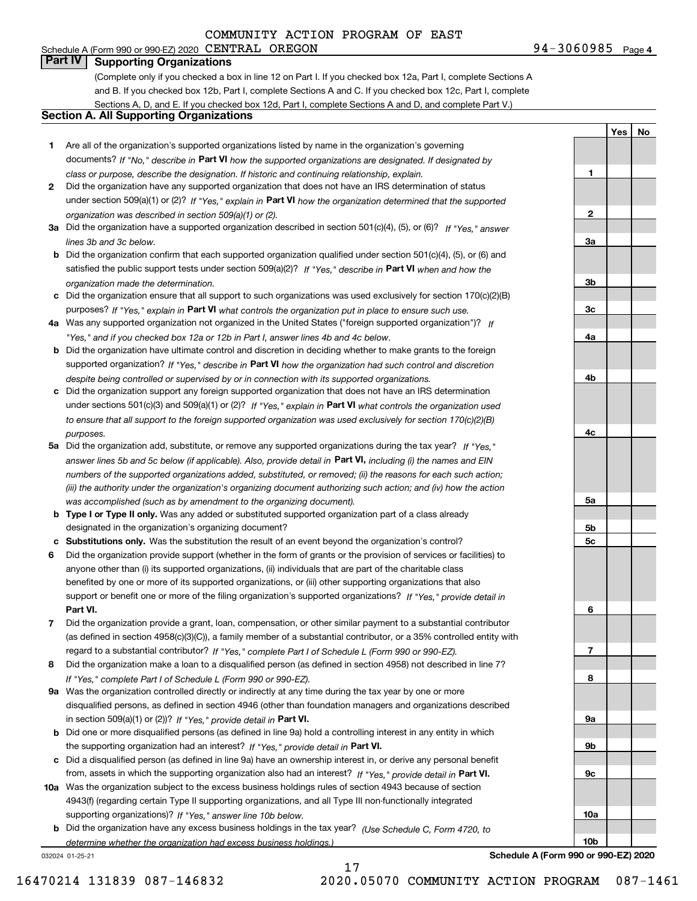# Schedule A (Form 990 or 990-EZ) 2020 Page CENTRAL OREGON 94-3060985

**Part IV Supporting Organizations**

(Complete only if you checked a box in line 12 on Part I. If you checked box 12a, Part I, complete Sections A and B. If you checked box 12b, Part I, complete Sections A and C. If you checked box 12c, Part I, complete Sections A, D, and E. If you checked box 12d, Part I, complete Sections A and D, and complete Part V.)

### **Section A. All Supporting Organizations**

- **1** Are all of the organization's supported organizations listed by name in the organization's governing documents? If "No," describe in **Part VI** how the supported organizations are designated. If designated by *class or purpose, describe the designation. If historic and continuing relationship, explain.*
- **2** Did the organization have any supported organization that does not have an IRS determination of status under section 509(a)(1) or (2)? If "Yes," explain in Part VI how the organization determined that the supported *organization was described in section 509(a)(1) or (2).*
- **3a** Did the organization have a supported organization described in section 501(c)(4), (5), or (6)? If "Yes," answer *lines 3b and 3c below.*
- **b** Did the organization confirm that each supported organization qualified under section 501(c)(4), (5), or (6) and satisfied the public support tests under section 509(a)(2)? If "Yes," describe in **Part VI** when and how the *organization made the determination.*
- **c**Did the organization ensure that all support to such organizations was used exclusively for section 170(c)(2)(B) purposes? If "Yes," explain in **Part VI** what controls the organization put in place to ensure such use.
- **4a***If* Was any supported organization not organized in the United States ("foreign supported organization")? *"Yes," and if you checked box 12a or 12b in Part I, answer lines 4b and 4c below.*
- **b** Did the organization have ultimate control and discretion in deciding whether to make grants to the foreign supported organization? If "Yes," describe in **Part VI** how the organization had such control and discretion *despite being controlled or supervised by or in connection with its supported organizations.*
- **c** Did the organization support any foreign supported organization that does not have an IRS determination under sections 501(c)(3) and 509(a)(1) or (2)? If "Yes," explain in **Part VI** what controls the organization used *to ensure that all support to the foreign supported organization was used exclusively for section 170(c)(2)(B) purposes.*
- **5a** Did the organization add, substitute, or remove any supported organizations during the tax year? If "Yes," answer lines 5b and 5c below (if applicable). Also, provide detail in **Part VI,** including (i) the names and EIN *numbers of the supported organizations added, substituted, or removed; (ii) the reasons for each such action; (iii) the authority under the organization's organizing document authorizing such action; and (iv) how the action was accomplished (such as by amendment to the organizing document).*
- **b** Type I or Type II only. Was any added or substituted supported organization part of a class already designated in the organization's organizing document?
- **cSubstitutions only.**  Was the substitution the result of an event beyond the organization's control?
- **6** Did the organization provide support (whether in the form of grants or the provision of services or facilities) to **Part VI.** *If "Yes," provide detail in* support or benefit one or more of the filing organization's supported organizations? anyone other than (i) its supported organizations, (ii) individuals that are part of the charitable class benefited by one or more of its supported organizations, or (iii) other supporting organizations that also
- **7**Did the organization provide a grant, loan, compensation, or other similar payment to a substantial contributor *If "Yes," complete Part I of Schedule L (Form 990 or 990-EZ).* regard to a substantial contributor? (as defined in section 4958(c)(3)(C)), a family member of a substantial contributor, or a 35% controlled entity with
- **8** Did the organization make a loan to a disqualified person (as defined in section 4958) not described in line 7? *If "Yes," complete Part I of Schedule L (Form 990 or 990-EZ).*
- **9a** Was the organization controlled directly or indirectly at any time during the tax year by one or more in section 509(a)(1) or (2))? If "Yes," *provide detail in* <code>Part VI.</code> disqualified persons, as defined in section 4946 (other than foundation managers and organizations described
- **b** Did one or more disqualified persons (as defined in line 9a) hold a controlling interest in any entity in which the supporting organization had an interest? If "Yes," provide detail in P**art VI**.
- **c**Did a disqualified person (as defined in line 9a) have an ownership interest in, or derive any personal benefit from, assets in which the supporting organization also had an interest? If "Yes," provide detail in P**art VI.**
- **10a** Was the organization subject to the excess business holdings rules of section 4943 because of section supporting organizations)? If "Yes," answer line 10b below. 4943(f) (regarding certain Type II supporting organizations, and all Type III non-functionally integrated
- **b** Did the organization have any excess business holdings in the tax year? (Use Schedule C, Form 4720, to *determine whether the organization had excess business holdings.)*

17

032024 01-25-21

**9a 9b9c10a10bSchedule A (Form 990 or 990-EZ) 2020**

**1**

**2**

**3a**

**3b**

**3c**

**4a**

**4b**

**4c**

**5a**

**5b5c**

**6**

**7**

**8**

**YesNo**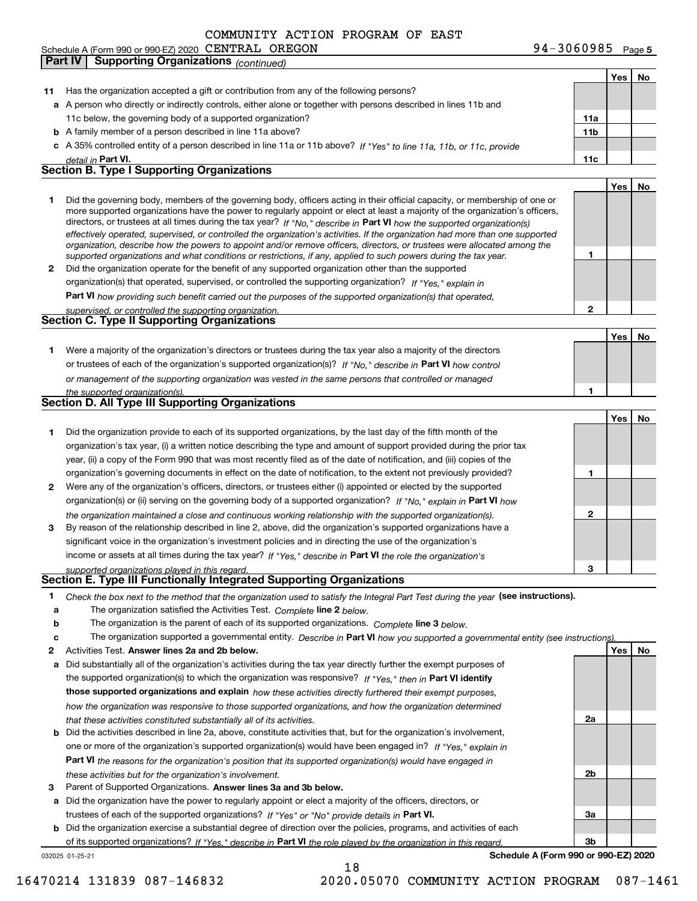|     |                                                                                                                                                                                                                                              |                 | Yes | No |
|-----|----------------------------------------------------------------------------------------------------------------------------------------------------------------------------------------------------------------------------------------------|-----------------|-----|----|
| 11. | Has the organization accepted a gift or contribution from any of the following persons?                                                                                                                                                      |                 |     |    |
|     | a A person who directly or indirectly controls, either alone or together with persons described in lines 11b and                                                                                                                             |                 |     |    |
|     | 11c below, the governing body of a supported organization?                                                                                                                                                                                   | 11a             |     |    |
|     | <b>b</b> A family member of a person described in line 11a above?                                                                                                                                                                            | 11 <sub>b</sub> |     |    |
|     | c A 35% controlled entity of a person described in line 11a or 11b above? If "Yes" to line 11a, 11b, or 11c, provide                                                                                                                         |                 |     |    |
|     | detail in Part VI.                                                                                                                                                                                                                           | 11c             |     |    |
|     | <b>Section B. Type I Supporting Organizations</b>                                                                                                                                                                                            |                 |     |    |
|     |                                                                                                                                                                                                                                              |                 | Yes | No |
| 1   | Did the governing body, members of the governing body, officers acting in their official capacity, or membership of one or                                                                                                                   |                 |     |    |
|     | more supported organizations have the power to regularly appoint or elect at least a majority of the organization's officers,                                                                                                                |                 |     |    |
|     | directors, or trustees at all times during the tax year? If "No," describe in Part VI how the supported organization(s)                                                                                                                      |                 |     |    |
|     | effectively operated, supervised, or controlled the organization's activities. If the organization had more than one supported                                                                                                               |                 |     |    |
|     | organization, describe how the powers to appoint and/or remove officers, directors, or trustees were allocated among the<br>supported organizations and what conditions or restrictions, if any, applied to such powers during the tax year. | 1               |     |    |
| 2   | Did the organization operate for the benefit of any supported organization other than the supported                                                                                                                                          |                 |     |    |
|     | organization(s) that operated, supervised, or controlled the supporting organization? If "Yes," explain in                                                                                                                                   |                 |     |    |
|     | Part VI how providing such benefit carried out the purposes of the supported organization(s) that operated,                                                                                                                                  |                 |     |    |
|     |                                                                                                                                                                                                                                              | 2               |     |    |
|     | supervised, or controlled the supporting organization.<br>Section C. Type II Supporting Organizations                                                                                                                                        |                 |     |    |
|     |                                                                                                                                                                                                                                              |                 | Yes | No |
| 1.  | Were a majority of the organization's directors or trustees during the tax year also a majority of the directors                                                                                                                             |                 |     |    |
|     | or trustees of each of the organization's supported organization(s)? If "No." describe in Part VI how control                                                                                                                                |                 |     |    |
|     | or management of the supporting organization was vested in the same persons that controlled or managed                                                                                                                                       |                 |     |    |
|     | the supported organization(s).                                                                                                                                                                                                               | 1               |     |    |
|     | Section D. All Type III Supporting Organizations                                                                                                                                                                                             |                 |     |    |
|     |                                                                                                                                                                                                                                              |                 | Yes | No |
| 1   | Did the organization provide to each of its supported organizations, by the last day of the fifth month of the                                                                                                                               |                 |     |    |
|     | organization's tax year, (i) a written notice describing the type and amount of support provided during the prior tax                                                                                                                        |                 |     |    |
|     | year, (ii) a copy of the Form 990 that was most recently filed as of the date of notification, and (iii) copies of the                                                                                                                       |                 |     |    |
|     | organization's governing documents in effect on the date of notification, to the extent not previously provided?                                                                                                                             | 1               |     |    |
| 2   | Were any of the organization's officers, directors, or trustees either (i) appointed or elected by the supported                                                                                                                             |                 |     |    |
|     | organization(s) or (ii) serving on the governing body of a supported organization? If "No," explain in Part VI how                                                                                                                           |                 |     |    |
|     | the organization maintained a close and continuous working relationship with the supported organization(s).                                                                                                                                  | 2               |     |    |
| 3   | By reason of the relationship described in line 2, above, did the organization's supported organizations have a                                                                                                                              |                 |     |    |
|     | significant voice in the organization's investment policies and in directing the use of the organization's                                                                                                                                   |                 |     |    |
|     | income or assets at all times during the tax year? If "Yes," describe in Part VI the role the organization's                                                                                                                                 |                 |     |    |
|     | supported organizations played in this regard.                                                                                                                                                                                               | 3               |     |    |
|     | Section E. Type III Functionally Integrated Supporting Organizations                                                                                                                                                                         |                 |     |    |
| 1   | Check the box next to the method that the organization used to satisfy the Integral Part Test during the year (see instructions).                                                                                                            |                 |     |    |
| a   | The organization satisfied the Activities Test. Complete line 2 below.                                                                                                                                                                       |                 |     |    |
| b   | The organization is the parent of each of its supported organizations. Complete line 3 below.                                                                                                                                                |                 |     |    |
| c   | The organization supported a governmental entity. Describe in Part VI how you supported a governmental entity (see instructions).                                                                                                            |                 |     |    |
| 2   | Activities Test. Answer lines 2a and 2b below.                                                                                                                                                                                               |                 | Yes | No |
| а   | Did substantially all of the organization's activities during the tax year directly further the exempt purposes of                                                                                                                           |                 |     |    |
|     | the supported organization(s) to which the organization was responsive? If "Yes." then in Part VI identify                                                                                                                                   |                 |     |    |
|     | those supported organizations and explain how these activities directly furthered their exempt purposes,                                                                                                                                     |                 |     |    |
|     | how the organization was responsive to those supported organizations, and how the organization determined                                                                                                                                    |                 |     |    |
|     | that these activities constituted substantially all of its activities.                                                                                                                                                                       | 2a              |     |    |
|     | <b>b</b> Did the activities described in line 2a, above, constitute activities that, but for the organization's involvement,                                                                                                                 |                 |     |    |
|     | one or more of the organization's supported organization(s) would have been engaged in? If "Yes," explain in                                                                                                                                 |                 |     |    |
|     | <b>Part VI</b> the reasons for the organization's position that its supported organization(s) would have engaged in                                                                                                                          |                 |     |    |
|     | these activities but for the organization's involvement.                                                                                                                                                                                     | 2b              |     |    |
| 3   | Parent of Supported Organizations. Answer lines 3a and 3b below.                                                                                                                                                                             |                 |     |    |
| а   | Did the organization have the power to regularly appoint or elect a majority of the officers, directors, or                                                                                                                                  |                 |     |    |
|     | trustees of each of the supported organizations? If "Yes" or "No" provide details in Part VI.                                                                                                                                                | За              |     |    |
|     | <b>b</b> Did the organization exercise a substantial degree of direction over the policies, programs, and activities of each                                                                                                                 |                 |     |    |
|     | of its supported organizations? If "Yes " describe in <b>Part VI</b> the role played by the organization in this regard                                                                                                                      | 3b              |     |    |

032025 01-25-21

16470214 131839 087-146832 2020.05070 COMMUNITY ACTION PROGRAM 087-1461

**Part IV Supporting Organizations** *(continued)*

|                |                                                                                                                        |   | Yes⊺ | <b>No</b> |
|----------------|------------------------------------------------------------------------------------------------------------------------|---|------|-----------|
|                | Did the organization provide to each of its supported organizations, by the last day of the fifth month of the         |   |      |           |
|                | organization's tax year, (i) a written notice describing the type and amount of support provided during the prior tax  |   |      |           |
|                | year, (ii) a copy of the Form 990 that was most recently filed as of the date of notification, and (iii) copies of the |   |      |           |
|                | organization's governing documents in effect on the date of notification, to the extent not previously provided?       |   |      |           |
| $\overline{2}$ | Were any of the organization's officers, directors, or trustees either (i) appointed or elected by the supported       |   |      |           |
|                | organization(s) or (ii) serving on the governing body of a supported organization? If "No." explain in Part VI how     |   |      |           |
|                | the organization maintained a close and continuous working relationship with the supported organization(s).            | 2 |      |           |
| 3              | By reason of the relationship described in line 2, above, did the organization's supported organizations have a        |   |      |           |
|                | significant voice in the organization's investment policies and in directing the use of the organization's             |   |      |           |
|                | income or assets at all times during the tax year? If "Yes," describe in Part VI the role the organization's           |   |      |           |
|                | supported organizations played in this regard.                                                                         | з |      |           |

**Part VI**  *If "Yes," describe in the role played by the organization in this regard.* of its supported organizations?

18

**Schedule A (Form 990 or 990-EZ) 2020**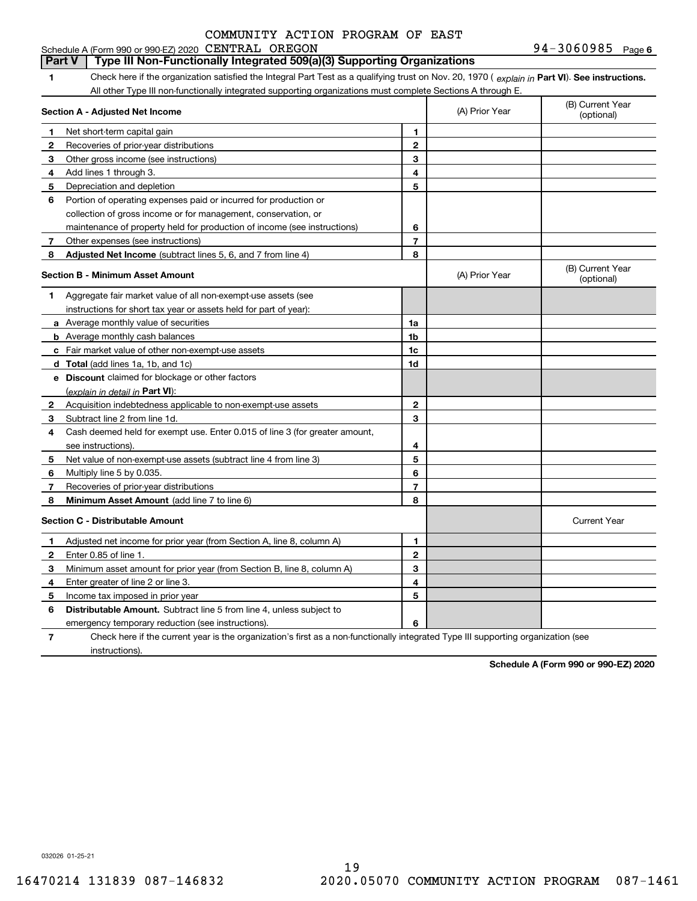#### **1Part VI** Check here if the organization satisfied the Integral Part Test as a qualifying trust on Nov. 20, 1970 ( *explain in* Part VI). See instructions.<br>All other Type III pen functionally integrated supporting examizat **Section A - Adjusted Net Income 123** Other gross income (see instructions) **456** Portion of operating expenses paid or incurred for production or **7** Other expenses (see instructions) **8** Adjusted Net Income (subtract lines 5, 6, and 7 from line 4) **8 8 1234567Section B - Minimum Asset Amount 1**Aggregate fair market value of all non-exempt-use assets (see **2**Acquisition indebtedness applicable to non-exempt-use assets **3** Subtract line 2 from line 1d. **4**Cash deemed held for exempt use. Enter 0.015 of line 3 (for greater amount, **5** Net value of non-exempt-use assets (subtract line 4 from line 3) **678a** Average monthly value of securities **b** Average monthly cash balances **c**Fair market value of other non-exempt-use assets **dTotal**  (add lines 1a, 1b, and 1c) **eDiscount** claimed for blockage or other factors **1a1b1c1d2345678**<u>(explain in detail in **Part VI**):</u> **Minimum Asset Amount**  (add line 7 to line 6) **Section C - Distributable Amount 123456123456Distributable Amount.** Subtract line 5 from line 4, unless subject to All other Type III non-functionally integrated supporting organizations must complete Sections A through E. (B) Current Year (optional)(A) Prior Year Net short-term capital gain Recoveries of prior-year distributions Add lines 1 through 3. Depreciation and depletion collection of gross income or for management, conservation, or maintenance of property held for production of income (see instructions) (B) Current Year (optional)(A) Prior Year instructions for short tax year or assets held for part of year): see instructions). Multiply line 5 by 0.035. Recoveries of prior-year distributions Current Year Adjusted net income for prior year (from Section A, line 8, column A) Enter 0.85 of line 1. Minimum asset amount for prior year (from Section B, line 8, column A) Enter greater of line 2 or line 3. Income tax imposed in prior year emergency temporary reduction (see instructions). **Part V** Type III Non-Functionally Integrated 509(a)(3) Supporting Organizations

**7**Check here if the current year is the organization's first as a non-functionally integrated Type III supporting organization (see instructions).

**Schedule A (Form 990 or 990-EZ) 2020**

032026 01-25-21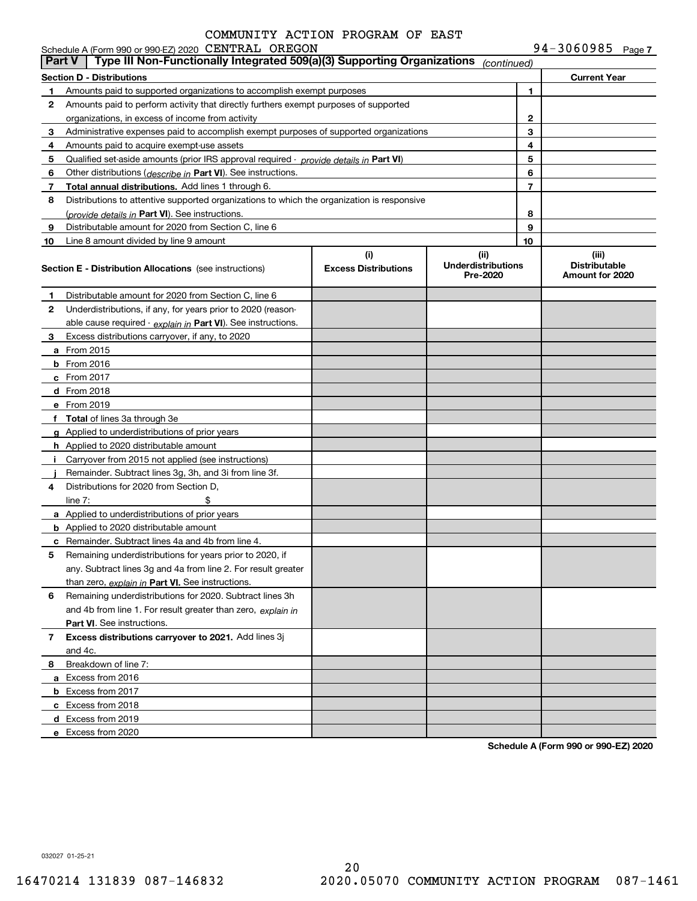**7** $QA = 3060985$ 

|        | Schedule A (Form 990 or 990-EZ) 2020 CENTRAL OREGON<br>Type III Non-Functionally Integrated 509(a)(3) Supporting Organizations<br><b>Part V</b>               |                             |                                       |              | $94 - 3060985$ Page 7                   |
|--------|---------------------------------------------------------------------------------------------------------------------------------------------------------------|-----------------------------|---------------------------------------|--------------|-----------------------------------------|
|        |                                                                                                                                                               |                             | (continued)                           |              |                                         |
|        | <b>Section D - Distributions</b>                                                                                                                              |                             |                                       |              | <b>Current Year</b>                     |
| 1      | Amounts paid to supported organizations to accomplish exempt purposes<br>Amounts paid to perform activity that directly furthers exempt purposes of supported |                             |                                       | 1            |                                         |
| 2      |                                                                                                                                                               |                             |                                       | $\mathbf{2}$ |                                         |
|        | organizations, in excess of income from activity<br>Administrative expenses paid to accomplish exempt purposes of supported organizations                     |                             |                                       | 3            |                                         |
| 3<br>4 |                                                                                                                                                               |                             | 4                                     |              |                                         |
| 5      | Amounts paid to acquire exempt-use assets<br>Qualified set-aside amounts (prior IRS approval required - provide details in Part VI)                           |                             | 5                                     |              |                                         |
| 6      | Other distributions ( <i>describe in</i> Part VI). See instructions.                                                                                          |                             |                                       | 6            |                                         |
| 7      | Total annual distributions. Add lines 1 through 6.                                                                                                            |                             |                                       | 7            |                                         |
| 8      | Distributions to attentive supported organizations to which the organization is responsive                                                                    |                             |                                       |              |                                         |
|        | (provide details in Part VI). See instructions.                                                                                                               |                             |                                       | 8            |                                         |
| 9      | Distributable amount for 2020 from Section C, line 6                                                                                                          |                             |                                       | 9            |                                         |
| 10     | Line 8 amount divided by line 9 amount                                                                                                                        |                             |                                       | 10           |                                         |
|        |                                                                                                                                                               | (i)                         | (ii)                                  |              | (iii)                                   |
|        | <b>Section E - Distribution Allocations</b> (see instructions)                                                                                                | <b>Excess Distributions</b> | <b>Underdistributions</b><br>Pre-2020 |              | <b>Distributable</b><br>Amount for 2020 |
| 1      | Distributable amount for 2020 from Section C, line 6                                                                                                          |                             |                                       |              |                                         |
| 2      | Underdistributions, if any, for years prior to 2020 (reason-                                                                                                  |                             |                                       |              |                                         |
|        | able cause required - explain in Part VI). See instructions.                                                                                                  |                             |                                       |              |                                         |
| 3      | Excess distributions carryover, if any, to 2020                                                                                                               |                             |                                       |              |                                         |
|        | a From 2015                                                                                                                                                   |                             |                                       |              |                                         |
|        | $b$ From 2016                                                                                                                                                 |                             |                                       |              |                                         |
|        | $c$ From 2017                                                                                                                                                 |                             |                                       |              |                                         |
|        | d From 2018                                                                                                                                                   |                             |                                       |              |                                         |
|        | e From 2019                                                                                                                                                   |                             |                                       |              |                                         |
|        | f Total of lines 3a through 3e                                                                                                                                |                             |                                       |              |                                         |
|        | g Applied to underdistributions of prior years                                                                                                                |                             |                                       |              |                                         |
|        | h Applied to 2020 distributable amount                                                                                                                        |                             |                                       |              |                                         |
|        | Carryover from 2015 not applied (see instructions)                                                                                                            |                             |                                       |              |                                         |
|        | Remainder. Subtract lines 3g, 3h, and 3i from line 3f.                                                                                                        |                             |                                       |              |                                         |
| 4      | Distributions for 2020 from Section D,                                                                                                                        |                             |                                       |              |                                         |
|        | \$<br>line $7:$                                                                                                                                               |                             |                                       |              |                                         |
|        | a Applied to underdistributions of prior years                                                                                                                |                             |                                       |              |                                         |
|        | <b>b</b> Applied to 2020 distributable amount                                                                                                                 |                             |                                       |              |                                         |
|        | <b>c</b> Remainder. Subtract lines 4a and 4b from line 4.                                                                                                     |                             |                                       |              |                                         |
| 5      | Remaining underdistributions for years prior to 2020, if                                                                                                      |                             |                                       |              |                                         |
|        | any. Subtract lines 3g and 4a from line 2. For result greater                                                                                                 |                             |                                       |              |                                         |
|        | than zero, explain in Part VI. See instructions.                                                                                                              |                             |                                       |              |                                         |
| 6      | Remaining underdistributions for 2020. Subtract lines 3h                                                                                                      |                             |                                       |              |                                         |
|        | and 4b from line 1. For result greater than zero, explain in                                                                                                  |                             |                                       |              |                                         |
|        | <b>Part VI.</b> See instructions.                                                                                                                             |                             |                                       |              |                                         |
| 7      | Excess distributions carryover to 2021. Add lines 3j                                                                                                          |                             |                                       |              |                                         |
|        | and 4c.                                                                                                                                                       |                             |                                       |              |                                         |
| 8      | Breakdown of line 7:                                                                                                                                          |                             |                                       |              |                                         |
|        | a Excess from 2016                                                                                                                                            |                             |                                       |              |                                         |
|        | <b>b</b> Excess from 2017                                                                                                                                     |                             |                                       |              |                                         |
|        | c Excess from 2018                                                                                                                                            |                             |                                       |              |                                         |
|        | d Excess from 2019                                                                                                                                            |                             |                                       |              |                                         |
|        | e Excess from 2020                                                                                                                                            |                             |                                       |              |                                         |

**Schedule A (Form 990 or 990-EZ) 2020**

032027 01-25-21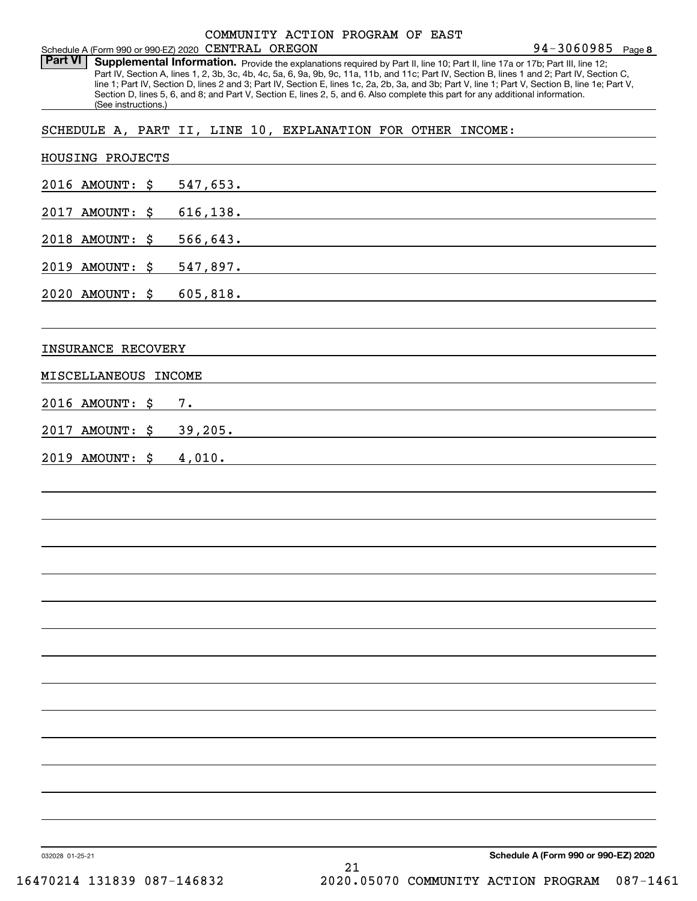Part VI | Supplemental Information. Provide the explanations required by Part II, line 10; Part II, line 17a or 17b; Part III, line 12; Part IV, Section A, lines 1, 2, 3b, 3c, 4b, 4c, 5a, 6, 9a, 9b, 9c, 11a, 11b, and 11c; Part IV, Section B, lines 1 and 2; Part IV, Section C, line 1; Part IV, Section D, lines 2 and 3; Part IV, Section E, lines 1c, 2a, 2b, 3a, and 3b; Part V, line 1; Part V, Section B, line 1e; Part V, Section D, lines 5, 6, and 8; and Part V, Section E, lines 2, 5, and 6. Also complete this part for any additional information. (See instructions.)

### SCHEDULE A, PART II, LINE 10, EXPLANATION FOR OTHER INCOME:

| HOUSING PROJECTS         |                                      |
|--------------------------|--------------------------------------|
| 2016 AMOUNT: \$          | 547,653.                             |
| 2017 AMOUNT: \$          | 616, 138.                            |
| 2018 AMOUNT: \$          | 566, 643.                            |
| 2019 AMOUNT: \$          | 547,897.                             |
| 2020 AMOUNT: \$ 605,818. |                                      |
|                          |                                      |
| INSURANCE RECOVERY       |                                      |
| MISCELLANEOUS INCOME     |                                      |
| 2016 AMOUNT: \$          | 7.                                   |
| 2017 AMOUNT: \$ 39,205.  |                                      |
| 2019 AMOUNT: \$ 4,010.   |                                      |
|                          |                                      |
|                          |                                      |
|                          |                                      |
|                          |                                      |
|                          |                                      |
|                          |                                      |
|                          |                                      |
|                          |                                      |
|                          |                                      |
|                          |                                      |
|                          |                                      |
|                          |                                      |
|                          |                                      |
|                          |                                      |
| 032028 01-25-21          | Schedule A (Form 990 or 990-EZ) 2020 |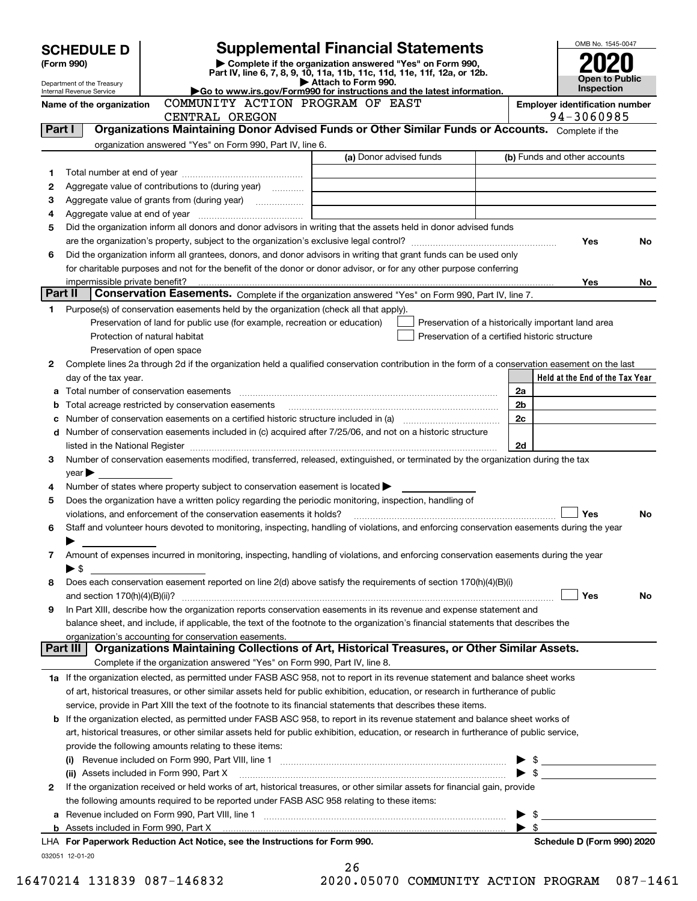|                                                                                                       | <b>SCHEDULE D</b>                                      |                                                                                                        | <b>Supplemental Financial Statements</b>                                                                                                                                                                                      |                                                    | OMB No. 1545-0047                                                                                                                                                                                                                                                                                                   |  |
|-------------------------------------------------------------------------------------------------------|--------------------------------------------------------|--------------------------------------------------------------------------------------------------------|-------------------------------------------------------------------------------------------------------------------------------------------------------------------------------------------------------------------------------|----------------------------------------------------|---------------------------------------------------------------------------------------------------------------------------------------------------------------------------------------------------------------------------------------------------------------------------------------------------------------------|--|
|                                                                                                       | (Form 990)                                             |                                                                                                        | Complete if the organization answered "Yes" on Form 990,                                                                                                                                                                      |                                                    |                                                                                                                                                                                                                                                                                                                     |  |
|                                                                                                       |                                                        |                                                                                                        | Part IV, line 6, 7, 8, 9, 10, 11a, 11b, 11c, 11d, 11e, 11f, 12a, or 12b.                                                                                                                                                      |                                                    | <b>Open to Public</b>                                                                                                                                                                                                                                                                                               |  |
|                                                                                                       | Department of the Treasury<br>Internal Revenue Service |                                                                                                        | Attach to Form 990.<br>Go to www.irs.gov/Form990 for instructions and the latest information.                                                                                                                                 |                                                    | Inspection                                                                                                                                                                                                                                                                                                          |  |
| COMMUNITY ACTION PROGRAM OF EAST<br><b>Employer identification number</b><br>Name of the organization |                                                        |                                                                                                        |                                                                                                                                                                                                                               |                                                    |                                                                                                                                                                                                                                                                                                                     |  |
|                                                                                                       |                                                        | CENTRAL OREGON                                                                                         |                                                                                                                                                                                                                               |                                                    | 94-3060985                                                                                                                                                                                                                                                                                                          |  |
| Part I                                                                                                |                                                        |                                                                                                        | Organizations Maintaining Donor Advised Funds or Other Similar Funds or Accounts. Complete if the                                                                                                                             |                                                    |                                                                                                                                                                                                                                                                                                                     |  |
|                                                                                                       |                                                        | organization answered "Yes" on Form 990, Part IV, line 6.                                              |                                                                                                                                                                                                                               |                                                    |                                                                                                                                                                                                                                                                                                                     |  |
|                                                                                                       |                                                        |                                                                                                        | (a) Donor advised funds                                                                                                                                                                                                       |                                                    | (b) Funds and other accounts                                                                                                                                                                                                                                                                                        |  |
| 1                                                                                                     |                                                        |                                                                                                        |                                                                                                                                                                                                                               |                                                    |                                                                                                                                                                                                                                                                                                                     |  |
| 2                                                                                                     |                                                        | Aggregate value of contributions to (during year)                                                      |                                                                                                                                                                                                                               |                                                    |                                                                                                                                                                                                                                                                                                                     |  |
| 3                                                                                                     |                                                        | Aggregate value of grants from (during year)                                                           |                                                                                                                                                                                                                               |                                                    |                                                                                                                                                                                                                                                                                                                     |  |
| 4                                                                                                     |                                                        |                                                                                                        |                                                                                                                                                                                                                               |                                                    |                                                                                                                                                                                                                                                                                                                     |  |
| 5                                                                                                     |                                                        |                                                                                                        | Did the organization inform all donors and donor advisors in writing that the assets held in donor advised funds                                                                                                              |                                                    |                                                                                                                                                                                                                                                                                                                     |  |
|                                                                                                       |                                                        |                                                                                                        |                                                                                                                                                                                                                               |                                                    | Yes<br>No.                                                                                                                                                                                                                                                                                                          |  |
| 6                                                                                                     |                                                        |                                                                                                        | Did the organization inform all grantees, donors, and donor advisors in writing that grant funds can be used only                                                                                                             |                                                    |                                                                                                                                                                                                                                                                                                                     |  |
|                                                                                                       |                                                        |                                                                                                        | for charitable purposes and not for the benefit of the donor or donor advisor, or for any other purpose conferring                                                                                                            |                                                    |                                                                                                                                                                                                                                                                                                                     |  |
|                                                                                                       | impermissible private benefit?                         |                                                                                                        |                                                                                                                                                                                                                               |                                                    | Yes<br>No.                                                                                                                                                                                                                                                                                                          |  |
| Part II                                                                                               |                                                        |                                                                                                        | Conservation Easements. Complete if the organization answered "Yes" on Form 990, Part IV, line 7.                                                                                                                             |                                                    |                                                                                                                                                                                                                                                                                                                     |  |
| 1.                                                                                                    |                                                        | Purpose(s) of conservation easements held by the organization (check all that apply).                  |                                                                                                                                                                                                                               |                                                    |                                                                                                                                                                                                                                                                                                                     |  |
|                                                                                                       |                                                        | Preservation of land for public use (for example, recreation or education)                             |                                                                                                                                                                                                                               | Preservation of a historically important land area |                                                                                                                                                                                                                                                                                                                     |  |
|                                                                                                       |                                                        | Protection of natural habitat                                                                          |                                                                                                                                                                                                                               | Preservation of a certified historic structure     |                                                                                                                                                                                                                                                                                                                     |  |
|                                                                                                       | Preservation of open space                             |                                                                                                        |                                                                                                                                                                                                                               |                                                    |                                                                                                                                                                                                                                                                                                                     |  |
| 2                                                                                                     |                                                        |                                                                                                        | Complete lines 2a through 2d if the organization held a qualified conservation contribution in the form of a conservation easement on the last                                                                                |                                                    |                                                                                                                                                                                                                                                                                                                     |  |
|                                                                                                       | day of the tax year.                                   |                                                                                                        |                                                                                                                                                                                                                               |                                                    | Held at the End of the Tax Year                                                                                                                                                                                                                                                                                     |  |
| a                                                                                                     |                                                        | Total number of conservation easements                                                                 |                                                                                                                                                                                                                               | 2a                                                 |                                                                                                                                                                                                                                                                                                                     |  |
| b                                                                                                     |                                                        | Total acreage restricted by conservation easements                                                     |                                                                                                                                                                                                                               | 2 <sub>b</sub>                                     |                                                                                                                                                                                                                                                                                                                     |  |
| с                                                                                                     |                                                        |                                                                                                        |                                                                                                                                                                                                                               | 2c                                                 |                                                                                                                                                                                                                                                                                                                     |  |
| d                                                                                                     |                                                        |                                                                                                        | Number of conservation easements included in (c) acquired after 7/25/06, and not on a historic structure                                                                                                                      |                                                    |                                                                                                                                                                                                                                                                                                                     |  |
|                                                                                                       |                                                        |                                                                                                        | listed in the National Register [111] Marshall Register [11] Marshall Register [11] Marshall Register [11] Marshall Register [11] Marshall Register [11] Marshall Register [11] Marshall Register [11] Marshall Register [11] | 2d                                                 |                                                                                                                                                                                                                                                                                                                     |  |
| З.                                                                                                    |                                                        |                                                                                                        | Number of conservation easements modified, transferred, released, extinguished, or terminated by the organization during the tax                                                                                              |                                                    |                                                                                                                                                                                                                                                                                                                     |  |
|                                                                                                       | year $\blacktriangleright$                             |                                                                                                        |                                                                                                                                                                                                                               |                                                    |                                                                                                                                                                                                                                                                                                                     |  |
| 4                                                                                                     |                                                        | Number of states where property subject to conservation easement is located                            |                                                                                                                                                                                                                               |                                                    |                                                                                                                                                                                                                                                                                                                     |  |
| 5                                                                                                     |                                                        | Does the organization have a written policy regarding the periodic monitoring, inspection, handling of |                                                                                                                                                                                                                               |                                                    |                                                                                                                                                                                                                                                                                                                     |  |
|                                                                                                       |                                                        | violations, and enforcement of the conservation easements it holds?                                    |                                                                                                                                                                                                                               |                                                    | Yes<br>No                                                                                                                                                                                                                                                                                                           |  |
| 6                                                                                                     |                                                        |                                                                                                        | Staff and volunteer hours devoted to monitoring, inspecting, handling of violations, and enforcing conservation easements during the year                                                                                     |                                                    |                                                                                                                                                                                                                                                                                                                     |  |
|                                                                                                       |                                                        |                                                                                                        |                                                                                                                                                                                                                               |                                                    |                                                                                                                                                                                                                                                                                                                     |  |
| 7                                                                                                     |                                                        |                                                                                                        | Amount of expenses incurred in monitoring, inspecting, handling of violations, and enforcing conservation easements during the year                                                                                           |                                                    |                                                                                                                                                                                                                                                                                                                     |  |
|                                                                                                       | ▶ \$                                                   |                                                                                                        |                                                                                                                                                                                                                               |                                                    |                                                                                                                                                                                                                                                                                                                     |  |
| 8                                                                                                     |                                                        |                                                                                                        | Does each conservation easement reported on line 2(d) above satisfy the requirements of section 170(h)(4)(B)(i)                                                                                                               |                                                    |                                                                                                                                                                                                                                                                                                                     |  |
|                                                                                                       |                                                        |                                                                                                        |                                                                                                                                                                                                                               |                                                    | Yes<br>No                                                                                                                                                                                                                                                                                                           |  |
| 9                                                                                                     |                                                        |                                                                                                        | In Part XIII, describe how the organization reports conservation easements in its revenue and expense statement and                                                                                                           |                                                    |                                                                                                                                                                                                                                                                                                                     |  |
|                                                                                                       |                                                        |                                                                                                        | balance sheet, and include, if applicable, the text of the footnote to the organization's financial statements that describes the                                                                                             |                                                    |                                                                                                                                                                                                                                                                                                                     |  |
|                                                                                                       |                                                        | organization's accounting for conservation easements.                                                  |                                                                                                                                                                                                                               |                                                    |                                                                                                                                                                                                                                                                                                                     |  |
|                                                                                                       | Part III                                               |                                                                                                        | Organizations Maintaining Collections of Art, Historical Treasures, or Other Similar Assets.                                                                                                                                  |                                                    |                                                                                                                                                                                                                                                                                                                     |  |
|                                                                                                       |                                                        | Complete if the organization answered "Yes" on Form 990, Part IV, line 8.                              |                                                                                                                                                                                                                               |                                                    |                                                                                                                                                                                                                                                                                                                     |  |
|                                                                                                       |                                                        |                                                                                                        | 1a If the organization elected, as permitted under FASB ASC 958, not to report in its revenue statement and balance sheet works                                                                                               |                                                    |                                                                                                                                                                                                                                                                                                                     |  |
|                                                                                                       |                                                        |                                                                                                        | of art, historical treasures, or other similar assets held for public exhibition, education, or research in furtherance of public                                                                                             |                                                    |                                                                                                                                                                                                                                                                                                                     |  |
|                                                                                                       |                                                        |                                                                                                        | service, provide in Part XIII the text of the footnote to its financial statements that describes these items.                                                                                                                |                                                    |                                                                                                                                                                                                                                                                                                                     |  |
| b                                                                                                     |                                                        |                                                                                                        | If the organization elected, as permitted under FASB ASC 958, to report in its revenue statement and balance sheet works of                                                                                                   |                                                    |                                                                                                                                                                                                                                                                                                                     |  |
|                                                                                                       |                                                        |                                                                                                        | art, historical treasures, or other similar assets held for public exhibition, education, or research in furtherance of public service,                                                                                       |                                                    |                                                                                                                                                                                                                                                                                                                     |  |
|                                                                                                       |                                                        | provide the following amounts relating to these items:                                                 |                                                                                                                                                                                                                               |                                                    |                                                                                                                                                                                                                                                                                                                     |  |
|                                                                                                       |                                                        |                                                                                                        |                                                                                                                                                                                                                               |                                                    | $\frac{1}{2}$ $\frac{1}{2}$ $\frac{1}{2}$ $\frac{1}{2}$ $\frac{1}{2}$ $\frac{1}{2}$ $\frac{1}{2}$ $\frac{1}{2}$ $\frac{1}{2}$ $\frac{1}{2}$ $\frac{1}{2}$ $\frac{1}{2}$ $\frac{1}{2}$ $\frac{1}{2}$ $\frac{1}{2}$ $\frac{1}{2}$ $\frac{1}{2}$ $\frac{1}{2}$ $\frac{1}{2}$ $\frac{1}{2}$ $\frac{1}{2}$ $\frac{1}{2}$ |  |
|                                                                                                       |                                                        | (ii) Assets included in Form 990, Part X                                                               |                                                                                                                                                                                                                               | $\blacktriangleright$ s                            |                                                                                                                                                                                                                                                                                                                     |  |
| 2                                                                                                     |                                                        |                                                                                                        | If the organization received or held works of art, historical treasures, or other similar assets for financial gain, provide                                                                                                  |                                                    |                                                                                                                                                                                                                                                                                                                     |  |
|                                                                                                       |                                                        | the following amounts required to be reported under FASB ASC 958 relating to these items:              |                                                                                                                                                                                                                               |                                                    |                                                                                                                                                                                                                                                                                                                     |  |
| а                                                                                                     |                                                        |                                                                                                        |                                                                                                                                                                                                                               |                                                    | $\blacktriangleright$ \$                                                                                                                                                                                                                                                                                            |  |
|                                                                                                       |                                                        |                                                                                                        |                                                                                                                                                                                                                               | $\blacktriangleright$ s                            |                                                                                                                                                                                                                                                                                                                     |  |
|                                                                                                       |                                                        | LHA For Paperwork Reduction Act Notice, see the Instructions for Form 990.                             |                                                                                                                                                                                                                               |                                                    | Schedule D (Form 990) 2020                                                                                                                                                                                                                                                                                          |  |
|                                                                                                       | 032051 12-01-20                                        |                                                                                                        |                                                                                                                                                                                                                               |                                                    |                                                                                                                                                                                                                                                                                                                     |  |
|                                                                                                       |                                                        |                                                                                                        | 26                                                                                                                                                                                                                            |                                                    |                                                                                                                                                                                                                                                                                                                     |  |

| 16470214 131839 087-14683 |  |  |  |
|---------------------------|--|--|--|
|---------------------------|--|--|--|

| ΔU |                    |
|----|--------------------|
|    | ודותהממרה הרה בה ה |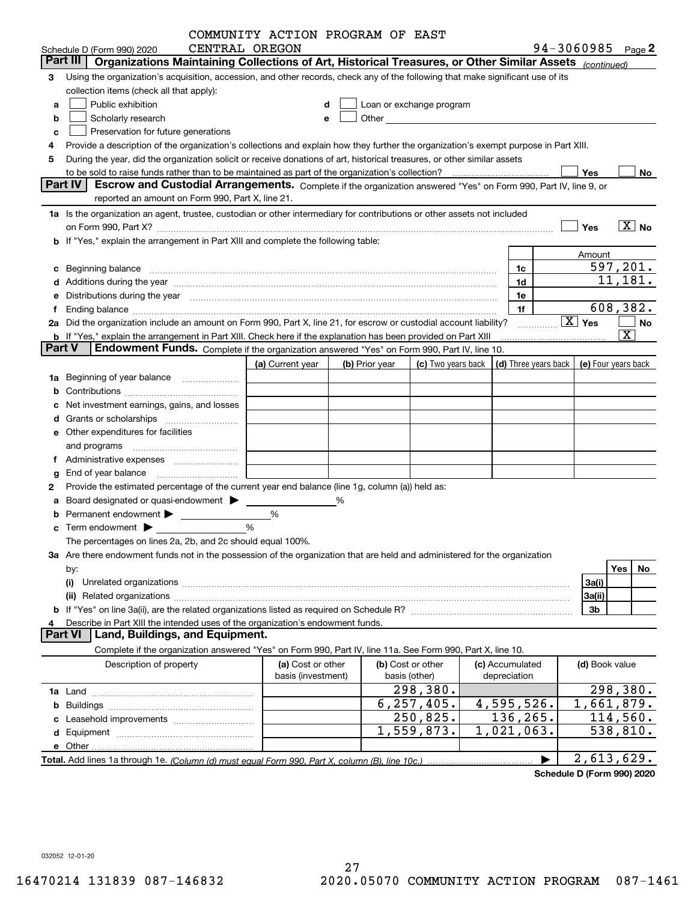|               |                                                                                                                                                                                                                                | COMMUNITY ACTION PROGRAM OF EAST |   |                |                                                                                                                                                                                                                               |                                                          |                        |                         |
|---------------|--------------------------------------------------------------------------------------------------------------------------------------------------------------------------------------------------------------------------------|----------------------------------|---|----------------|-------------------------------------------------------------------------------------------------------------------------------------------------------------------------------------------------------------------------------|----------------------------------------------------------|------------------------|-------------------------|
|               | CENTRAL OREGON<br>Schedule D (Form 990) 2020                                                                                                                                                                                   |                                  |   |                |                                                                                                                                                                                                                               |                                                          | 94-3060985 Page 2      |                         |
|               | Part III<br>Organizations Maintaining Collections of Art, Historical Treasures, or Other Similar Assets (continued)                                                                                                            |                                  |   |                |                                                                                                                                                                                                                               |                                                          |                        |                         |
| 3             | Using the organization's acquisition, accession, and other records, check any of the following that make significant use of its                                                                                                |                                  |   |                |                                                                                                                                                                                                                               |                                                          |                        |                         |
|               | collection items (check all that apply):                                                                                                                                                                                       |                                  |   |                |                                                                                                                                                                                                                               |                                                          |                        |                         |
| a             | Public exhibition                                                                                                                                                                                                              |                                  |   |                | Loan or exchange program                                                                                                                                                                                                      |                                                          |                        |                         |
| b             | Scholarly research                                                                                                                                                                                                             |                                  | е |                | Other and the contract of the contract of the contract of the contract of the contract of the contract of the contract of the contract of the contract of the contract of the contract of the contract of the contract of the |                                                          |                        |                         |
| c             | Preservation for future generations                                                                                                                                                                                            |                                  |   |                |                                                                                                                                                                                                                               |                                                          |                        |                         |
|               | Provide a description of the organization's collections and explain how they further the organization's exempt purpose in Part XIII.                                                                                           |                                  |   |                |                                                                                                                                                                                                                               |                                                          |                        |                         |
| 5             | During the year, did the organization solicit or receive donations of art, historical treasures, or other similar assets                                                                                                       |                                  |   |                |                                                                                                                                                                                                                               |                                                          |                        |                         |
|               | to be sold to raise funds rather than to be maintained as part of the organization's collection?                                                                                                                               |                                  |   |                |                                                                                                                                                                                                                               |                                                          | Yes                    | No                      |
|               | Part IV<br>Escrow and Custodial Arrangements. Complete if the organization answered "Yes" on Form 990, Part IV, line 9, or                                                                                                     |                                  |   |                |                                                                                                                                                                                                                               |                                                          |                        |                         |
|               | reported an amount on Form 990, Part X, line 21.                                                                                                                                                                               |                                  |   |                |                                                                                                                                                                                                                               |                                                          |                        |                         |
|               | 1a Is the organization an agent, trustee, custodian or other intermediary for contributions or other assets not included                                                                                                       |                                  |   |                |                                                                                                                                                                                                                               |                                                          |                        |                         |
|               | on Form 990, Part X? [11] matter contracts and contracts and contracts are contracted as a form 990, Part X?                                                                                                                   |                                  |   |                |                                                                                                                                                                                                                               |                                                          | Yes                    | $\overline{X}$ No       |
|               | <b>b</b> If "Yes," explain the arrangement in Part XIII and complete the following table:                                                                                                                                      |                                  |   |                |                                                                                                                                                                                                                               |                                                          |                        |                         |
|               |                                                                                                                                                                                                                                |                                  |   |                |                                                                                                                                                                                                                               |                                                          | Amount                 |                         |
|               | c Beginning balance measurements and the contract of the contract of the contract of the contract of the contract of the contract of the contract of the contract of the contract of the contract of the contract of the contr |                                  |   |                |                                                                                                                                                                                                                               | 1c                                                       |                        | 597,201.                |
|               | d Additions during the year manufactured and an account of the state of a distribution of Additions during the year                                                                                                            |                                  |   |                |                                                                                                                                                                                                                               | 1d                                                       |                        | 11,181.                 |
|               | e Distributions during the year manufactured and contained and contained and contained and contained and contained and contained and contained and contained and contained and contained and contained and contained and conta |                                  |   |                |                                                                                                                                                                                                                               | 1e                                                       |                        |                         |
| Ť.            |                                                                                                                                                                                                                                |                                  |   |                |                                                                                                                                                                                                                               | 1f                                                       |                        | 608,382.                |
|               | 2a Did the organization include an amount on Form 990, Part X, line 21, for escrow or custodial account liability?                                                                                                             |                                  |   |                |                                                                                                                                                                                                                               | .                                                        | $\boxed{\text{X}}$ Yes | <b>No</b>               |
|               | <b>b</b> If "Yes," explain the arrangement in Part XIII. Check here if the explanation has been provided on Part XIII                                                                                                          |                                  |   |                |                                                                                                                                                                                                                               |                                                          |                        | $\overline{\mathbf{X}}$ |
| <b>Part V</b> | Endowment Funds. Complete if the organization answered "Yes" on Form 990, Part IV, line 10.                                                                                                                                    |                                  |   |                |                                                                                                                                                                                                                               |                                                          |                        |                         |
|               |                                                                                                                                                                                                                                | (a) Current year                 |   | (b) Prior year | (c) Two years back                                                                                                                                                                                                            | $\vert$ (d) Three years back $\vert$ (e) Four years back |                        |                         |
|               |                                                                                                                                                                                                                                |                                  |   |                |                                                                                                                                                                                                                               |                                                          |                        |                         |
|               |                                                                                                                                                                                                                                |                                  |   |                |                                                                                                                                                                                                                               |                                                          |                        |                         |
|               | c Net investment earnings, gains, and losses                                                                                                                                                                                   |                                  |   |                |                                                                                                                                                                                                                               |                                                          |                        |                         |
|               | d Grants or scholarships <i>manually contained</i>                                                                                                                                                                             |                                  |   |                |                                                                                                                                                                                                                               |                                                          |                        |                         |
|               | e Other expenditures for facilities                                                                                                                                                                                            |                                  |   |                |                                                                                                                                                                                                                               |                                                          |                        |                         |
|               | and programs                                                                                                                                                                                                                   |                                  |   |                |                                                                                                                                                                                                                               |                                                          |                        |                         |
|               | f Administrative expenses <i>manually communicative</i>                                                                                                                                                                        |                                  |   |                |                                                                                                                                                                                                                               |                                                          |                        |                         |
|               |                                                                                                                                                                                                                                |                                  |   |                |                                                                                                                                                                                                                               |                                                          |                        |                         |
| 2             | Provide the estimated percentage of the current year end balance (line 1g, column (a)) held as:                                                                                                                                |                                  |   |                |                                                                                                                                                                                                                               |                                                          |                        |                         |
|               | a Board designated or quasi-endowment >                                                                                                                                                                                        |                                  | % |                |                                                                                                                                                                                                                               |                                                          |                        |                         |
|               |                                                                                                                                                                                                                                | %                                |   |                |                                                                                                                                                                                                                               |                                                          |                        |                         |
|               | $\mathbf c$ Term endowment $\blacktriangleright$                                                                                                                                                                               | %                                |   |                |                                                                                                                                                                                                                               |                                                          |                        |                         |
|               | The percentages on lines 2a, 2b, and 2c should equal 100%.                                                                                                                                                                     |                                  |   |                |                                                                                                                                                                                                                               |                                                          |                        |                         |
|               | 3a Are there endowment funds not in the possession of the organization that are held and administered for the organization                                                                                                     |                                  |   |                |                                                                                                                                                                                                                               |                                                          |                        |                         |
|               | by:                                                                                                                                                                                                                            |                                  |   |                |                                                                                                                                                                                                                               |                                                          |                        | Yes<br>No               |
|               | (i)                                                                                                                                                                                                                            |                                  |   |                |                                                                                                                                                                                                                               |                                                          | 3a(i)                  |                         |
|               |                                                                                                                                                                                                                                |                                  |   |                |                                                                                                                                                                                                                               |                                                          | 3a(ii)                 |                         |
|               |                                                                                                                                                                                                                                |                                  |   |                |                                                                                                                                                                                                                               |                                                          | 3b                     |                         |
| 4             | Describe in Part XIII the intended uses of the organization's endowment funds.                                                                                                                                                 |                                  |   |                |                                                                                                                                                                                                                               |                                                          |                        |                         |
|               | <b>Part VI</b><br>Land, Buildings, and Equipment.                                                                                                                                                                              |                                  |   |                |                                                                                                                                                                                                                               |                                                          |                        |                         |
|               | Complete if the organization answered "Yes" on Form 990, Part IV, line 11a. See Form 990, Part X, line 10.                                                                                                                     |                                  |   |                |                                                                                                                                                                                                                               |                                                          |                        |                         |
|               | Description of property                                                                                                                                                                                                        | (a) Cost or other                |   |                | (b) Cost or other                                                                                                                                                                                                             | (c) Accumulated                                          | (d) Book value         |                         |
|               |                                                                                                                                                                                                                                | basis (investment)               |   |                | basis (other)                                                                                                                                                                                                                 | depreciation                                             |                        |                         |
|               |                                                                                                                                                                                                                                |                                  |   |                | 298,380.                                                                                                                                                                                                                      |                                                          |                        | 298,380.                |
|               |                                                                                                                                                                                                                                |                                  |   |                | 6, 257, 405.                                                                                                                                                                                                                  | 4,595,526.                                               | 1,661,879.             |                         |
|               |                                                                                                                                                                                                                                |                                  |   |                | 250,825.                                                                                                                                                                                                                      | 136,265.                                                 |                        | 114,560.                |
|               |                                                                                                                                                                                                                                |                                  |   |                | 1,559,873.                                                                                                                                                                                                                    | 1,021,063.                                               |                        | 538,810.                |
|               |                                                                                                                                                                                                                                |                                  |   |                |                                                                                                                                                                                                                               |                                                          |                        |                         |
|               |                                                                                                                                                                                                                                |                                  |   |                |                                                                                                                                                                                                                               |                                                          | 2,613,629.             |                         |

**Schedule D (Form 990) 2020**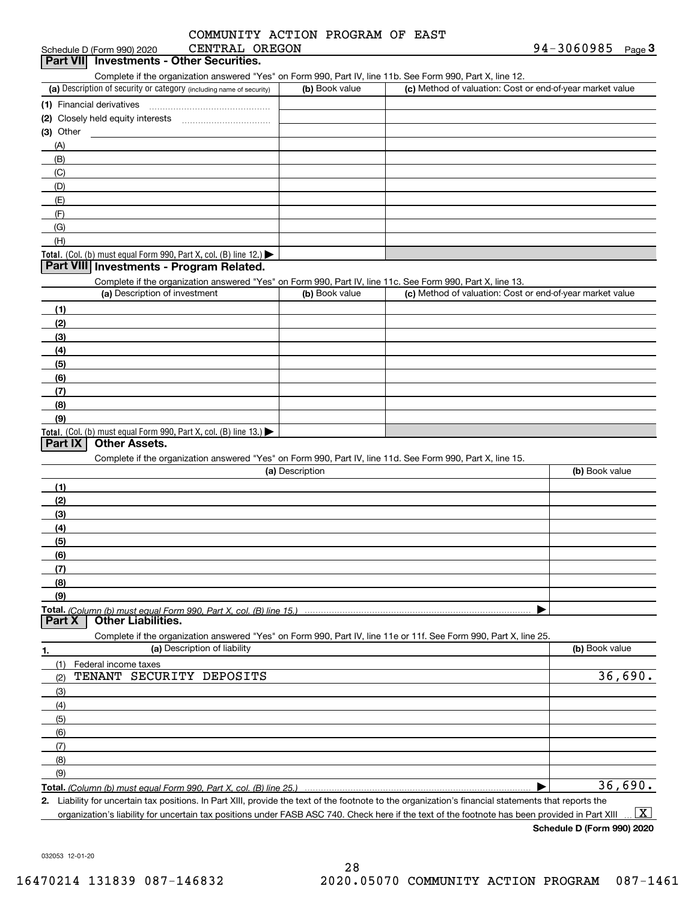| COMMUNITY ACTION PROGRAM OF EAST |  |  |  |
|----------------------------------|--|--|--|
| CENTRAL OREGON                   |  |  |  |

| CENTRAL OREGON<br>Schedule D (Form 990) 2020                                                                      |                 |                                                           | 94-3060985<br>Page $3$ |
|-------------------------------------------------------------------------------------------------------------------|-----------------|-----------------------------------------------------------|------------------------|
| Part VII Investments - Other Securities.                                                                          |                 |                                                           |                        |
| Complete if the organization answered "Yes" on Form 990, Part IV, line 11b. See Form 990, Part X, line 12.        |                 |                                                           |                        |
| (a) Description of security or category (including name of security)                                              | (b) Book value  | (c) Method of valuation: Cost or end-of-year market value |                        |
|                                                                                                                   |                 |                                                           |                        |
|                                                                                                                   |                 |                                                           |                        |
| $(3)$ Other                                                                                                       |                 |                                                           |                        |
| (A)                                                                                                               |                 |                                                           |                        |
| (B)                                                                                                               |                 |                                                           |                        |
| (C)                                                                                                               |                 |                                                           |                        |
| (D)                                                                                                               |                 |                                                           |                        |
| (E)                                                                                                               |                 |                                                           |                        |
| (F)                                                                                                               |                 |                                                           |                        |
| (G)                                                                                                               |                 |                                                           |                        |
| (H)                                                                                                               |                 |                                                           |                        |
| Total. (Col. (b) must equal Form 990, Part X, col. (B) line 12.) $\blacktriangleright$                            |                 |                                                           |                        |
| Part VIII Investments - Program Related.                                                                          |                 |                                                           |                        |
| Complete if the organization answered "Yes" on Form 990, Part IV, line 11c. See Form 990, Part X, line 13.        |                 |                                                           |                        |
| (a) Description of investment                                                                                     | (b) Book value  | (c) Method of valuation: Cost or end-of-year market value |                        |
| (1)                                                                                                               |                 |                                                           |                        |
| (2)                                                                                                               |                 |                                                           |                        |
| (3)                                                                                                               |                 |                                                           |                        |
| (4)                                                                                                               |                 |                                                           |                        |
| (5)                                                                                                               |                 |                                                           |                        |
| (6)                                                                                                               |                 |                                                           |                        |
| (7)                                                                                                               |                 |                                                           |                        |
| (8)                                                                                                               |                 |                                                           |                        |
| (9)                                                                                                               |                 |                                                           |                        |
| Total. (Col. (b) must equal Form 990, Part X, col. (B) line 13.)                                                  |                 |                                                           |                        |
| <b>Other Assets.</b><br>Part IX                                                                                   |                 |                                                           |                        |
| Complete if the organization answered "Yes" on Form 990, Part IV, line 11d. See Form 990, Part X, line 15.        |                 |                                                           |                        |
|                                                                                                                   | (a) Description |                                                           | (b) Book value         |
| (1)                                                                                                               |                 |                                                           |                        |
| (2)                                                                                                               |                 |                                                           |                        |
| (3)                                                                                                               |                 |                                                           |                        |
| (4)                                                                                                               |                 |                                                           |                        |
| (5)                                                                                                               |                 |                                                           |                        |
| (6)                                                                                                               |                 |                                                           |                        |
| (7)                                                                                                               |                 |                                                           |                        |
| (8)                                                                                                               |                 |                                                           |                        |
| (9)                                                                                                               |                 |                                                           |                        |
| Total. (Column (b) must equal Form 990. Part X, col. (B) line 15.)                                                |                 |                                                           |                        |
| <b>Other Liabilities.</b><br>Part X                                                                               |                 |                                                           |                        |
| Complete if the organization answered "Yes" on Form 990, Part IV, line 11e or 11f. See Form 990, Part X, line 25. |                 |                                                           |                        |
| (a) Description of liability<br>1.                                                                                |                 |                                                           | (b) Book value         |
| Federal income taxes<br>(1)                                                                                       |                 |                                                           |                        |
| TENANT SECURITY DEPOSITS<br>(2)                                                                                   |                 |                                                           | 36,690.                |
| (3)                                                                                                               |                 |                                                           |                        |
| (4)                                                                                                               |                 |                                                           |                        |
| (5)                                                                                                               |                 |                                                           |                        |
| (6)                                                                                                               |                 |                                                           |                        |
| (7)                                                                                                               |                 |                                                           |                        |
| (8)                                                                                                               |                 |                                                           |                        |
| (9)                                                                                                               |                 |                                                           |                        |
| Total. (Column (b) must equal Form 990, Part X, col. (B) line 25.)                                                |                 |                                                           | 36,690.                |
|                                                                                                                   |                 |                                                           |                        |

**Total.**  *(Column (b) must equal Form 990, Part X, col. (B) line 25.)*  $\mathbf{F}$ 

**2.** Liability for uncertain tax positions. In Part XIII, provide the text of the footnote to the organization's financial statements that reports the organization's liability for uncertain tax positions under FASB ASC 740. Check here if the text of the footnote has been provided in Part XIII.  $\boxed{\text{X}}$ 

**Schedule D (Form 990) 2020**

032053 12-01-20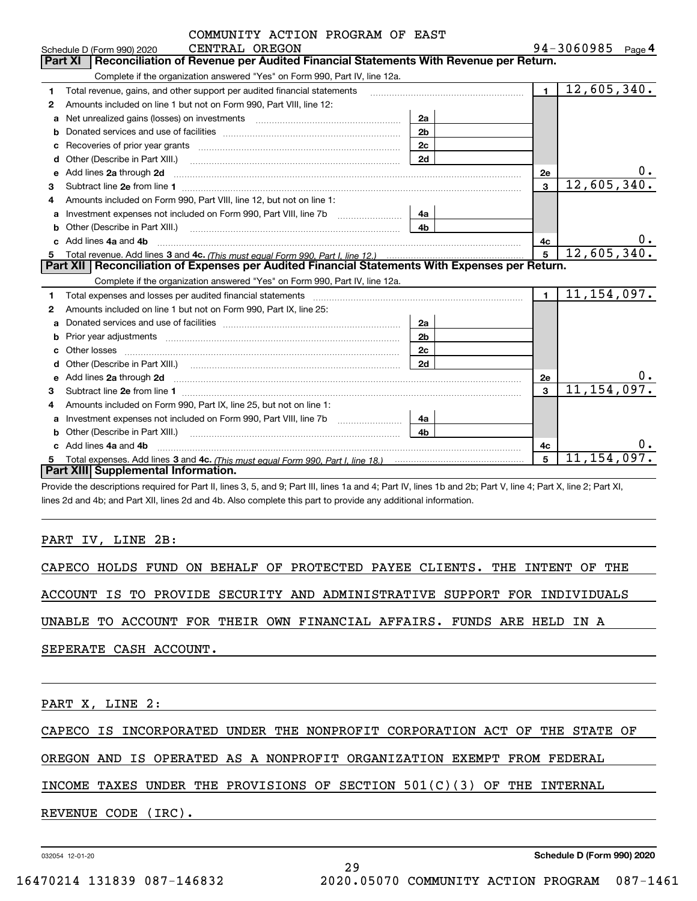|    | COMMUNITY ACTION PROGRAM OF EAST<br>CENTRAL OREGON<br>Schedule D (Form 990) 2020                                                                                                                                                    |                |              | 94-3060985 Page 4           |
|----|-------------------------------------------------------------------------------------------------------------------------------------------------------------------------------------------------------------------------------------|----------------|--------------|-----------------------------|
|    | Reconciliation of Revenue per Audited Financial Statements With Revenue per Return.<br><b>Part XI</b>                                                                                                                               |                |              |                             |
|    | Complete if the organization answered "Yes" on Form 990, Part IV, line 12a.                                                                                                                                                         |                |              |                             |
| 1  | Total revenue, gains, and other support per audited financial statements                                                                                                                                                            |                | $\mathbf{1}$ | 12,605,340.                 |
| 2  | Amounts included on line 1 but not on Form 990, Part VIII, line 12:                                                                                                                                                                 |                |              |                             |
| a  | Net unrealized gains (losses) on investments [11] matter contracts and the unrealized gains (losses) on investments                                                                                                                 | 2a             |              |                             |
| b  |                                                                                                                                                                                                                                     | 2 <sub>b</sub> |              |                             |
| c  |                                                                                                                                                                                                                                     | 2c             |              |                             |
|    |                                                                                                                                                                                                                                     | 2d             |              |                             |
| е  | Add lines 2a through 2d                                                                                                                                                                                                             |                | <b>2e</b>    | $0 \cdot$                   |
| 3  |                                                                                                                                                                                                                                     |                | 3            | 12,605,340.                 |
| 4  | Amounts included on Form 990, Part VIII, line 12, but not on line 1:                                                                                                                                                                |                |              |                             |
| а  | Investment expenses not included on Form 990, Part VIII, line 7b [100] [100] [100] [100] [100] [100] [100] [10                                                                                                                      | 4a             |              |                             |
|    | Other (Describe in Part XIII.) (2000) (2000) (2000) (2010) (2010) (2010) (2010) (2010) (2010) (2010) (2010) (20                                                                                                                     | 4 <sub>b</sub> |              |                             |
| C  | Add lines 4a and 4b                                                                                                                                                                                                                 |                | 4c           |                             |
|    |                                                                                                                                                                                                                                     | 5              | 12,605,340.  |                             |
|    | Part XII   Reconciliation of Expenses per Audited Financial Statements With Expenses per Return.                                                                                                                                    |                |              |                             |
|    | Complete if the organization answered "Yes" on Form 990, Part IV, line 12a.                                                                                                                                                         |                |              |                             |
| 1  |                                                                                                                                                                                                                                     |                | $\mathbf{1}$ | $\overline{11}$ , 154, 097. |
| 2  | Amounts included on line 1 but not on Form 990, Part IX, line 25:                                                                                                                                                                   |                |              |                             |
| a  |                                                                                                                                                                                                                                     | 2a             |              |                             |
| b  |                                                                                                                                                                                                                                     | 2 <sub>b</sub> |              |                             |
|    |                                                                                                                                                                                                                                     | 2c             |              |                             |
|    |                                                                                                                                                                                                                                     | 2d             |              |                             |
| е  | Add lines 2a through 2d <b>contained a contained a contained a contained a</b> contained a contained a contained a contained a contained a contained a contained a contained a contained a contained a contained a contained a cont |                | 2e           | 0.                          |
| З. |                                                                                                                                                                                                                                     |                | $\mathbf{a}$ | 11, 154, 097.               |
| 4  | Amounts included on Form 990, Part IX, line 25, but not on line 1:                                                                                                                                                                  |                |              |                             |
| a  | Investment expenses not included on Form 990, Part VIII, line 7b [11, 111, 111, 111]                                                                                                                                                | 4a             |              |                             |
| b  |                                                                                                                                                                                                                                     | 4b             |              |                             |
|    | Add lines 4a and 4b                                                                                                                                                                                                                 |                | 4с           |                             |
|    | Total expenses. Add lines 3 and 4c. (This must equal Form 990, Part I, line 18.) <b>Conservers</b> manufactured in the                                                                                                              |                | 5            | 11, 154, 097.               |
|    | Part XIII Supplemental Information.                                                                                                                                                                                                 |                |              |                             |

TON DROGRAM OF EAST

Provide the descriptions required for Part II, lines 3, 5, and 9; Part III, lines 1a and 4; Part IV, lines 1b and 2b; Part V, line 4; Part X, line 2; Part XI, lines 2d and 4b; and Part XII, lines 2d and 4b. Also complete this part to provide any additional information.

## PART IV, LINE 2B:

CAPECO HOLDS FUND ON BEHALF OF PROTECTED PAYEE CLIENTS. THE INTENT OF THE

ACCOUNT IS TO PROVIDE SECURITY AND ADMINISTRATIVE SUPPORT FOR INDIVIDUALS

UNABLE TO ACCOUNT FOR THEIR OWN FINANCIAL AFFAIRS. FUNDS ARE HELD IN A

SEPERATE CASH ACCOUNT.

PART X, LINE 2:

CAPECO IS INCORPORATED UNDER THE NONPROFIT CORPORATION ACT OF THE STATE OF

OREGON AND IS OPERATED AS A NONPROFIT ORGANIZATION EXEMPT FROM FEDERAL

## INCOME TAXES UNDER THE PROVISIONS OF SECTION  $501(C)(3)$  OF THE INTERNAL

REVENUE CODE (IRC).

032054 12-01-20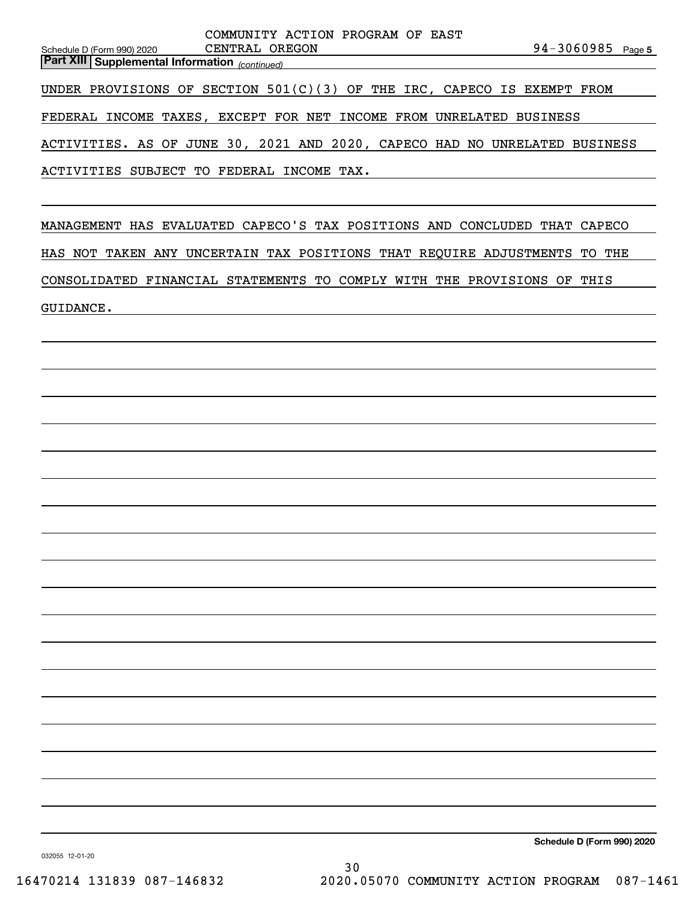|                                                | COMMUNITY ACTION PROGRAM OF EAST                                           |                       |
|------------------------------------------------|----------------------------------------------------------------------------|-----------------------|
| Schedule D (Form 990) 2020                     | CENTRAL OREGON                                                             | $94 - 3060985$ Page 5 |
| Part XIII Supplemental Information (continued) |                                                                            |                       |
|                                                |                                                                            |                       |
|                                                | UNDER PROVISIONS OF SECTION $501(C)(3)$ OF THE IRC, CAPECO IS EXEMPT FROM  |                       |
|                                                |                                                                            |                       |
|                                                | FEDERAL INCOME TAXES, EXCEPT FOR NET INCOME FROM UNRELATED BUSINESS        |                       |
|                                                | ACTIVITIES. AS OF JUNE 30, 2021 AND 2020, CAPECO HAD NO UNRELATED BUSINESS |                       |
|                                                | ACTIVITIES SUBJECT TO FEDERAL INCOME TAX.                                  |                       |

MANAGEMENT HAS EVALUATED CAPECO'S TAX POSITIONS AND CONCLUDED THAT CAPECO HAS NOT TAKEN ANY UNCERTAIN TAX POSITIONS THAT REQUIRE ADJUSTMENTS TO THE CONSOLIDATED FINANCIAL STATEMENTS TO COMPLY WITH THE PROVISIONS OF THIS GUIDANCE.

**Schedule D (Form 990) 2020**

032055 12-01-20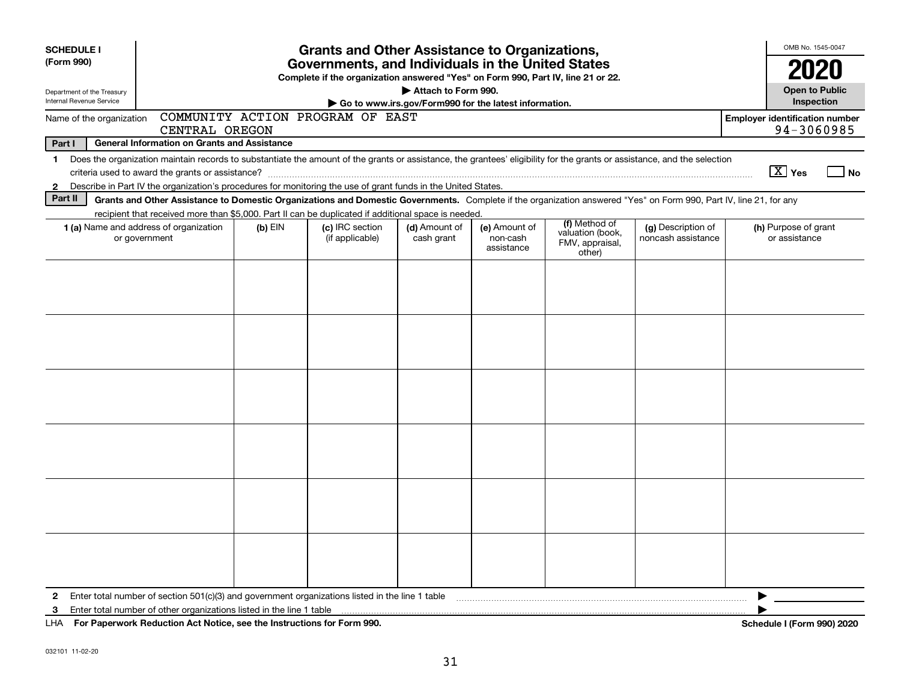| <b>SCHEDULE I</b>                                                              |                                                                                                                                                                                                                                                                                           |           | <b>Grants and Other Assistance to Organizations,</b>                                                                                  |                             |                                                       |                                                                |                                          |  | OMB No. 1545-0047                     |              |
|--------------------------------------------------------------------------------|-------------------------------------------------------------------------------------------------------------------------------------------------------------------------------------------------------------------------------------------------------------------------------------------|-----------|---------------------------------------------------------------------------------------------------------------------------------------|-----------------------------|-------------------------------------------------------|----------------------------------------------------------------|------------------------------------------|--|---------------------------------------|--------------|
| (Form 990)                                                                     |                                                                                                                                                                                                                                                                                           |           | Governments, and Individuals in the United States<br>Complete if the organization answered "Yes" on Form 990, Part IV, line 21 or 22. |                             |                                                       |                                                                |                                          |  |                                       |              |
| Department of the Treasury<br>Internal Revenue Service                         |                                                                                                                                                                                                                                                                                           |           |                                                                                                                                       | Attach to Form 990.         | Go to www.irs.gov/Form990 for the latest information. |                                                                |                                          |  | <b>Open to Public</b><br>Inspection   |              |
| COMMUNITY ACTION PROGRAM OF EAST<br>Name of the organization<br>CENTRAL OREGON |                                                                                                                                                                                                                                                                                           |           |                                                                                                                                       |                             |                                                       | <b>Employer identification number</b>                          | 94-3060985                               |  |                                       |              |
| Part I                                                                         | <b>General Information on Grants and Assistance</b>                                                                                                                                                                                                                                       |           |                                                                                                                                       |                             |                                                       |                                                                |                                          |  |                                       |              |
| $\mathbf 1$<br>$\mathbf{2}$                                                    | Does the organization maintain records to substantiate the amount of the grants or assistance, the grantees' eligibility for the grants or assistance, and the selection<br>Describe in Part IV the organization's procedures for monitoring the use of grant funds in the United States. |           |                                                                                                                                       |                             |                                                       |                                                                |                                          |  | $\boxed{\text{X}}$ Yes                | $\exists$ No |
| Part II                                                                        | Grants and Other Assistance to Domestic Organizations and Domestic Governments. Complete if the organization answered "Yes" on Form 990, Part IV, line 21, for any<br>recipient that received more than \$5,000. Part II can be duplicated if additional space is needed.                 |           |                                                                                                                                       |                             |                                                       |                                                                |                                          |  |                                       |              |
|                                                                                | 1 (a) Name and address of organization<br>or government                                                                                                                                                                                                                                   | $(b)$ EIN | (c) IRC section<br>(if applicable)                                                                                                    | (d) Amount of<br>cash grant | (e) Amount of<br>non-cash<br>assistance               | (f) Method of<br>valuation (book,<br>FMV, appraisal,<br>other) | (g) Description of<br>noncash assistance |  | (h) Purpose of grant<br>or assistance |              |
|                                                                                |                                                                                                                                                                                                                                                                                           |           |                                                                                                                                       |                             |                                                       |                                                                |                                          |  |                                       |              |
|                                                                                |                                                                                                                                                                                                                                                                                           |           |                                                                                                                                       |                             |                                                       |                                                                |                                          |  |                                       |              |
|                                                                                |                                                                                                                                                                                                                                                                                           |           |                                                                                                                                       |                             |                                                       |                                                                |                                          |  |                                       |              |
|                                                                                |                                                                                                                                                                                                                                                                                           |           |                                                                                                                                       |                             |                                                       |                                                                |                                          |  |                                       |              |
|                                                                                |                                                                                                                                                                                                                                                                                           |           |                                                                                                                                       |                             |                                                       |                                                                |                                          |  |                                       |              |
|                                                                                |                                                                                                                                                                                                                                                                                           |           |                                                                                                                                       |                             |                                                       |                                                                |                                          |  |                                       |              |
| $\mathbf{2}$                                                                   | Enter total number of section 501(c)(3) and government organizations listed in the line 1 table                                                                                                                                                                                           |           |                                                                                                                                       |                             |                                                       |                                                                |                                          |  |                                       |              |
| 3                                                                              | Enter total number of other organizations listed in the line 1 table                                                                                                                                                                                                                      |           |                                                                                                                                       |                             |                                                       |                                                                |                                          |  |                                       |              |
|                                                                                | LHA For Paperwork Reduction Act Notice, see the Instructions for Form 990.                                                                                                                                                                                                                |           |                                                                                                                                       |                             |                                                       |                                                                |                                          |  | <b>Schedule I (Form 990) 2020</b>     |              |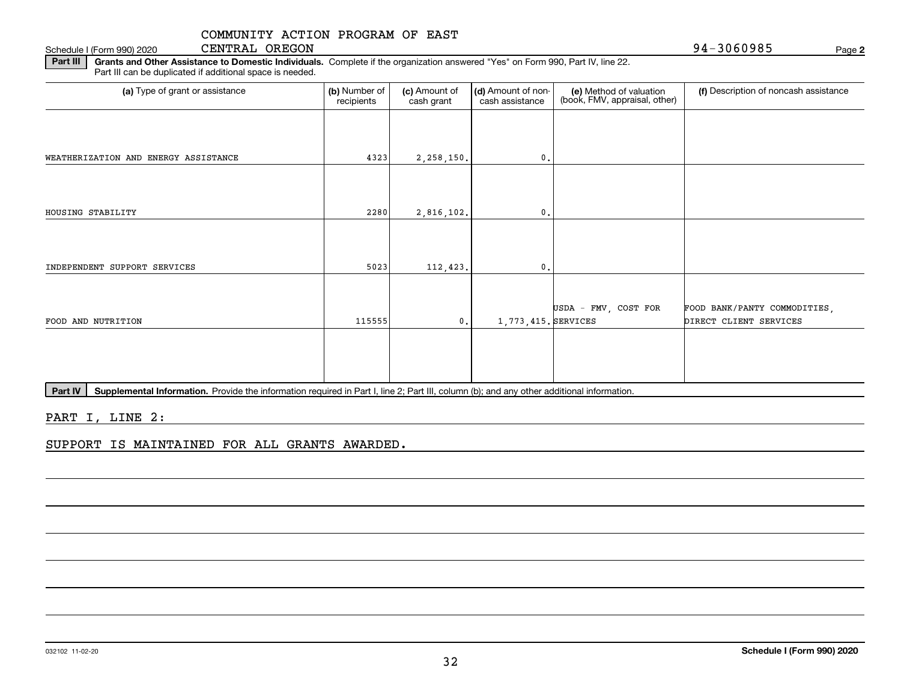Schedule I (Form 990) 2020 CENTRAL OREGON 9 4-3 0 6 0 9 8 5 Page

**2**

**Part III** | Grants and Other Assistance to Domestic Individuals. Complete if the organization answered "Yes" on Form 990, Part IV, line 22. Part III can be duplicated if additional space is needed.

| (a) Type of grant or assistance      | (b) Number of<br>recipients | (c) Amount of<br>cash grant | (d) Amount of non-<br>cash assistance | (e) Method of valuation<br>(book, FMV, appraisal, other) | (f) Description of noncash assistance                  |
|--------------------------------------|-----------------------------|-----------------------------|---------------------------------------|----------------------------------------------------------|--------------------------------------------------------|
|                                      |                             |                             |                                       |                                                          |                                                        |
| WEATHERIZATION AND ENERGY ASSISTANCE | 4323                        | 2,258,150.                  | 0.                                    |                                                          |                                                        |
|                                      |                             |                             |                                       |                                                          |                                                        |
| HOUSING STABILITY                    | 2280                        | 2,816,102.                  | 0.                                    |                                                          |                                                        |
|                                      |                             |                             |                                       |                                                          |                                                        |
| INDEPENDENT SUPPORT SERVICES         | 5023                        | 112,423.                    | 0.                                    |                                                          |                                                        |
| FOOD AND NUTRITION                   | 115555                      | $\mathbf{0}$ .              | 1,773,415. SERVICES                   | USDA - FMV, COST FOR                                     | FOOD BANK/PANTY COMMODITIES,<br>DIRECT CLIENT SERVICES |
|                                      |                             |                             |                                       |                                                          |                                                        |
|                                      |                             |                             |                                       |                                                          |                                                        |

Part IV | Supplemental Information. Provide the information required in Part I, line 2; Part III, column (b); and any other additional information.

PART I, LINE 2:

SUPPORT IS MAINTAINED FOR ALL GRANTS AWARDED.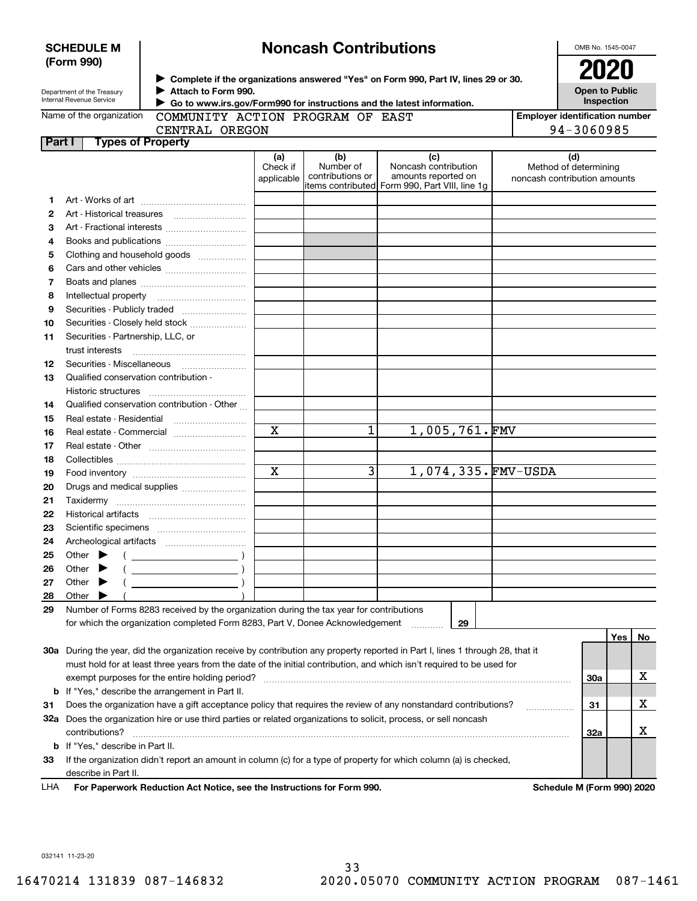| <b>SCHEDULE M</b> |  |
|-------------------|--|
| (Form 990)        |  |

# **Noncash Contributions**

OMB No. 1545-0047

**Open to Public Inspection**

| Department of the Treasury                        |
|---------------------------------------------------|
| the transport December of the Company of the U.S. |

**Complete if the organizations answered "Yes" on Form 990, Part IV, lines 29 or 30.** <sup>J</sup>**2020 Attach to Form 990.** J

Internal Revenue Service

|                                  |  | ► Go to www.irs.gov/Form990 for instructions and the latest information. |
|----------------------------------|--|--------------------------------------------------------------------------|
| COMMUNITY ACTION PROGRAM OF EAST |  |                                                                          |

Name of the organization CO

**Employer identification number**

|                | MMUNITY ACTION PROGRAM ( |  |
|----------------|--------------------------|--|
| ----- <i>-</i> |                          |  |

|        | CENTRAL OREGON                                                                                                                 |                               |                                      |                                                                                                       |                                                              | 94-3060985 |          |   |  |
|--------|--------------------------------------------------------------------------------------------------------------------------------|-------------------------------|--------------------------------------|-------------------------------------------------------------------------------------------------------|--------------------------------------------------------------|------------|----------|---|--|
| Part I | <b>Types of Property</b>                                                                                                       |                               |                                      |                                                                                                       |                                                              |            |          |   |  |
|        |                                                                                                                                | (a)<br>Check if<br>applicable | (b)<br>Number of<br>contributions or | (c)<br>Noncash contribution<br>amounts reported on<br>litems contributed Form 990, Part VIII, line 1q | (d)<br>Method of determining<br>noncash contribution amounts |            |          |   |  |
| 1.     |                                                                                                                                |                               |                                      |                                                                                                       |                                                              |            |          |   |  |
| 2      |                                                                                                                                |                               |                                      |                                                                                                       |                                                              |            |          |   |  |
| з      | Art - Fractional interests                                                                                                     |                               |                                      |                                                                                                       |                                                              |            |          |   |  |
| 4      |                                                                                                                                |                               |                                      |                                                                                                       |                                                              |            |          |   |  |
| 5      | Clothing and household goods                                                                                                   |                               |                                      |                                                                                                       |                                                              |            |          |   |  |
| 6      |                                                                                                                                |                               |                                      |                                                                                                       |                                                              |            |          |   |  |
| 7      |                                                                                                                                |                               |                                      |                                                                                                       |                                                              |            |          |   |  |
| 8      | Intellectual property                                                                                                          |                               |                                      |                                                                                                       |                                                              |            |          |   |  |
| 9      | Securities - Publicly traded                                                                                                   |                               |                                      |                                                                                                       |                                                              |            |          |   |  |
| 10     | Securities - Closely held stock                                                                                                |                               |                                      |                                                                                                       |                                                              |            |          |   |  |
| 11     | Securities - Partnership, LLC, or                                                                                              |                               |                                      |                                                                                                       |                                                              |            |          |   |  |
|        | trust interests                                                                                                                |                               |                                      |                                                                                                       |                                                              |            |          |   |  |
| 12     |                                                                                                                                |                               |                                      |                                                                                                       |                                                              |            |          |   |  |
| 13     | Qualified conservation contribution -                                                                                          |                               |                                      |                                                                                                       |                                                              |            |          |   |  |
|        | Historic structures                                                                                                            |                               |                                      |                                                                                                       |                                                              |            |          |   |  |
| 14     | Qualified conservation contribution - Other                                                                                    |                               |                                      |                                                                                                       |                                                              |            |          |   |  |
| 15     |                                                                                                                                |                               |                                      |                                                                                                       |                                                              |            |          |   |  |
| 16     |                                                                                                                                | $\mathbf x$                   | 1                                    | 1,005,761.FMV                                                                                         |                                                              |            |          |   |  |
| 17     |                                                                                                                                |                               |                                      |                                                                                                       |                                                              |            |          |   |  |
| 18     |                                                                                                                                |                               |                                      |                                                                                                       |                                                              |            |          |   |  |
| 19     |                                                                                                                                | $\mathbf x$                   | $\overline{3}$                       | 1,074,335.FMV-USDA                                                                                    |                                                              |            |          |   |  |
| 20     | Drugs and medical supplies                                                                                                     |                               |                                      |                                                                                                       |                                                              |            |          |   |  |
| 21     |                                                                                                                                |                               |                                      |                                                                                                       |                                                              |            |          |   |  |
| 22     |                                                                                                                                |                               |                                      |                                                                                                       |                                                              |            |          |   |  |
| 23     |                                                                                                                                |                               |                                      |                                                                                                       |                                                              |            |          |   |  |
| 24     |                                                                                                                                |                               |                                      |                                                                                                       |                                                              |            |          |   |  |
| 25     | Other<br>$\left(\begin{array}{ccc}\n\end{array}\right)$                                                                        |                               |                                      |                                                                                                       |                                                              |            |          |   |  |
| 26     | Other                                                                                                                          |                               |                                      |                                                                                                       |                                                              |            |          |   |  |
| 27     | Other                                                                                                                          |                               |                                      |                                                                                                       |                                                              |            |          |   |  |
| 28     | Other                                                                                                                          |                               |                                      |                                                                                                       |                                                              |            |          |   |  |
| 29     | Number of Forms 8283 received by the organization during the tax year for contributions                                        |                               |                                      |                                                                                                       |                                                              |            |          |   |  |
|        | for which the organization completed Form 8283, Part V, Donee Acknowledgement                                                  |                               |                                      | 29                                                                                                    |                                                              |            |          |   |  |
|        |                                                                                                                                |                               |                                      |                                                                                                       |                                                              |            | Yes   No |   |  |
|        | 30a During the year, did the organization receive by contribution any property reported in Part I, lines 1 through 28, that it |                               |                                      |                                                                                                       |                                                              |            |          |   |  |
|        | must hold for at least three years from the date of the initial contribution, and which isn't required to be used for          |                               |                                      |                                                                                                       |                                                              |            |          |   |  |
|        |                                                                                                                                |                               |                                      |                                                                                                       |                                                              | 30a        |          | х |  |
|        | <b>b</b> If "Yes," describe the arrangement in Part II.                                                                        |                               |                                      |                                                                                                       |                                                              |            |          |   |  |
| 31     | Does the organization have a gift acceptance policy that requires the review of any nonstandard contributions?                 |                               |                                      |                                                                                                       |                                                              | 31         |          | x |  |
|        | 32a Does the organization hire or use third parties or related organizations to solicit, process, or sell noncash              |                               |                                      |                                                                                                       |                                                              |            |          |   |  |
|        | contributions?                                                                                                                 |                               |                                      |                                                                                                       |                                                              | 32a        |          | X |  |
|        | <b>b</b> If "Yes," describe in Part II.                                                                                        |                               |                                      |                                                                                                       |                                                              |            |          |   |  |

**For Paperwork Reduction Act Notice, see the Instructions for Form 990. Schedule M (Form 990) 2020** LHA

**33**If the organization didn't report an amount in column (c) for a type of property for which column (a) is checked,

032141 11-23-20

describe in Part II.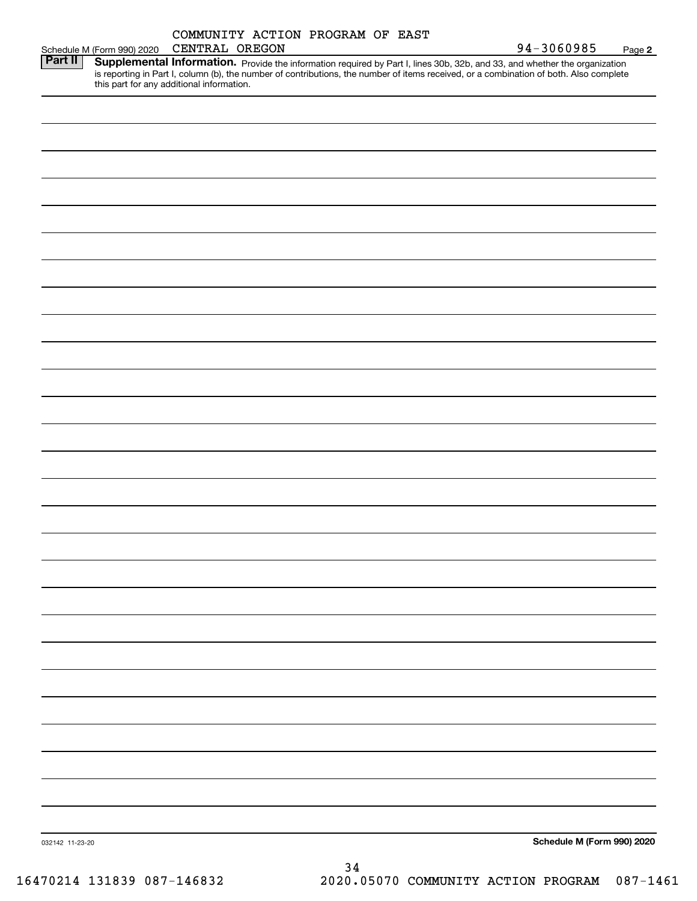| Schedule M (Form 990) 2020 | CENTRAL OREGON                            |    | 94-3060985                                                                                                                                                                                                                          | Page 2 |
|----------------------------|-------------------------------------------|----|-------------------------------------------------------------------------------------------------------------------------------------------------------------------------------------------------------------------------------------|--------|
| Part II                    | this part for any additional information. |    | <b>Supplemental Information.</b> Provide the information required by Part I, lines 30b, 32b, and 33, and whether the organization is reporting in Part I, column (b), the number of contributions, the number of items received, or |        |
|                            |                                           |    |                                                                                                                                                                                                                                     |        |
|                            |                                           |    |                                                                                                                                                                                                                                     |        |
|                            |                                           |    |                                                                                                                                                                                                                                     |        |
|                            |                                           |    |                                                                                                                                                                                                                                     |        |
|                            |                                           |    |                                                                                                                                                                                                                                     |        |
|                            |                                           |    |                                                                                                                                                                                                                                     |        |
|                            |                                           |    |                                                                                                                                                                                                                                     |        |
|                            |                                           |    |                                                                                                                                                                                                                                     |        |
|                            |                                           |    |                                                                                                                                                                                                                                     |        |
|                            |                                           |    |                                                                                                                                                                                                                                     |        |
|                            |                                           |    |                                                                                                                                                                                                                                     |        |
|                            |                                           |    |                                                                                                                                                                                                                                     |        |
|                            |                                           |    |                                                                                                                                                                                                                                     |        |
|                            |                                           |    |                                                                                                                                                                                                                                     |        |
|                            |                                           |    |                                                                                                                                                                                                                                     |        |
|                            |                                           |    |                                                                                                                                                                                                                                     |        |
|                            |                                           |    |                                                                                                                                                                                                                                     |        |
|                            |                                           |    |                                                                                                                                                                                                                                     |        |
|                            |                                           |    |                                                                                                                                                                                                                                     |        |
|                            |                                           |    |                                                                                                                                                                                                                                     |        |
|                            |                                           |    |                                                                                                                                                                                                                                     |        |
|                            |                                           |    |                                                                                                                                                                                                                                     |        |
|                            |                                           |    |                                                                                                                                                                                                                                     |        |
|                            |                                           |    |                                                                                                                                                                                                                                     |        |
|                            |                                           |    |                                                                                                                                                                                                                                     |        |
|                            |                                           |    |                                                                                                                                                                                                                                     |        |
|                            |                                           |    |                                                                                                                                                                                                                                     |        |
|                            |                                           |    |                                                                                                                                                                                                                                     |        |
|                            |                                           |    |                                                                                                                                                                                                                                     |        |
| 032142 11-23-20            |                                           |    | Schedule M (Form 990) 2020                                                                                                                                                                                                          |        |
|                            |                                           | 34 |                                                                                                                                                                                                                                     |        |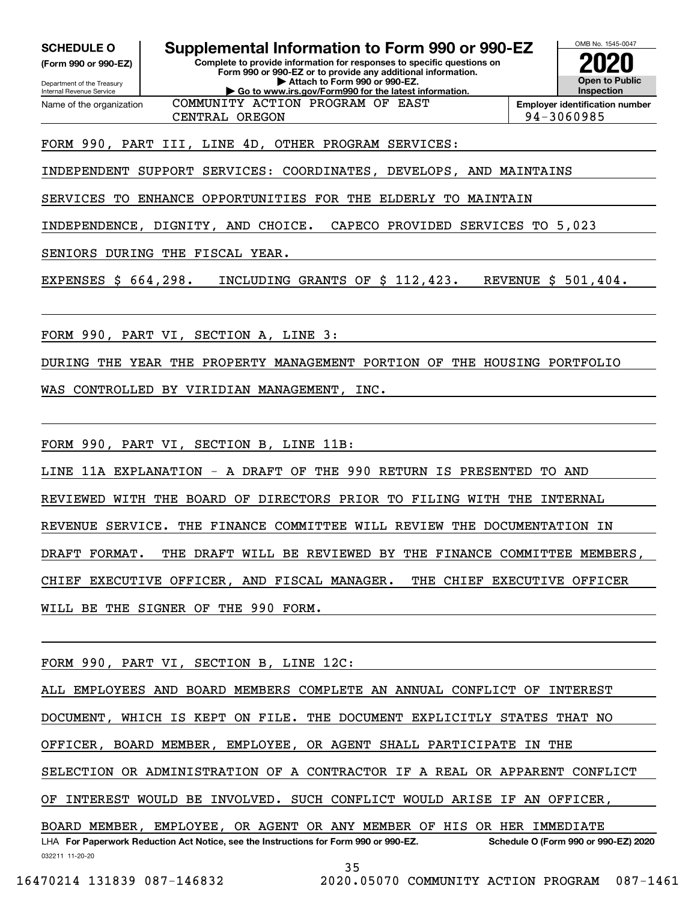**(Form 990 or 990-EZ)**

Department of the Treasury Internal Revenue Service Name of the organization

## **SCHEDULE O Supplemental Information to Form 990 or 990-EZ**

**Complete to provide information for responses to specific questions on Form 990 or 990-EZ or to provide any additional information. | Attach to Form 990 or 990-EZ. | Go to www.irs.gov/Form990 for the latest information.** COMMUNITY ACTION PROGRAM OF EAST



**Employer identification number** CENTRAL OREGON 94-3060985

FORM 990, PART III, LINE 4D, OTHER PROGRAM SERVICES:

INDEPENDENT SUPPORT SERVICES: COORDINATES, DEVELOPS, AND MAINTAINS

SERVICES TO ENHANCE OPPORTUNITIES FOR THE ELDERLY TO MAINTAIN

INDEPENDENCE, DIGNITY, AND CHOICE. CAPECO PROVIDED SERVICES TO 5,023

SENIORS DURING THE FISCAL YEAR.

EXPENSES \$ 664,298. INCLUDING GRANTS OF \$ 112,423. REVENUE \$ 501,404.

FORM 990, PART VI, SECTION A, LINE 3:

DURING THE YEAR THE PROPERTY MANAGEMENT PORTION OF THE HOUSING PORTFOLIO

WAS CONTROLLED BY VIRIDIAN MANAGEMENT, INC.

FORM 990, PART VI, SECTION B, LINE 11B:

LINE 11A EXPLANATION - A DRAFT OF THE 990 RETURN IS PRESENTED TO AND

REVIEWED WITH THE BOARD OF DIRECTORS PRIOR TO FILING WITH THE INTERNAL

REVENUE SERVICE. THE FINANCE COMMITTEE WILL REVIEW THE DOCUMENTATION IN

DRAFT FORMAT. THE DRAFT WILL BE REVIEWED BY THE FINANCE COMMITTEE MEMBERS,

CHIEF EXECUTIVE OFFICER, AND FISCAL MANAGER. THE CHIEF EXECUTIVE OFFICER

WILL BE THE SIGNER OF THE 990 FORM.

FORM 990, PART VI, SECTION B, LINE 12C:

ALL EMPLOYEES AND BOARD MEMBERS COMPLETE AN ANNUAL CONFLICT OF INTEREST

DOCUMENT, WHICH IS KEPT ON FILE. THE DOCUMENT EXPLICITLY STATES THAT NO

OFFICER, BOARD MEMBER, EMPLOYEE, OR AGENT SHALL PARTICIPATE IN THE

SELECTION OR ADMINISTRATION OF A CONTRACTOR IF A REAL OR APPARENT CONFLICT

OF INTEREST WOULD BE INVOLVED. SUCH CONFLICT WOULD ARISE IF AN OFFICER,

032211 11-20-20 LHA For Paperwork Reduction Act Notice, see the Instructions for Form 990 or 990-EZ. Schedule O (Form 990 or 990-EZ) 2020 BOARD MEMBER, EMPLOYEE, OR AGENT OR ANY MEMBER OF HIS OR HER IMMEDIATE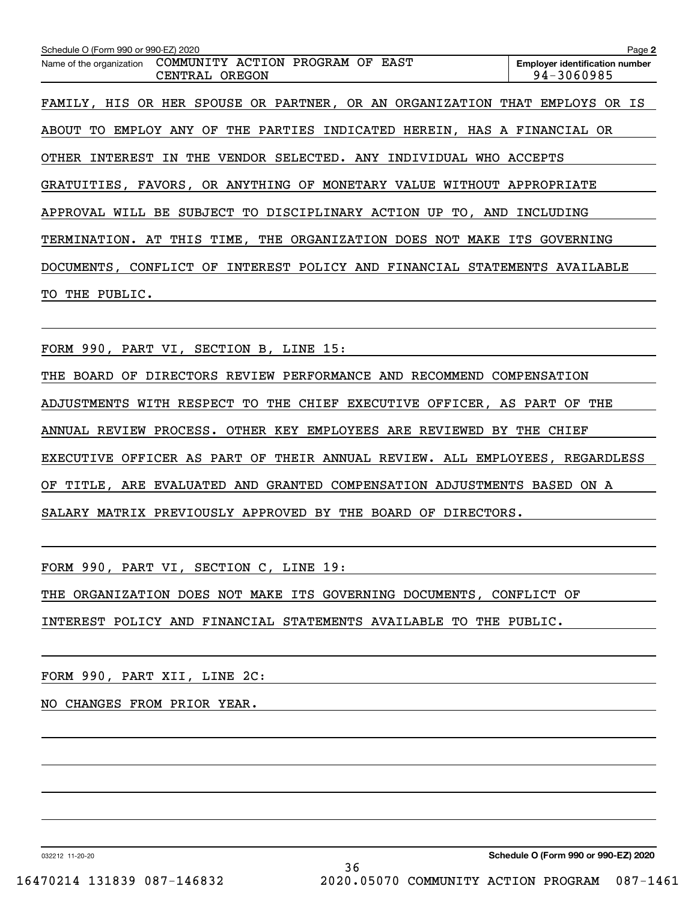| Schedule O (Form 990 or 990-EZ) 2020                                              |                     |                                                     | Page 2 |
|-----------------------------------------------------------------------------------|---------------------|-----------------------------------------------------|--------|
| COMMUNITY ACTION PROGRAM OF EAST<br>Name of the organization<br>CENTRAL<br>OREGON |                     | <b>Employer identification number</b><br>94-3060985 |        |
| FAMILY, HIS OR HER SPOUSE OR PARTNER, OR AN ORGANIZATION THAT EMPLOYS OR IS       |                     |                                                     |        |
| ABOUT TO EMPLOY ANY OF THE PARTIES INDICATED HEREIN, HAS A FINANCIAL OR           |                     |                                                     |        |
| OTHER INTEREST IN THE VENDOR SELECTED. ANY INDIVIDUAL WHO ACCEPTS                 |                     |                                                     |        |
| GRATUITIES, FAVORS, OR ANYTHING OF MONETARY VALUE                                 | WITHOUT APPROPRIATE |                                                     |        |
| APPROVAL WILL BE SUBJECT TO DISCIPLINARY ACTION UP TO, AND INCLUDING              |                     |                                                     |        |
| TERMINATION. AT THIS TIME, THE ORGANIZATION DOES NOT MAKE ITS GOVERNING           |                     |                                                     |        |
| DOCUMENTS, CONFLICT OF INTEREST POLICY AND FINANCIAL STATEMENTS AVAILABLE         |                     |                                                     |        |
| TO THE<br>PUBLIC.                                                                 |                     |                                                     |        |
|                                                                                   |                     |                                                     |        |

FORM 990, PART VI, SECTION B, LINE 15:

THE BOARD OF DIRECTORS REVIEW PERFORMANCE AND RECOMMEND COMPENSATION ADJUSTMENTS WITH RESPECT TO THE CHIEF EXECUTIVE OFFICER, AS PART OF THE ANNUAL REVIEW PROCESS. OTHER KEY EMPLOYEES ARE REVIEWED BY THE CHIEF EXECUTIVE OFFICER AS PART OF THEIR ANNUAL REVIEW. ALL EMPLOYEES, REGARDLESS OF TITLE, ARE EVALUATED AND GRANTED COMPENSATION ADJUSTMENTS BASED ON A SALARY MATRIX PREVIOUSLY APPROVED BY THE BOARD OF DIRECTORS.

FORM 990, PART VI, SECTION C, LINE 19:

THE ORGANIZATION DOES NOT MAKE ITS GOVERNING DOCUMENTS, CONFLICT OF

INTEREST POLICY AND FINANCIAL STATEMENTS AVAILABLE TO THE PUBLIC.

FORM 990, PART XII, LINE 2C:

NO CHANGES FROM PRIOR YEAR.

032212 11-20-20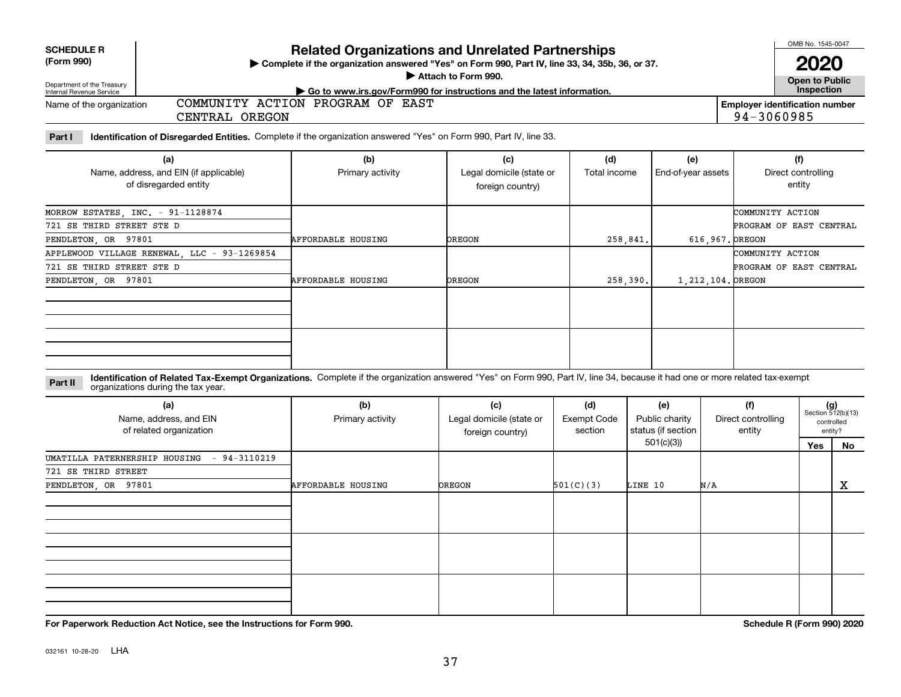| <b>SCHEDULE R</b> |  |  |
|-------------------|--|--|
|                   |  |  |

#### **(Form 990)**

## **Related Organizations and Unrelated Partnerships**

**Complete if the organization answered "Yes" on Form 990, Part IV, line 33, 34, 35b, 36, or 37.** |

**Attach to Form 990.**  |

OMB No. 1545-0047

| Open to Public |  |  |
|----------------|--|--|
| Inspection     |  |  |

**Employer identification number**

94-3060985

#### Department of the Treasury Internal Revenue Service **| Go to www.irs.gov/Form990 for instructions and the latest information. Inspection** Name of the organization COMMUNITY ACTION PROGRAM OF EAST CENTRAL OREGON

**Part I Identification of Disregarded Entities.**  Complete if the organization answered "Yes" on Form 990, Part IV, line 33.

| (a)<br>Name, address, and EIN (if applicable)<br>of disregarded entity | (b)<br>Primary activity   | (c)<br>Legal domicile (state or<br>foreign country) | (d)<br>Total income | (e)<br>End-of-year assets | (f)<br>Direct controlling<br>entity |
|------------------------------------------------------------------------|---------------------------|-----------------------------------------------------|---------------------|---------------------------|-------------------------------------|
| MORROW ESTATES, INC. - 91-1128874                                      |                           |                                                     |                     |                           | COMMUNITY ACTION                    |
| 721 SE THIRD STREET STE D                                              |                           |                                                     |                     |                           | PROGRAM OF EAST CENTRAL             |
| PENDLETON, OR 97801                                                    | <b>AFFORDABLE HOUSING</b> | <b>DREGON</b>                                       | 258,841.            | 616,967. DREGON           |                                     |
| APPLEWOOD VILLAGE RENEWAL, LLC - 93-1269854                            |                           |                                                     |                     |                           | COMMUNITY ACTION                    |
| 721 SE THIRD STREET STE D                                              |                           |                                                     |                     |                           | PROGRAM OF EAST CENTRAL             |
| PENDLETON, OR 97801                                                    | <b>AFFORDABLE HOUSING</b> | <b>OREGON</b>                                       | 258,390.            | 1, 212, 104. DREGON       |                                     |
|                                                                        |                           |                                                     |                     |                           |                                     |
|                                                                        |                           |                                                     |                     |                           |                                     |

#### **Identification of Related Tax-Exempt Organizations.** Complete if the organization answered "Yes" on Form 990, Part IV, line 34, because it had one or more related tax-exempt **Part II** organizations during the tax year.

| (a)<br>Name, address, and EIN<br>of related organization | (b)<br>Primary activity   | (c)<br>Legal domicile (state or<br>foreign country) | (d)<br><b>Exempt Code</b><br>section | (e)<br>Public charity<br>status (if section | (f)<br>Direct controlling<br>entity |     | $(g)$<br>Section 512(b)(13)<br>controlled<br>entity? |
|----------------------------------------------------------|---------------------------|-----------------------------------------------------|--------------------------------------|---------------------------------------------|-------------------------------------|-----|------------------------------------------------------|
|                                                          |                           |                                                     |                                      | 501(c)(3))                                  |                                     | Yes | No                                                   |
| $-94-3110219$<br>UMATILLA PATERNERSHIP HOUSING           |                           |                                                     |                                      |                                             |                                     |     |                                                      |
| 721 SE THIRD STREET                                      |                           |                                                     |                                      |                                             |                                     |     |                                                      |
| PENDLETON, OR 97801                                      | <b>AFFORDABLE HOUSING</b> | <b>DREGON</b>                                       | 501(C)(3)                            | LINE 10                                     | N/A                                 |     | x                                                    |
|                                                          |                           |                                                     |                                      |                                             |                                     |     |                                                      |
|                                                          |                           |                                                     |                                      |                                             |                                     |     |                                                      |
|                                                          |                           |                                                     |                                      |                                             |                                     |     |                                                      |

**For Paperwork Reduction Act Notice, see the Instructions for Form 990. Schedule R (Form 990) 2020**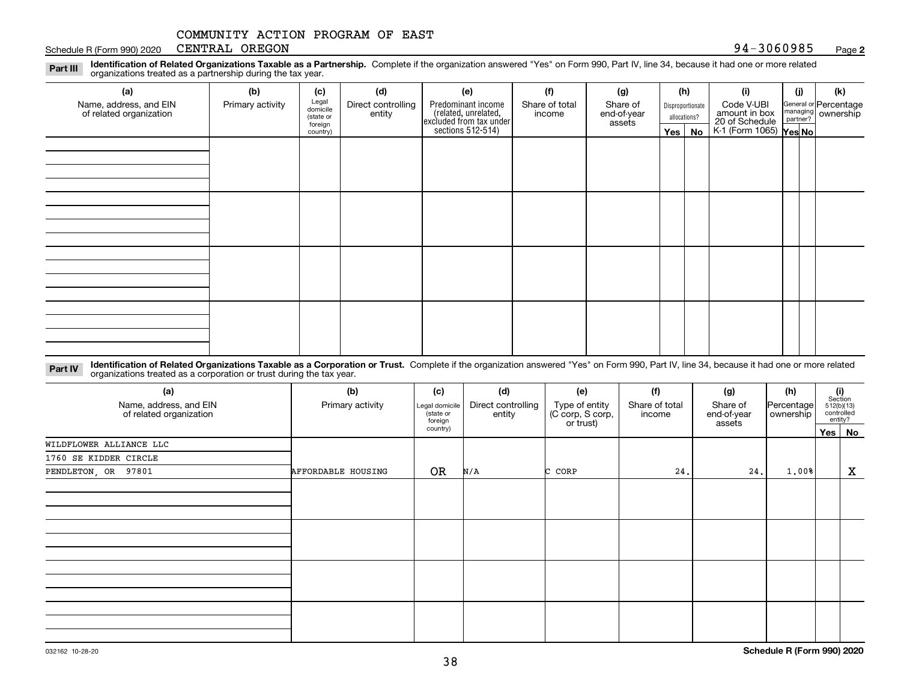#### Schedule R (Form 990) 2020 Page CENTRAL OREGON 94-3060985

#### **2**

**Identification of Related Organizations Taxable as a Partnership.** Complete if the organization answered "Yes" on Form 990, Part IV, line 34, because it had one or more related **Part III** organizations treated as a partnership during the tax year.

| (a)<br>Name, address, and EIN<br>of related organization | (b)<br>Primary activity | (c)<br>Legal<br>domicile<br>(state or<br>foreign<br>country) | (d)<br>Direct controlling<br>entity | (e)<br>Predominant income<br>related, unrelated,<br>excluded from tax under<br>sections 512-514) | (f)<br>Share of total<br>income | (g)<br>Share of<br>end-of-year<br>assets | Yes $ $ | (h)<br>Disproportionate<br>allocations?<br>No | (i)<br>Code V-UBI<br>amount in box<br>20 of Schedule<br>K-1 (Form 1065) <b>Yes No</b> | (j) | (k)<br>General or Percentage<br>managing<br>partner?<br>Ownership |
|----------------------------------------------------------|-------------------------|--------------------------------------------------------------|-------------------------------------|--------------------------------------------------------------------------------------------------|---------------------------------|------------------------------------------|---------|-----------------------------------------------|---------------------------------------------------------------------------------------|-----|-------------------------------------------------------------------|
|                                                          |                         |                                                              |                                     |                                                                                                  |                                 |                                          |         |                                               |                                                                                       |     |                                                                   |
|                                                          |                         |                                                              |                                     |                                                                                                  |                                 |                                          |         |                                               |                                                                                       |     |                                                                   |
|                                                          |                         |                                                              |                                     |                                                                                                  |                                 |                                          |         |                                               |                                                                                       |     |                                                                   |
|                                                          |                         |                                                              |                                     |                                                                                                  |                                 |                                          |         |                                               |                                                                                       |     |                                                                   |

**Identification of Related Organizations Taxable as a Corporation or Trust.** Complete if the organization answered "Yes" on Form 990, Part IV, line 34, because it had one or more related **Part IV** organizations treated as a corporation or trust during the tax year.

| (a)<br>Name, address, and EIN<br>of related organization | (b)<br>Primary activity   | (c)<br>Legal domicile<br>(state or<br>foreign | (d)<br>Direct controlling<br>entity | (e)<br>Type of entity<br>(C corp, S corp,<br>or trust) | (f)<br>Share of total<br>income | (g)<br>Share of<br>end-of-year<br>assets | (h)<br>$\begin{array}{c} \textbf{(i)}\\ \text{Section}\\ 512 \text{(b)} \text{(13)}\\ \text{controlled}\end{array}$<br>Percentage<br>ownership<br>entity? |  |                           |
|----------------------------------------------------------|---------------------------|-----------------------------------------------|-------------------------------------|--------------------------------------------------------|---------------------------------|------------------------------------------|-----------------------------------------------------------------------------------------------------------------------------------------------------------|--|---------------------------|
|                                                          |                           | country)                                      |                                     |                                                        |                                 |                                          |                                                                                                                                                           |  | Yes No                    |
| WILDFLOWER ALLIANCE LLC                                  |                           |                                               |                                     |                                                        |                                 |                                          |                                                                                                                                                           |  |                           |
| 1760 SE KIDDER CIRCLE                                    |                           |                                               |                                     |                                                        |                                 |                                          |                                                                                                                                                           |  |                           |
| PENDLETON, OR 97801                                      | <b>AFFORDABLE HOUSING</b> | <b>OR</b>                                     | N/A                                 | CORP                                                   | 24.                             | 24.                                      | 1,00%                                                                                                                                                     |  | $\boldsymbol{\mathrm{X}}$ |
|                                                          |                           |                                               |                                     |                                                        |                                 |                                          |                                                                                                                                                           |  |                           |
|                                                          |                           |                                               |                                     |                                                        |                                 |                                          |                                                                                                                                                           |  |                           |
|                                                          |                           |                                               |                                     |                                                        |                                 |                                          |                                                                                                                                                           |  |                           |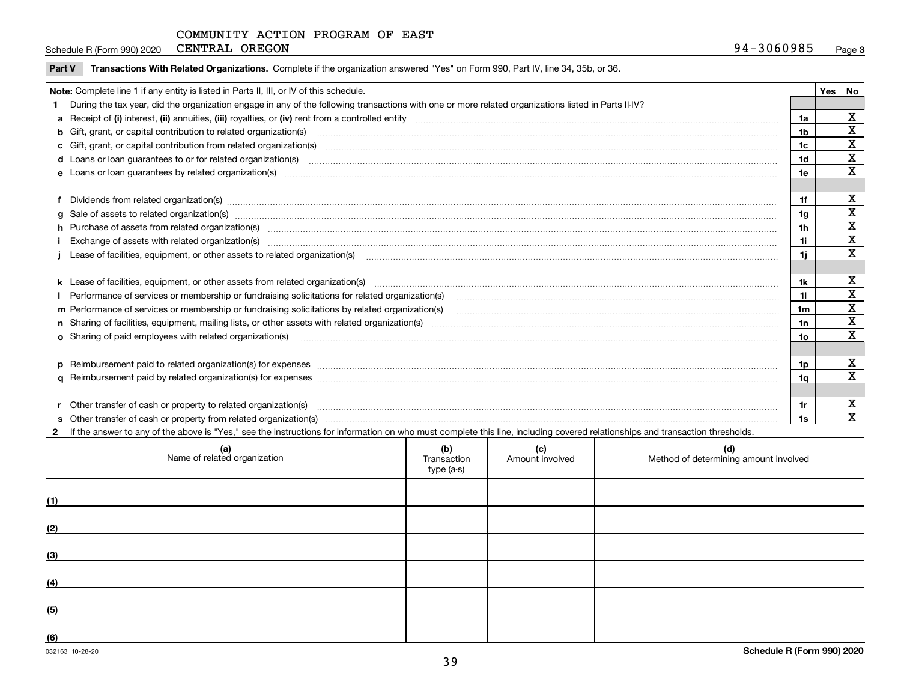Schedule R (Form 990) 2020 Page CENTRAL OREGON 94-3060985

|  | Part V Transactions With Related Organizations. Complete if the organization answered "Yes" on Form 990, Part IV, line 34, 35b, or 36. |  |  |
|--|----------------------------------------------------------------------------------------------------------------------------------------|--|--|
|--|----------------------------------------------------------------------------------------------------------------------------------------|--|--|

| Note: Complete line 1 if any entity is listed in Parts II, III, or IV of this schedule.                                                                                                                                        |     | Yes | No          |
|--------------------------------------------------------------------------------------------------------------------------------------------------------------------------------------------------------------------------------|-----|-----|-------------|
| During the tax year, did the organization engage in any of the following transactions with one or more related organizations listed in Parts II-IV?                                                                            |     |     |             |
|                                                                                                                                                                                                                                |     |     | X           |
|                                                                                                                                                                                                                                | 1b  |     | х           |
| c Gift, grant, or capital contribution from related organization(s)                                                                                                                                                            | 1c  |     | х           |
| <b>d</b> Loans or loan quarantees to or for related organization(s)                                                                                                                                                            | 1d  |     | X           |
| e Loans or loan quarantees by related organization(s)                                                                                                                                                                          | 1e  |     | X           |
|                                                                                                                                                                                                                                |     |     |             |
| f Dividends from related organization(s) manufactured contains and contained a series of the contact of the contact of the contact of the contact of the contact of the contact of the contact of the contact of the contact o | 1f  |     | х           |
| g Sale of assets to related organization(s) manufactured assemblances and contract and contract and contract and contract and contract and contract and contract and contract and contract and contract and contract and contr | 1a  |     | X           |
| h Purchase of assets from related organization(s) manufactured and content to the content of the content of the content of the content of the content of the content of the content of the content of the content of the conte | 1h  |     | X           |
|                                                                                                                                                                                                                                | 1i  |     | X           |
|                                                                                                                                                                                                                                | 1i. |     | X           |
|                                                                                                                                                                                                                                |     |     |             |
|                                                                                                                                                                                                                                | 1k  |     | х           |
| Performance of services or membership or fundraising solicitations for related organization(s)                                                                                                                                 | 11  |     | X           |
| m Performance of services or membership or fundraising solicitations by related organization(s)                                                                                                                                | 1m  |     | $\mathbf X$ |
|                                                                                                                                                                                                                                | 1n  |     | $\mathbf X$ |
|                                                                                                                                                                                                                                | 1o  |     | X           |
|                                                                                                                                                                                                                                |     |     |             |
| p Reimbursement paid to related organization(s) for expenses [1111] and the content of the content of the content of the content of the content of the content of the content of the content of the content of the content of  | 1p  |     | х           |
|                                                                                                                                                                                                                                | 1a  |     | X           |
|                                                                                                                                                                                                                                |     |     |             |
| r Other transfer of cash or property to related organization(s)                                                                                                                                                                |     |     | X           |
|                                                                                                                                                                                                                                | 1s  |     | X           |

**2**If the answer to any of the above is "Yes," see the instructions for information on who must complete this line, including covered relationships and transaction thresholds.

| (a)<br>Name of related organization | (b)<br>Transaction<br>type (a-s) | (c)<br>Amount involved | (d)<br>Method of determining amount involved |
|-------------------------------------|----------------------------------|------------------------|----------------------------------------------|
| (1)                                 |                                  |                        |                                              |
| (2)                                 |                                  |                        |                                              |
| (3)                                 |                                  |                        |                                              |
| (4)                                 |                                  |                        |                                              |
| (5)                                 |                                  |                        |                                              |
| (6)                                 |                                  |                        |                                              |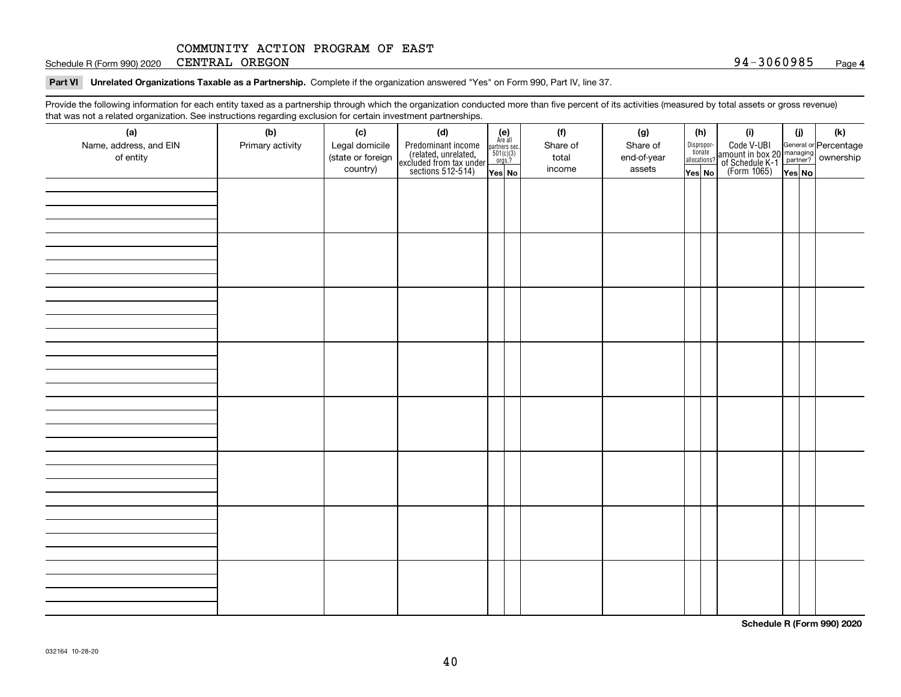Schedule R (Form 990) 2020 Page CENTRAL OREGON 94-3060985

**Part VI Unrelated Organizations Taxable as a Partnership. Complete if the organization answered "Yes" on Form 990, Part IV, line 37.** 

Provide the following information for each entity taxed as a partnership through which the organization conducted more than five percent of its activities (measured by total assets or gross revenue) that was not a related organization. See instructions regarding exclusion for certain investment partnerships.

| . . <b>. . .</b> . <b>.</b><br>- <del>.</del><br>(a)<br>Name, address, and EIN<br>of entity | . - ອ---<br>(b)<br>Primary activity | (c)<br>Legal domicile<br>(state or foreign<br>country) | .<br>(d)<br>Predominant income<br>(related, unrelated,<br>excluded from tax under<br>sections 512-514) | $\begin{array}{c} \textbf{(e)}\\ \text{Area all} \\ \text{partners sec.}\\ 501(c)(3) \\ \text{orgs.?} \end{array}$<br>Yes No | (f)<br>Share of<br>total<br>income | (g)<br>Share of<br>end-of-year<br>assets | (h)<br>allocations?<br>Yes No | Dispropor-<br>tionate | (i)<br>Code V-UBI<br>amount in box 20 managing<br>of Schedule K-1<br>(Form 1065)<br>$\overline{Yes}$ No | (i)<br>Yes No | (k) |
|---------------------------------------------------------------------------------------------|-------------------------------------|--------------------------------------------------------|--------------------------------------------------------------------------------------------------------|------------------------------------------------------------------------------------------------------------------------------|------------------------------------|------------------------------------------|-------------------------------|-----------------------|---------------------------------------------------------------------------------------------------------|---------------|-----|
|                                                                                             |                                     |                                                        |                                                                                                        |                                                                                                                              |                                    |                                          |                               |                       |                                                                                                         |               |     |
|                                                                                             |                                     |                                                        |                                                                                                        |                                                                                                                              |                                    |                                          |                               |                       |                                                                                                         |               |     |
|                                                                                             |                                     |                                                        |                                                                                                        |                                                                                                                              |                                    |                                          |                               |                       |                                                                                                         |               |     |
|                                                                                             |                                     |                                                        |                                                                                                        |                                                                                                                              |                                    |                                          |                               |                       |                                                                                                         |               |     |
|                                                                                             |                                     |                                                        |                                                                                                        |                                                                                                                              |                                    |                                          |                               |                       |                                                                                                         |               |     |
|                                                                                             |                                     |                                                        |                                                                                                        |                                                                                                                              |                                    |                                          |                               |                       |                                                                                                         |               |     |
|                                                                                             |                                     |                                                        |                                                                                                        |                                                                                                                              |                                    |                                          |                               |                       |                                                                                                         |               |     |
|                                                                                             |                                     |                                                        |                                                                                                        |                                                                                                                              |                                    |                                          |                               |                       |                                                                                                         |               |     |

**Schedule R (Form 990) 2020**